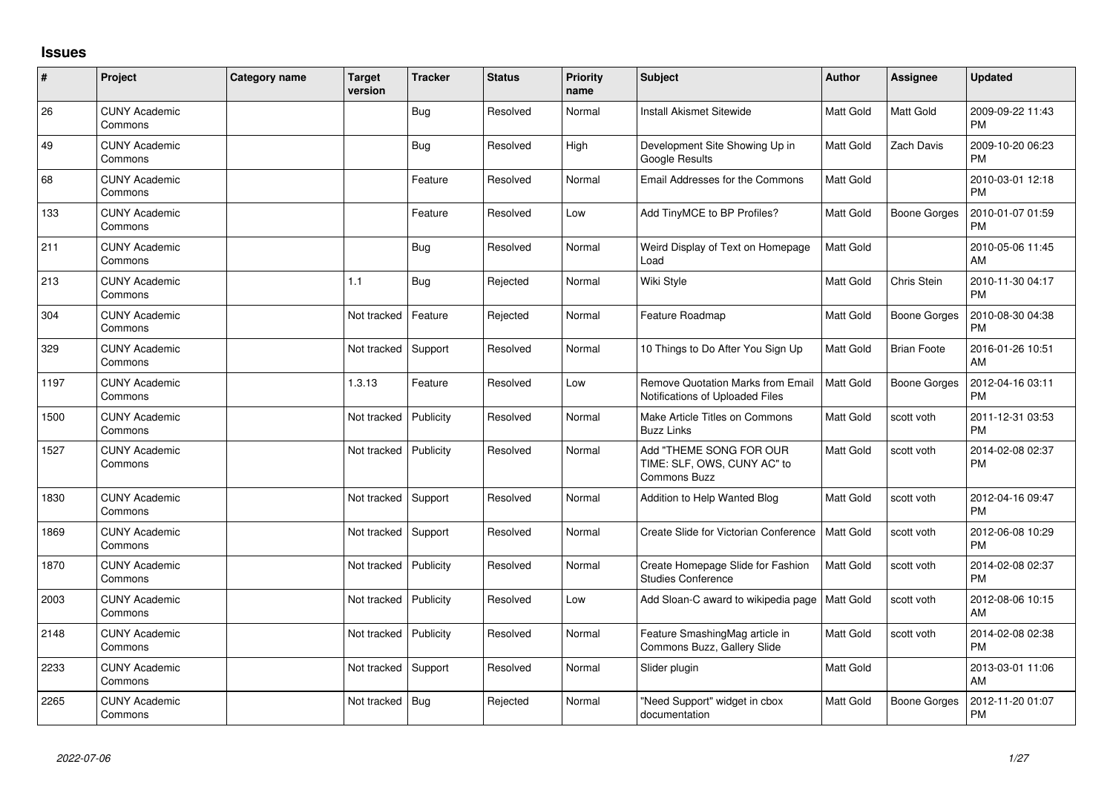## **Issues**

| #    | Project                         | Category name | <b>Target</b><br>version | <b>Tracker</b> | <b>Status</b> | <b>Priority</b><br>name | Subject                                                                     | <b>Author</b>    | Assignee            | <b>Updated</b>                |
|------|---------------------------------|---------------|--------------------------|----------------|---------------|-------------------------|-----------------------------------------------------------------------------|------------------|---------------------|-------------------------------|
| 26   | <b>CUNY Academic</b><br>Commons |               |                          | <b>Bug</b>     | Resolved      | Normal                  | <b>Install Akismet Sitewide</b>                                             | <b>Matt Gold</b> | Matt Gold           | 2009-09-22 11:43<br><b>PM</b> |
| 49   | <b>CUNY Academic</b><br>Commons |               |                          | <b>Bug</b>     | Resolved      | High                    | Development Site Showing Up in<br>Google Results                            | <b>Matt Gold</b> | Zach Davis          | 2009-10-20 06:23<br><b>PM</b> |
| 68   | <b>CUNY Academic</b><br>Commons |               |                          | Feature        | Resolved      | Normal                  | Email Addresses for the Commons                                             | Matt Gold        |                     | 2010-03-01 12:18<br><b>PM</b> |
| 133  | <b>CUNY Academic</b><br>Commons |               |                          | Feature        | Resolved      | Low                     | Add TinyMCE to BP Profiles?                                                 | <b>Matt Gold</b> | <b>Boone Gorges</b> | 2010-01-07 01:59<br><b>PM</b> |
| 211  | <b>CUNY Academic</b><br>Commons |               |                          | <b>Bug</b>     | Resolved      | Normal                  | Weird Display of Text on Homepage<br>Load                                   | Matt Gold        |                     | 2010-05-06 11:45<br>AM        |
| 213  | <b>CUNY Academic</b><br>Commons |               | 1.1                      | <b>Bug</b>     | Rejected      | Normal                  | Wiki Style                                                                  | Matt Gold        | Chris Stein         | 2010-11-30 04:17<br><b>PM</b> |
| 304  | <b>CUNY Academic</b><br>Commons |               | Not tracked              | Feature        | Rejected      | Normal                  | Feature Roadmap                                                             | <b>Matt Gold</b> | <b>Boone Gorges</b> | 2010-08-30 04:38<br><b>PM</b> |
| 329  | <b>CUNY Academic</b><br>Commons |               | Not tracked              | Support        | Resolved      | Normal                  | 10 Things to Do After You Sign Up                                           | <b>Matt Gold</b> | <b>Brian Foote</b>  | 2016-01-26 10:51<br>AM        |
| 1197 | <b>CUNY Academic</b><br>Commons |               | 1.3.13                   | Feature        | Resolved      | Low                     | <b>Remove Quotation Marks from Email</b><br>Notifications of Uploaded Files | <b>Matt Gold</b> | Boone Gorges        | 2012-04-16 03:11<br><b>PM</b> |
| 1500 | <b>CUNY Academic</b><br>Commons |               | Not tracked              | Publicity      | Resolved      | Normal                  | Make Article Titles on Commons<br><b>Buzz Links</b>                         | <b>Matt Gold</b> | scott voth          | 2011-12-31 03:53<br><b>PM</b> |
| 1527 | <b>CUNY Academic</b><br>Commons |               | Not tracked              | Publicity      | Resolved      | Normal                  | Add "THEME SONG FOR OUR<br>TIME: SLF, OWS, CUNY AC" to<br>Commons Buzz      | <b>Matt Gold</b> | scott voth          | 2014-02-08 02:37<br><b>PM</b> |
| 1830 | <b>CUNY Academic</b><br>Commons |               | Not tracked              | Support        | Resolved      | Normal                  | Addition to Help Wanted Blog                                                | Matt Gold        | scott voth          | 2012-04-16 09:47<br><b>PM</b> |
| 1869 | <b>CUNY Academic</b><br>Commons |               | Not tracked              | Support        | Resolved      | Normal                  | Create Slide for Victorian Conference                                       | <b>Matt Gold</b> | scott voth          | 2012-06-08 10:29<br><b>PM</b> |
| 1870 | <b>CUNY Academic</b><br>Commons |               | Not tracked              | Publicity      | Resolved      | Normal                  | Create Homepage Slide for Fashion<br><b>Studies Conference</b>              | <b>Matt Gold</b> | scott voth          | 2014-02-08 02:37<br><b>PM</b> |
| 2003 | <b>CUNY Academic</b><br>Commons |               | Not tracked              | Publicity      | Resolved      | Low                     | Add Sloan-C award to wikipedia page                                         | <b>Matt Gold</b> | scott voth          | 2012-08-06 10:15<br>AM        |
| 2148 | <b>CUNY Academic</b><br>Commons |               | Not tracked              | Publicity      | Resolved      | Normal                  | Feature SmashingMag article in<br>Commons Buzz, Gallery Slide               | Matt Gold        | scott voth          | 2014-02-08 02:38<br><b>PM</b> |
| 2233 | <b>CUNY Academic</b><br>Commons |               | Not tracked              | Support        | Resolved      | Normal                  | Slider plugin                                                               | <b>Matt Gold</b> |                     | 2013-03-01 11:06<br>AM        |
| 2265 | <b>CUNY Academic</b><br>Commons |               | Not tracked              | <b>Bug</b>     | Rejected      | Normal                  | "Need Support" widget in cbox<br>documentation                              | <b>Matt Gold</b> | <b>Boone Gorges</b> | 2012-11-20 01:07<br><b>PM</b> |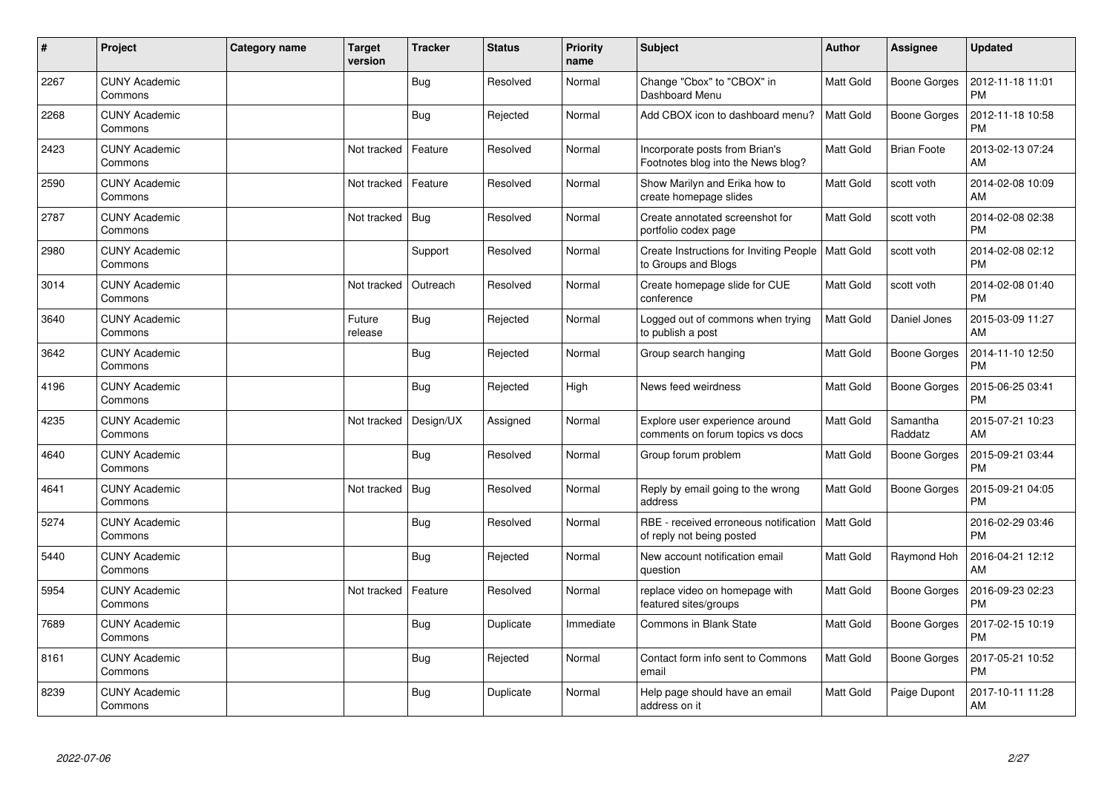| $\pmb{\sharp}$ | Project                         | <b>Category name</b> | <b>Target</b><br>version | <b>Tracker</b> | <b>Status</b> | <b>Priority</b><br>name | <b>Subject</b>                                                       | <b>Author</b>    | <b>Assignee</b>     | <b>Updated</b>                |
|----------------|---------------------------------|----------------------|--------------------------|----------------|---------------|-------------------------|----------------------------------------------------------------------|------------------|---------------------|-------------------------------|
| 2267           | <b>CUNY Academic</b><br>Commons |                      |                          | <b>Bug</b>     | Resolved      | Normal                  | Change "Cbox" to "CBOX" in<br>Dashboard Menu                         | <b>Matt Gold</b> | <b>Boone Gorges</b> | 2012-11-18 11:01<br><b>PM</b> |
| 2268           | <b>CUNY Academic</b><br>Commons |                      |                          | <b>Bug</b>     | Rejected      | Normal                  | Add CBOX icon to dashboard menu?                                     | <b>Matt Gold</b> | <b>Boone Gorges</b> | 2012-11-18 10:58<br><b>PM</b> |
| 2423           | <b>CUNY Academic</b><br>Commons |                      | Not tracked              | Feature        | Resolved      | Normal                  | Incorporate posts from Brian's<br>Footnotes blog into the News blog? | Matt Gold        | <b>Brian Foote</b>  | 2013-02-13 07:24<br>AM        |
| 2590           | <b>CUNY Academic</b><br>Commons |                      | Not tracked              | Feature        | Resolved      | Normal                  | Show Marilyn and Erika how to<br>create homepage slides              | Matt Gold        | scott voth          | 2014-02-08 10:09<br>AM        |
| 2787           | <b>CUNY Academic</b><br>Commons |                      | Not tracked              | <b>Bug</b>     | Resolved      | Normal                  | Create annotated screenshot for<br>portfolio codex page              | Matt Gold        | scott voth          | 2014-02-08 02:38<br><b>PM</b> |
| 2980           | <b>CUNY Academic</b><br>Commons |                      |                          | Support        | Resolved      | Normal                  | Create Instructions for Inviting People<br>to Groups and Blogs       | <b>Matt Gold</b> | scott voth          | 2014-02-08 02:12<br><b>PM</b> |
| 3014           | <b>CUNY Academic</b><br>Commons |                      | Not tracked              | Outreach       | Resolved      | Normal                  | Create homepage slide for CUE<br>conference                          | Matt Gold        | scott voth          | 2014-02-08 01:40<br><b>PM</b> |
| 3640           | <b>CUNY Academic</b><br>Commons |                      | Future<br>release        | Bug            | Rejected      | Normal                  | Logged out of commons when trying<br>to publish a post               | Matt Gold        | Daniel Jones        | 2015-03-09 11:27<br>AM        |
| 3642           | <b>CUNY Academic</b><br>Commons |                      |                          | <b>Bug</b>     | Rejected      | Normal                  | Group search hanging                                                 | Matt Gold        | <b>Boone Gorges</b> | 2014-11-10 12:50<br><b>PM</b> |
| 4196           | <b>CUNY Academic</b><br>Commons |                      |                          | <b>Bug</b>     | Rejected      | High                    | News feed weirdness                                                  | Matt Gold        | Boone Gorges        | 2015-06-25 03:41<br><b>PM</b> |
| 4235           | <b>CUNY Academic</b><br>Commons |                      | Not tracked              | Design/UX      | Assigned      | Normal                  | Explore user experience around<br>comments on forum topics vs docs   | <b>Matt Gold</b> | Samantha<br>Raddatz | 2015-07-21 10:23<br>AM        |
| 4640           | <b>CUNY Academic</b><br>Commons |                      |                          | Bug            | Resolved      | Normal                  | Group forum problem                                                  | Matt Gold        | <b>Boone Gorges</b> | 2015-09-21 03:44<br><b>PM</b> |
| 4641           | <b>CUNY Academic</b><br>Commons |                      | Not tracked              | <b>Bug</b>     | Resolved      | Normal                  | Reply by email going to the wrong<br>address                         | Matt Gold        | <b>Boone Gorges</b> | 2015-09-21 04:05<br><b>PM</b> |
| 5274           | <b>CUNY Academic</b><br>Commons |                      |                          | Bug            | Resolved      | Normal                  | RBE - received erroneous notification<br>of reply not being posted   | Matt Gold        |                     | 2016-02-29 03:46<br><b>PM</b> |
| 5440           | <b>CUNY Academic</b><br>Commons |                      |                          | Bug            | Rejected      | Normal                  | New account notification email<br>question                           | Matt Gold        | Raymond Hoh         | 2016-04-21 12:12<br>AM        |
| 5954           | <b>CUNY Academic</b><br>Commons |                      | Not tracked              | Feature        | Resolved      | Normal                  | replace video on homepage with<br>featured sites/groups              | <b>Matt Gold</b> | <b>Boone Gorges</b> | 2016-09-23 02:23<br><b>PM</b> |
| 7689           | <b>CUNY Academic</b><br>Commons |                      |                          | <b>Bug</b>     | Duplicate     | Immediate               | Commons in Blank State                                               | <b>Matt Gold</b> | <b>Boone Gorges</b> | 2017-02-15 10:19<br><b>PM</b> |
| 8161           | <b>CUNY Academic</b><br>Commons |                      |                          | Bug            | Rejected      | Normal                  | Contact form info sent to Commons<br>email                           | Matt Gold        | <b>Boone Gorges</b> | 2017-05-21 10:52<br><b>PM</b> |
| 8239           | <b>CUNY Academic</b><br>Commons |                      |                          | <b>Bug</b>     | Duplicate     | Normal                  | Help page should have an email<br>address on it                      | Matt Gold        | Paige Dupont        | 2017-10-11 11:28<br>AM        |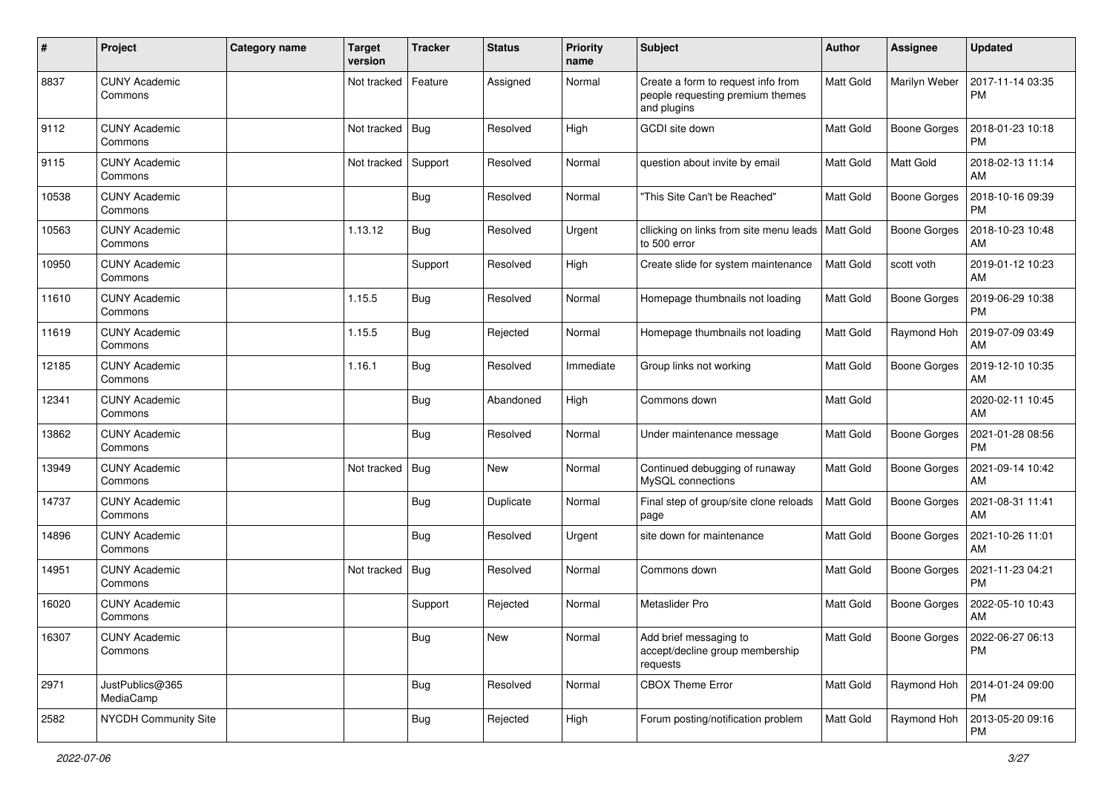| #     | Project                         | <b>Category name</b> | <b>Target</b><br>version | <b>Tracker</b> | <b>Status</b> | <b>Priority</b><br>name | <b>Subject</b>                                                                        | Author           | <b>Assignee</b>     | <b>Updated</b>                        |
|-------|---------------------------------|----------------------|--------------------------|----------------|---------------|-------------------------|---------------------------------------------------------------------------------------|------------------|---------------------|---------------------------------------|
| 8837  | <b>CUNY Academic</b><br>Commons |                      | Not tracked              | Feature        | Assigned      | Normal                  | Create a form to request info from<br>people requesting premium themes<br>and plugins | Matt Gold        | Marilyn Weber       | 2017-11-14 03:35<br><b>PM</b>         |
| 9112  | <b>CUNY Academic</b><br>Commons |                      | Not tracked              | Bug            | Resolved      | High                    | GCDI site down                                                                        | Matt Gold        | <b>Boone Gorges</b> | 2018-01-23 10:18<br><b>PM</b>         |
| 9115  | <b>CUNY Academic</b><br>Commons |                      | Not tracked              | Support        | Resolved      | Normal                  | question about invite by email                                                        | <b>Matt Gold</b> | Matt Gold           | 2018-02-13 11:14<br>AM                |
| 10538 | <b>CUNY Academic</b><br>Commons |                      |                          | Bug            | Resolved      | Normal                  | "This Site Can't be Reached"                                                          | <b>Matt Gold</b> | <b>Boone Gorges</b> | 2018-10-16 09:39<br><b>PM</b>         |
| 10563 | <b>CUNY Academic</b><br>Commons |                      | 1.13.12                  | <b>Bug</b>     | Resolved      | Urgent                  | cllicking on links from site menu leads<br>to 500 error                               | <b>Matt Gold</b> | <b>Boone Gorges</b> | 2018-10-23 10:48<br>AM                |
| 10950 | <b>CUNY Academic</b><br>Commons |                      |                          | Support        | Resolved      | High                    | Create slide for system maintenance                                                   | <b>Matt Gold</b> | scott voth          | 2019-01-12 10:23<br>AM                |
| 11610 | <b>CUNY Academic</b><br>Commons |                      | 1.15.5                   | Bug            | Resolved      | Normal                  | Homepage thumbnails not loading                                                       | Matt Gold        | Boone Gorges        | 2019-06-29 10:38<br><b>PM</b>         |
| 11619 | <b>CUNY Academic</b><br>Commons |                      | 1.15.5                   | Bug            | Rejected      | Normal                  | Homepage thumbnails not loading                                                       | <b>Matt Gold</b> | Raymond Hoh         | 2019-07-09 03:49<br>AM                |
| 12185 | <b>CUNY Academic</b><br>Commons |                      | 1.16.1                   | <b>Bug</b>     | Resolved      | Immediate               | Group links not working                                                               | <b>Matt Gold</b> | <b>Boone Gorges</b> | 2019-12-10 10:35<br>AM                |
| 12341 | <b>CUNY Academic</b><br>Commons |                      |                          | Bug            | Abandoned     | High                    | Commons down                                                                          | <b>Matt Gold</b> |                     | 2020-02-11 10:45<br>AM                |
| 13862 | <b>CUNY Academic</b><br>Commons |                      |                          | Bug            | Resolved      | Normal                  | Under maintenance message                                                             | <b>Matt Gold</b> | <b>Boone Gorges</b> | 2021-01-28 08:56<br><b>PM</b>         |
| 13949 | <b>CUNY Academic</b><br>Commons |                      | Not tracked              | Bug            | <b>New</b>    | Normal                  | Continued debugging of runaway<br>MySQL connections                                   | <b>Matt Gold</b> | <b>Boone Gorges</b> | 2021-09-14 10:42<br>AM                |
| 14737 | <b>CUNY Academic</b><br>Commons |                      |                          | Bug            | Duplicate     | Normal                  | Final step of group/site clone reloads<br>page                                        | <b>Matt Gold</b> | Boone Gorges        | 2021-08-31 11:41<br>AM                |
| 14896 | <b>CUNY Academic</b><br>Commons |                      |                          | Bug            | Resolved      | Urgent                  | site down for maintenance                                                             | <b>Matt Gold</b> | Boone Gorges        | 2021-10-26 11:01<br>AM                |
| 14951 | <b>CUNY Academic</b><br>Commons |                      | Not tracked              | Bug            | Resolved      | Normal                  | Commons down                                                                          | <b>Matt Gold</b> | Boone Gorges        | 2021-11-23 04:21<br>PM                |
| 16020 | <b>CUNY Academic</b><br>Commons |                      |                          | Support        | Rejected      | Normal                  | Metaslider Pro                                                                        | <b>Matt Gold</b> | <b>Boone Gorges</b> | 2022-05-10 10:43<br>AM                |
| 16307 | <b>CUNY Academic</b><br>Commons |                      |                          | <b>Bug</b>     | New           | Normal                  | Add brief messaging to<br>accept/decline group membership<br>requests                 | <b>Matt Gold</b> |                     | Boone Gorges   2022-06-27 06:13<br>PM |
| 2971  | JustPublics@365<br>MediaCamp    |                      |                          | <b>Bug</b>     | Resolved      | Normal                  | <b>CBOX Theme Error</b>                                                               | Matt Gold        | Raymond Hoh         | 2014-01-24 09:00<br>  PM              |
| 2582  | NYCDH Community Site            |                      |                          | <b>Bug</b>     | Rejected      | High                    | Forum posting/notification problem                                                    | Matt Gold        | Raymond Hoh         | 2013-05-20 09:16<br>PM                |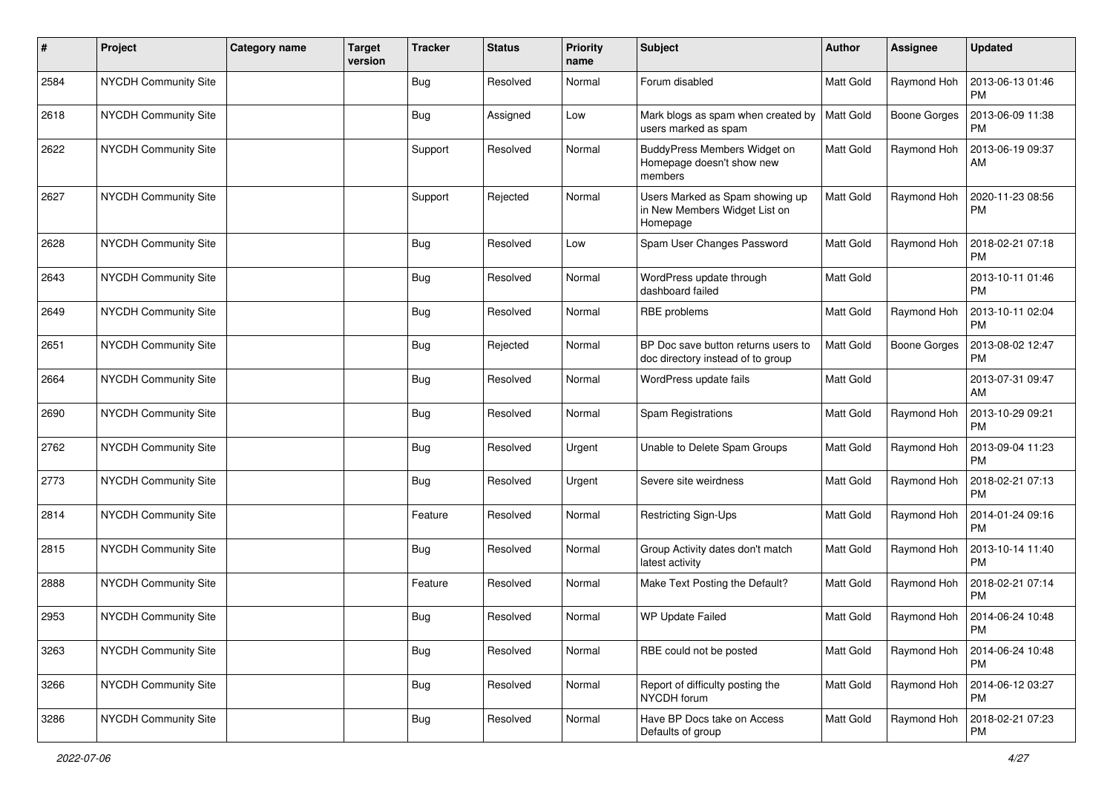| #    | Project                     | <b>Category name</b> | <b>Target</b><br>version | <b>Tracker</b> | <b>Status</b> | <b>Priority</b><br>name | Subject                                                                      | Author           | Assignee     | <b>Updated</b>                |
|------|-----------------------------|----------------------|--------------------------|----------------|---------------|-------------------------|------------------------------------------------------------------------------|------------------|--------------|-------------------------------|
| 2584 | <b>NYCDH Community Site</b> |                      |                          | <b>Bug</b>     | Resolved      | Normal                  | Forum disabled                                                               | Matt Gold        | Raymond Hoh  | 2013-06-13 01:46<br><b>PM</b> |
| 2618 | NYCDH Community Site        |                      |                          | Bug            | Assigned      | Low                     | Mark blogs as spam when created by<br>users marked as spam                   | Matt Gold        | Boone Gorges | 2013-06-09 11:38<br><b>PM</b> |
| 2622 | <b>NYCDH Community Site</b> |                      |                          | Support        | Resolved      | Normal                  | BuddyPress Members Widget on<br>Homepage doesn't show new<br>members         | Matt Gold        | Raymond Hoh  | 2013-06-19 09:37<br>AM        |
| 2627 | <b>NYCDH Community Site</b> |                      |                          | Support        | Rejected      | Normal                  | Users Marked as Spam showing up<br>in New Members Widget List on<br>Homepage | <b>Matt Gold</b> | Raymond Hoh  | 2020-11-23 08:56<br><b>PM</b> |
| 2628 | <b>NYCDH Community Site</b> |                      |                          | <b>Bug</b>     | Resolved      | Low                     | Spam User Changes Password                                                   | <b>Matt Gold</b> | Raymond Hoh  | 2018-02-21 07:18<br><b>PM</b> |
| 2643 | NYCDH Community Site        |                      |                          | <b>Bug</b>     | Resolved      | Normal                  | WordPress update through<br>dashboard failed                                 | Matt Gold        |              | 2013-10-11 01:46<br>PM        |
| 2649 | NYCDH Community Site        |                      |                          | <b>Bug</b>     | Resolved      | Normal                  | RBE problems                                                                 | <b>Matt Gold</b> | Raymond Hoh  | 2013-10-11 02:04<br><b>PM</b> |
| 2651 | NYCDH Community Site        |                      |                          | <b>Bug</b>     | Rejected      | Normal                  | BP Doc save button returns users to<br>doc directory instead of to group     | Matt Gold        | Boone Gorges | 2013-08-02 12:47<br><b>PM</b> |
| 2664 | <b>NYCDH Community Site</b> |                      |                          | <b>Bug</b>     | Resolved      | Normal                  | WordPress update fails                                                       | Matt Gold        |              | 2013-07-31 09:47<br>AM        |
| 2690 | NYCDH Community Site        |                      |                          | <b>Bug</b>     | Resolved      | Normal                  | Spam Registrations                                                           | <b>Matt Gold</b> | Raymond Hoh  | 2013-10-29 09:21<br><b>PM</b> |
| 2762 | NYCDH Community Site        |                      |                          | <b>Bug</b>     | Resolved      | Urgent                  | Unable to Delete Spam Groups                                                 | Matt Gold        | Raymond Hoh  | 2013-09-04 11:23<br><b>PM</b> |
| 2773 | NYCDH Community Site        |                      |                          | <b>Bug</b>     | Resolved      | Urgent                  | Severe site weirdness                                                        | Matt Gold        | Raymond Hoh  | 2018-02-21 07:13<br><b>PM</b> |
| 2814 | NYCDH Community Site        |                      |                          | Feature        | Resolved      | Normal                  | Restricting Sign-Ups                                                         | <b>Matt Gold</b> | Raymond Hoh  | 2014-01-24 09:16<br><b>PM</b> |
| 2815 | <b>NYCDH Community Site</b> |                      |                          | <b>Bug</b>     | Resolved      | Normal                  | Group Activity dates don't match<br>latest activity                          | Matt Gold        | Raymond Hoh  | 2013-10-14 11:40<br><b>PM</b> |
| 2888 | NYCDH Community Site        |                      |                          | Feature        | Resolved      | Normal                  | Make Text Posting the Default?                                               | <b>Matt Gold</b> | Raymond Hoh  | 2018-02-21 07:14<br><b>PM</b> |
| 2953 | NYCDH Community Site        |                      |                          | <b>Bug</b>     | Resolved      | Normal                  | <b>WP Update Failed</b>                                                      | Matt Gold        | Raymond Hoh  | 2014-06-24 10:48<br>PM        |
| 3263 | NYCDH Community Site        |                      |                          | <b>Bug</b>     | Resolved      | Normal                  | RBE could not be posted                                                      | Matt Gold        | Raymond Hoh  | 2014-06-24 10:48<br><b>PM</b> |
| 3266 | NYCDH Community Site        |                      |                          | <b>Bug</b>     | Resolved      | Normal                  | Report of difficulty posting the<br>NYCDH forum                              | Matt Gold        | Raymond Hoh  | 2014-06-12 03:27<br>PM        |
| 3286 | NYCDH Community Site        |                      |                          | <b>Bug</b>     | Resolved      | Normal                  | Have BP Docs take on Access<br>Defaults of group                             | Matt Gold        | Raymond Hoh  | 2018-02-21 07:23<br>PM        |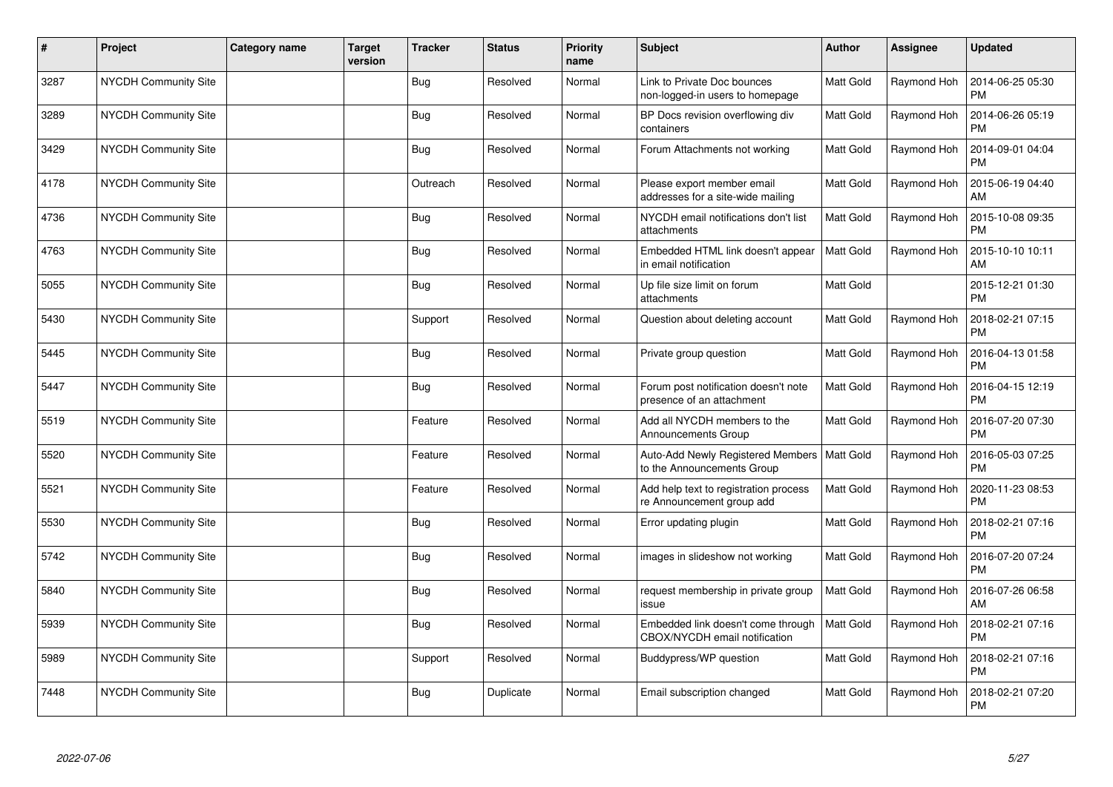| $\vert$ # | Project                     | Category name | Target<br>version | <b>Tracker</b> | <b>Status</b> | <b>Priority</b><br>name | <b>Subject</b>                                                      | <b>Author</b>    | <b>Assignee</b> | <b>Updated</b>                |
|-----------|-----------------------------|---------------|-------------------|----------------|---------------|-------------------------|---------------------------------------------------------------------|------------------|-----------------|-------------------------------|
| 3287      | NYCDH Community Site        |               |                   | Bug            | Resolved      | Normal                  | Link to Private Doc bounces<br>non-logged-in users to homepage      | <b>Matt Gold</b> | Raymond Hoh     | 2014-06-25 05:30<br><b>PM</b> |
| 3289      | <b>NYCDH Community Site</b> |               |                   | Bug            | Resolved      | Normal                  | BP Docs revision overflowing div<br>containers                      | Matt Gold        | Raymond Hoh     | 2014-06-26 05:19<br><b>PM</b> |
| 3429      | NYCDH Community Site        |               |                   | <b>Bug</b>     | Resolved      | Normal                  | Forum Attachments not working                                       | Matt Gold        | Raymond Hoh     | 2014-09-01 04:04<br><b>PM</b> |
| 4178      | <b>NYCDH Community Site</b> |               |                   | Outreach       | Resolved      | Normal                  | Please export member email<br>addresses for a site-wide mailing     | <b>Matt Gold</b> | Raymond Hoh     | 2015-06-19 04:40<br>AM        |
| 4736      | <b>NYCDH Community Site</b> |               |                   | <b>Bug</b>     | Resolved      | Normal                  | NYCDH email notifications don't list<br>attachments                 | Matt Gold        | Raymond Hoh     | 2015-10-08 09:35<br><b>PM</b> |
| 4763      | NYCDH Community Site        |               |                   | Bug            | Resolved      | Normal                  | Embedded HTML link doesn't appear<br>in email notification          | <b>Matt Gold</b> | Raymond Hoh     | 2015-10-10 10:11<br>AM        |
| 5055      | NYCDH Community Site        |               |                   | <b>Bug</b>     | Resolved      | Normal                  | Up file size limit on forum<br>attachments                          | Matt Gold        |                 | 2015-12-21 01:30<br><b>PM</b> |
| 5430      | NYCDH Community Site        |               |                   | Support        | Resolved      | Normal                  | Question about deleting account                                     | <b>Matt Gold</b> | Raymond Hoh     | 2018-02-21 07:15<br><b>PM</b> |
| 5445      | <b>NYCDH Community Site</b> |               |                   | <b>Bug</b>     | Resolved      | Normal                  | Private group question                                              | <b>Matt Gold</b> | Raymond Hoh     | 2016-04-13 01:58<br><b>PM</b> |
| 5447      | <b>NYCDH Community Site</b> |               |                   | <b>Bug</b>     | Resolved      | Normal                  | Forum post notification doesn't note<br>presence of an attachment   | Matt Gold        | Raymond Hoh     | 2016-04-15 12:19<br><b>PM</b> |
| 5519      | NYCDH Community Site        |               |                   | Feature        | Resolved      | Normal                  | Add all NYCDH members to the<br>Announcements Group                 | <b>Matt Gold</b> | Raymond Hoh     | 2016-07-20 07:30<br><b>PM</b> |
| 5520      | NYCDH Community Site        |               |                   | Feature        | Resolved      | Normal                  | Auto-Add Newly Registered Members<br>to the Announcements Group     | <b>Matt Gold</b> | Raymond Hoh     | 2016-05-03 07:25<br><b>PM</b> |
| 5521      | <b>NYCDH Community Site</b> |               |                   | Feature        | Resolved      | Normal                  | Add help text to registration process<br>re Announcement group add  | Matt Gold        | Raymond Hoh     | 2020-11-23 08:53<br><b>PM</b> |
| 5530      | NYCDH Community Site        |               |                   | <b>Bug</b>     | Resolved      | Normal                  | Error updating plugin                                               | <b>Matt Gold</b> | Raymond Hoh     | 2018-02-21 07:16<br><b>PM</b> |
| 5742      | <b>NYCDH Community Site</b> |               |                   | <b>Bug</b>     | Resolved      | Normal                  | images in slideshow not working                                     | Matt Gold        | Raymond Hoh     | 2016-07-20 07:24<br><b>PM</b> |
| 5840      | <b>NYCDH Community Site</b> |               |                   | Bug            | Resolved      | Normal                  | request membership in private group<br>issue                        | <b>Matt Gold</b> | Raymond Hoh     | 2016-07-26 06:58<br>AM        |
| 5939      | NYCDH Community Site        |               |                   | <b>Bug</b>     | Resolved      | Normal                  | Embedded link doesn't come through<br>CBOX/NYCDH email notification | <b>Matt Gold</b> | Raymond Hoh     | 2018-02-21 07:16<br><b>PM</b> |
| 5989      | NYCDH Community Site        |               |                   | Support        | Resolved      | Normal                  | Buddypress/WP question                                              | Matt Gold        | Raymond Hoh     | 2018-02-21 07:16<br><b>PM</b> |
| 7448      | NYCDH Community Site        |               |                   | <b>Bug</b>     | Duplicate     | Normal                  | Email subscription changed                                          | Matt Gold        | Raymond Hoh     | 2018-02-21 07:20<br><b>PM</b> |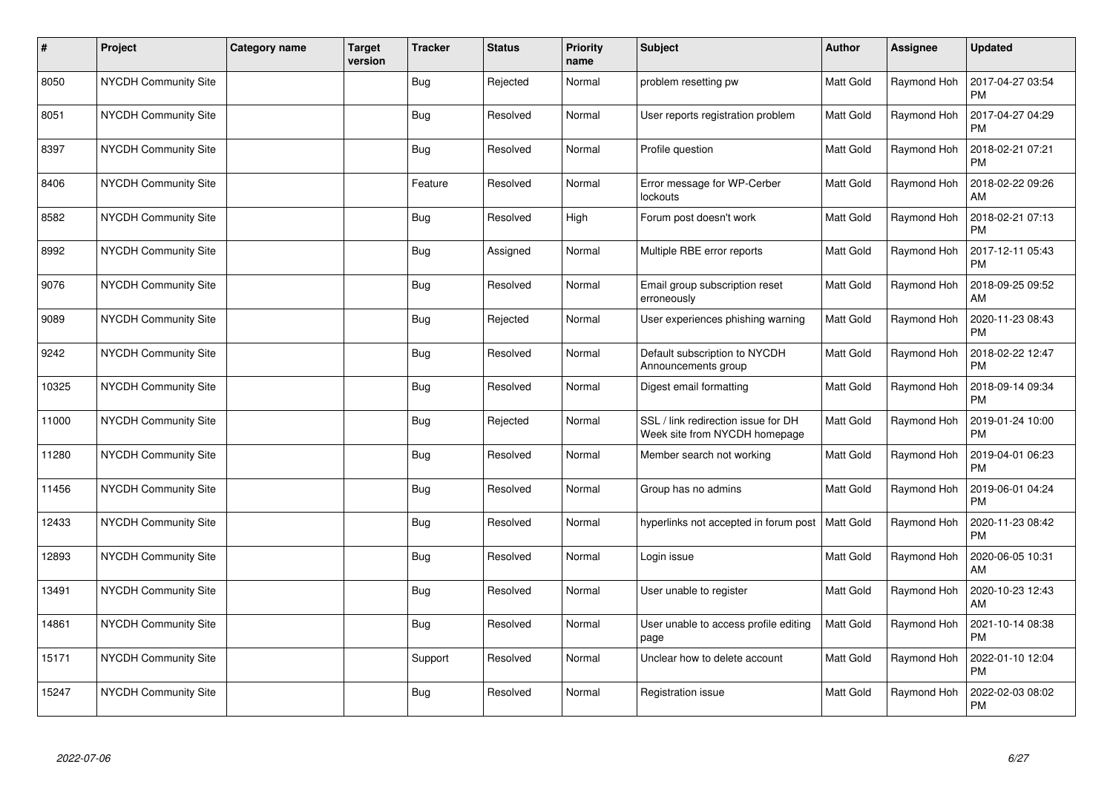| $\sharp$ | Project                     | <b>Category name</b> | <b>Target</b><br>version | <b>Tracker</b> | <b>Status</b> | <b>Priority</b><br>name | <b>Subject</b>                                                       | Author           | Assignee    | <b>Updated</b>                |
|----------|-----------------------------|----------------------|--------------------------|----------------|---------------|-------------------------|----------------------------------------------------------------------|------------------|-------------|-------------------------------|
| 8050     | NYCDH Community Site        |                      |                          | <b>Bug</b>     | Rejected      | Normal                  | problem resetting pw                                                 | <b>Matt Gold</b> | Raymond Hoh | 2017-04-27 03:54<br><b>PM</b> |
| 8051     | NYCDH Community Site        |                      |                          | <b>Bug</b>     | Resolved      | Normal                  | User reports registration problem                                    | <b>Matt Gold</b> | Raymond Hoh | 2017-04-27 04:29<br><b>PM</b> |
| 8397     | NYCDH Community Site        |                      |                          | <b>Bug</b>     | Resolved      | Normal                  | Profile question                                                     | <b>Matt Gold</b> | Raymond Hoh | 2018-02-21 07:21<br><b>PM</b> |
| 8406     | <b>NYCDH Community Site</b> |                      |                          | Feature        | Resolved      | Normal                  | Error message for WP-Cerber<br>lockouts                              | <b>Matt Gold</b> | Raymond Hoh | 2018-02-22 09:26<br>AM        |
| 8582     | NYCDH Community Site        |                      |                          | <b>Bug</b>     | Resolved      | High                    | Forum post doesn't work                                              | Matt Gold        | Raymond Hoh | 2018-02-21 07:13<br><b>PM</b> |
| 8992     | NYCDH Community Site        |                      |                          | <b>Bug</b>     | Assigned      | Normal                  | Multiple RBE error reports                                           | <b>Matt Gold</b> | Raymond Hoh | 2017-12-11 05:43<br><b>PM</b> |
| 9076     | NYCDH Community Site        |                      |                          | <b>Bug</b>     | Resolved      | Normal                  | Email group subscription reset<br>erroneously                        | Matt Gold        | Raymond Hoh | 2018-09-25 09:52<br>AM        |
| 9089     | <b>NYCDH Community Site</b> |                      |                          | Bug            | Rejected      | Normal                  | User experiences phishing warning                                    | Matt Gold        | Raymond Hoh | 2020-11-23 08:43<br><b>PM</b> |
| 9242     | NYCDH Community Site        |                      |                          | <b>Bug</b>     | Resolved      | Normal                  | Default subscription to NYCDH<br>Announcements group                 | <b>Matt Gold</b> | Raymond Hoh | 2018-02-22 12:47<br><b>PM</b> |
| 10325    | NYCDH Community Site        |                      |                          | <b>Bug</b>     | Resolved      | Normal                  | Digest email formatting                                              | Matt Gold        | Raymond Hoh | 2018-09-14 09:34<br><b>PM</b> |
| 11000    | <b>NYCDH Community Site</b> |                      |                          | Bug            | Rejected      | Normal                  | SSL / link redirection issue for DH<br>Week site from NYCDH homepage | <b>Matt Gold</b> | Raymond Hoh | 2019-01-24 10:00<br><b>PM</b> |
| 11280    | NYCDH Community Site        |                      |                          | <b>Bug</b>     | Resolved      | Normal                  | Member search not working                                            | Matt Gold        | Raymond Hoh | 2019-04-01 06:23<br><b>PM</b> |
| 11456    | <b>NYCDH Community Site</b> |                      |                          | <b>Bug</b>     | Resolved      | Normal                  | Group has no admins                                                  | <b>Matt Gold</b> | Raymond Hoh | 2019-06-01 04:24<br><b>PM</b> |
| 12433    | NYCDH Community Site        |                      |                          | <b>Bug</b>     | Resolved      | Normal                  | hyperlinks not accepted in forum post                                | Matt Gold        | Raymond Hoh | 2020-11-23 08:42<br><b>PM</b> |
| 12893    | <b>NYCDH Community Site</b> |                      |                          | <b>Bug</b>     | Resolved      | Normal                  | Login issue                                                          | Matt Gold        | Raymond Hoh | 2020-06-05 10:31<br>AM        |
| 13491    | <b>NYCDH Community Site</b> |                      |                          | Bug            | Resolved      | Normal                  | User unable to register                                              | Matt Gold        | Raymond Hoh | 2020-10-23 12:43<br>AM        |
| 14861    | NYCDH Community Site        |                      |                          | <b>Bug</b>     | Resolved      | Normal                  | User unable to access profile editing<br>page                        | Matt Gold        | Raymond Hoh | 2021-10-14 08:38<br>PM        |
| 15171    | NYCDH Community Site        |                      |                          | Support        | Resolved      | Normal                  | Unclear how to delete account                                        | <b>Matt Gold</b> | Raymond Hoh | 2022-01-10 12:04<br><b>PM</b> |
| 15247    | NYCDH Community Site        |                      |                          | <b>Bug</b>     | Resolved      | Normal                  | Registration issue                                                   | Matt Gold        | Raymond Hoh | 2022-02-03 08:02<br><b>PM</b> |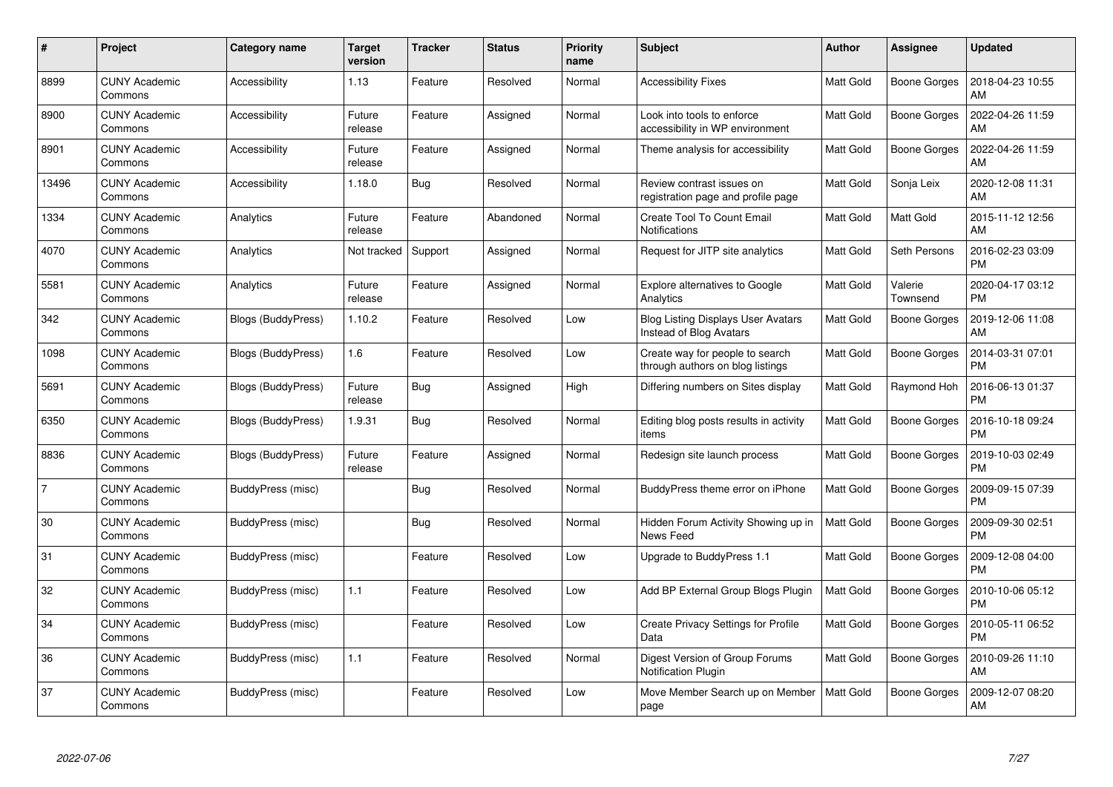| $\#$           | <b>Project</b>                  | Category name      | <b>Target</b><br>version | <b>Tracker</b> | <b>Status</b> | <b>Priority</b><br>name | <b>Subject</b>                                                       | Author           | Assignee            | <b>Updated</b>                |
|----------------|---------------------------------|--------------------|--------------------------|----------------|---------------|-------------------------|----------------------------------------------------------------------|------------------|---------------------|-------------------------------|
| 8899           | <b>CUNY Academic</b><br>Commons | Accessibility      | 1.13                     | Feature        | Resolved      | Normal                  | <b>Accessibility Fixes</b>                                           | Matt Gold        | <b>Boone Gorges</b> | 2018-04-23 10:55<br>AM        |
| 8900           | <b>CUNY Academic</b><br>Commons | Accessibility      | Future<br>release        | Feature        | Assigned      | Normal                  | Look into tools to enforce<br>accessibility in WP environment        | <b>Matt Gold</b> | Boone Gorges        | 2022-04-26 11:59<br>AM        |
| 8901           | <b>CUNY Academic</b><br>Commons | Accessibility      | Future<br>release        | Feature        | Assigned      | Normal                  | Theme analysis for accessibility                                     | <b>Matt Gold</b> | Boone Gorges        | 2022-04-26 11:59<br>AM        |
| 13496          | <b>CUNY Academic</b><br>Commons | Accessibility      | 1.18.0                   | Bug            | Resolved      | Normal                  | Review contrast issues on<br>registration page and profile page      | <b>Matt Gold</b> | Sonja Leix          | 2020-12-08 11:31<br>AM        |
| 1334           | <b>CUNY Academic</b><br>Commons | Analytics          | Future<br>release        | Feature        | Abandoned     | Normal                  | Create Tool To Count Email<br><b>Notifications</b>                   | Matt Gold        | Matt Gold           | 2015-11-12 12:56<br>AM        |
| 4070           | <b>CUNY Academic</b><br>Commons | Analytics          | Not tracked              | Support        | Assigned      | Normal                  | Request for JITP site analytics                                      | <b>Matt Gold</b> | Seth Persons        | 2016-02-23 03:09<br><b>PM</b> |
| 5581           | <b>CUNY Academic</b><br>Commons | Analytics          | Future<br>release        | Feature        | Assigned      | Normal                  | Explore alternatives to Google<br>Analytics                          | Matt Gold        | Valerie<br>Townsend | 2020-04-17 03:12<br><b>PM</b> |
| 342            | <b>CUNY Academic</b><br>Commons | Blogs (BuddyPress) | 1.10.2                   | Feature        | Resolved      | Low                     | <b>Blog Listing Displays User Avatars</b><br>Instead of Blog Avatars | Matt Gold        | Boone Gorges        | 2019-12-06 11:08<br>AM        |
| 1098           | <b>CUNY Academic</b><br>Commons | Blogs (BuddyPress) | 1.6                      | Feature        | Resolved      | Low                     | Create way for people to search<br>through authors on blog listings  | <b>Matt Gold</b> | <b>Boone Gorges</b> | 2014-03-31 07:01<br><b>PM</b> |
| 5691           | <b>CUNY Academic</b><br>Commons | Blogs (BuddyPress) | Future<br>release        | Bug            | Assigned      | High                    | Differing numbers on Sites display                                   | Matt Gold        | Raymond Hoh         | 2016-06-13 01:37<br><b>PM</b> |
| 6350           | <b>CUNY Academic</b><br>Commons | Blogs (BuddyPress) | 1.9.31                   | <b>Bug</b>     | Resolved      | Normal                  | Editing blog posts results in activity<br>items                      | <b>Matt Gold</b> | <b>Boone Gorges</b> | 2016-10-18 09:24<br><b>PM</b> |
| 8836           | <b>CUNY Academic</b><br>Commons | Blogs (BuddyPress) | Future<br>release        | Feature        | Assigned      | Normal                  | Redesign site launch process                                         | Matt Gold        | Boone Gorges        | 2019-10-03 02:49<br><b>PM</b> |
| $\overline{7}$ | <b>CUNY Academic</b><br>Commons | BuddyPress (misc)  |                          | <b>Bug</b>     | Resolved      | Normal                  | BuddyPress theme error on iPhone                                     | Matt Gold        | Boone Gorges        | 2009-09-15 07:39<br><b>PM</b> |
| 30             | <b>CUNY Academic</b><br>Commons | BuddyPress (misc)  |                          | <b>Bug</b>     | Resolved      | Normal                  | Hidden Forum Activity Showing up in<br>News Feed                     | Matt Gold        | <b>Boone Gorges</b> | 2009-09-30 02:51<br><b>PM</b> |
| 31             | <b>CUNY Academic</b><br>Commons | BuddyPress (misc)  |                          | Feature        | Resolved      | Low                     | Upgrade to BuddyPress 1.1                                            | Matt Gold        | Boone Gorges        | 2009-12-08 04:00<br><b>PM</b> |
| 32             | <b>CUNY Academic</b><br>Commons | BuddyPress (misc)  | 1.1                      | Feature        | Resolved      | Low                     | Add BP External Group Blogs Plugin                                   | Matt Gold        | Boone Gorges        | 2010-10-06 05:12<br><b>PM</b> |
| 34             | <b>CUNY Academic</b><br>Commons | BuddyPress (misc)  |                          | Feature        | Resolved      | Low                     | <b>Create Privacy Settings for Profile</b><br>Data                   | <b>Matt Gold</b> | Boone Gorges        | 2010-05-11 06:52<br><b>PM</b> |
| 36             | <b>CUNY Academic</b><br>Commons | BuddyPress (misc)  | 1.1                      | Feature        | Resolved      | Normal                  | Digest Version of Group Forums<br><b>Notification Plugin</b>         | <b>Matt Gold</b> | <b>Boone Gorges</b> | 2010-09-26 11:10<br>AM        |
| 37             | <b>CUNY Academic</b><br>Commons | BuddyPress (misc)  |                          | Feature        | Resolved      | Low                     | Move Member Search up on Member<br>page                              | <b>Matt Gold</b> | Boone Gorges        | 2009-12-07 08:20<br>AM        |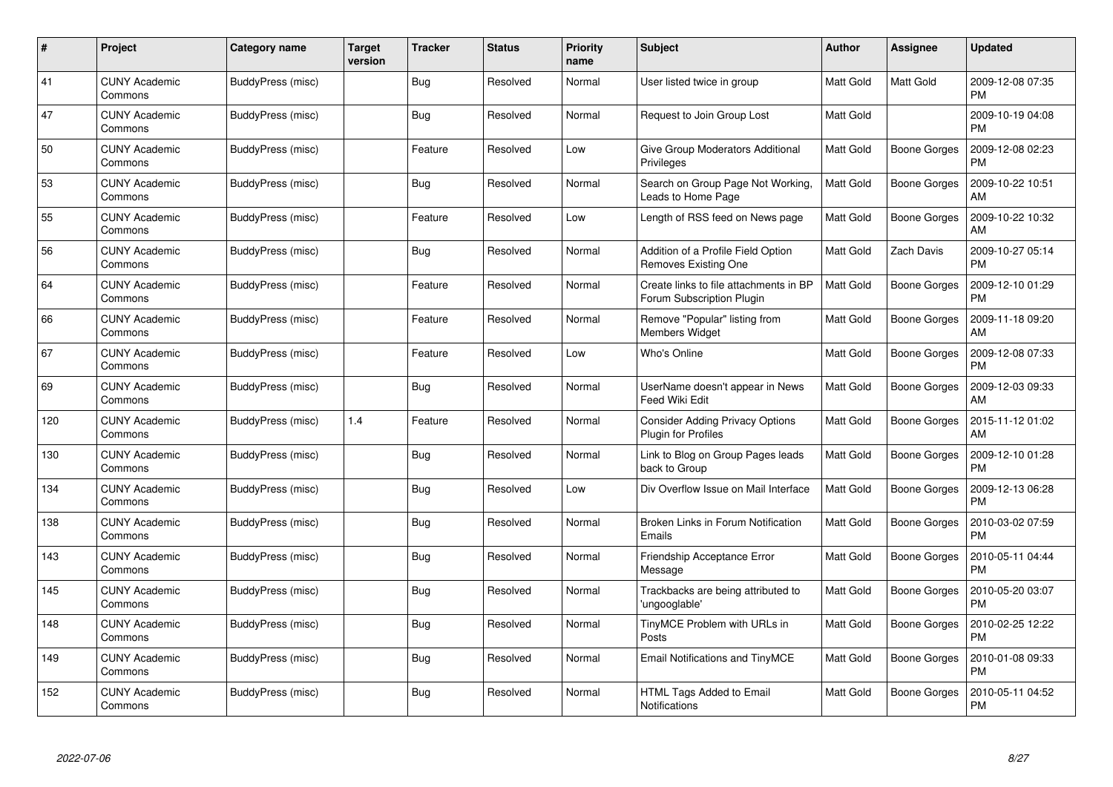| #   | Project                         | <b>Category name</b> | <b>Target</b><br>version | <b>Tracker</b> | <b>Status</b> | <b>Priority</b><br>name | <b>Subject</b>                                                      | <b>Author</b>    | <b>Assignee</b>     | <b>Updated</b>                |
|-----|---------------------------------|----------------------|--------------------------|----------------|---------------|-------------------------|---------------------------------------------------------------------|------------------|---------------------|-------------------------------|
| 41  | <b>CUNY Academic</b><br>Commons | BuddyPress (misc)    |                          | Bug            | Resolved      | Normal                  | User listed twice in group                                          | <b>Matt Gold</b> | <b>Matt Gold</b>    | 2009-12-08 07:35<br><b>PM</b> |
| 47  | <b>CUNY Academic</b><br>Commons | BuddyPress (misc)    |                          | Bug            | Resolved      | Normal                  | Request to Join Group Lost                                          | <b>Matt Gold</b> |                     | 2009-10-19 04:08<br><b>PM</b> |
| 50  | <b>CUNY Academic</b><br>Commons | BuddyPress (misc)    |                          | Feature        | Resolved      | Low                     | Give Group Moderators Additional<br>Privileges                      | <b>Matt Gold</b> | <b>Boone Gorges</b> | 2009-12-08 02:23<br><b>PM</b> |
| 53  | <b>CUNY Academic</b><br>Commons | BuddyPress (misc)    |                          | Bug            | Resolved      | Normal                  | Search on Group Page Not Working,<br>Leads to Home Page             | Matt Gold        | Boone Gorges        | 2009-10-22 10:51<br>AM        |
| 55  | <b>CUNY Academic</b><br>Commons | BuddyPress (misc)    |                          | Feature        | Resolved      | Low                     | Length of RSS feed on News page                                     | <b>Matt Gold</b> | <b>Boone Gorges</b> | 2009-10-22 10:32<br>AM        |
| 56  | <b>CUNY Academic</b><br>Commons | BuddyPress (misc)    |                          | Bug            | Resolved      | Normal                  | Addition of a Profile Field Option<br>Removes Existing One          | <b>Matt Gold</b> | Zach Davis          | 2009-10-27 05:14<br><b>PM</b> |
| 64  | <b>CUNY Academic</b><br>Commons | BuddyPress (misc)    |                          | Feature        | Resolved      | Normal                  | Create links to file attachments in BP<br>Forum Subscription Plugin | <b>Matt Gold</b> | Boone Gorges        | 2009-12-10 01:29<br><b>PM</b> |
| 66  | <b>CUNY Academic</b><br>Commons | BuddyPress (misc)    |                          | Feature        | Resolved      | Normal                  | Remove "Popular" listing from<br><b>Members Widget</b>              | Matt Gold        | Boone Gorges        | 2009-11-18 09:20<br>AM        |
| 67  | <b>CUNY Academic</b><br>Commons | BuddyPress (misc)    |                          | Feature        | Resolved      | Low                     | Who's Online                                                        | <b>Matt Gold</b> | <b>Boone Gorges</b> | 2009-12-08 07:33<br><b>PM</b> |
| 69  | <b>CUNY Academic</b><br>Commons | BuddyPress (misc)    |                          | Bug            | Resolved      | Normal                  | UserName doesn't appear in News<br>Feed Wiki Edit                   | <b>Matt Gold</b> | Boone Gorges        | 2009-12-03 09:33<br>AM        |
| 120 | <b>CUNY Academic</b><br>Commons | BuddyPress (misc)    | 1.4                      | Feature        | Resolved      | Normal                  | <b>Consider Adding Privacy Options</b><br>Plugin for Profiles       | Matt Gold        | <b>Boone Gorges</b> | 2015-11-12 01:02<br>AM        |
| 130 | CUNY Academic<br>Commons        | BuddyPress (misc)    |                          | Bug            | Resolved      | Normal                  | Link to Blog on Group Pages leads<br>back to Group                  | <b>Matt Gold</b> | Boone Gorges        | 2009-12-10 01:28<br><b>PM</b> |
| 134 | <b>CUNY Academic</b><br>Commons | BuddyPress (misc)    |                          | Bug            | Resolved      | Low                     | Div Overflow Issue on Mail Interface                                | Matt Gold        | Boone Gorges        | 2009-12-13 06:28<br>PM        |
| 138 | <b>CUNY Academic</b><br>Commons | BuddyPress (misc)    |                          | <b>Bug</b>     | Resolved      | Normal                  | Broken Links in Forum Notification<br>Emails                        | <b>Matt Gold</b> | <b>Boone Gorges</b> | 2010-03-02 07:59<br><b>PM</b> |
| 143 | <b>CUNY Academic</b><br>Commons | BuddyPress (misc)    |                          | Bug            | Resolved      | Normal                  | Friendship Acceptance Error<br>Message                              | Matt Gold        | Boone Gorges        | 2010-05-11 04:44<br><b>PM</b> |
| 145 | <b>CUNY Academic</b><br>Commons | BuddyPress (misc)    |                          | <b>Bug</b>     | Resolved      | Normal                  | Trackbacks are being attributed to<br>'ungooglable'                 | Matt Gold        | Boone Gorges        | 2010-05-20 03:07<br><b>PM</b> |
| 148 | <b>CUNY Academic</b><br>Commons | BuddyPress (misc)    |                          | Bug            | Resolved      | Normal                  | TinyMCE Problem with URLs in<br>Posts                               | <b>Matt Gold</b> | Boone Gorges        | 2010-02-25 12:22<br><b>PM</b> |
| 149 | <b>CUNY Academic</b><br>Commons | BuddyPress (misc)    |                          | Bug            | Resolved      | Normal                  | Email Notifications and TinyMCE                                     | Matt Gold        | Boone Gorges        | 2010-01-08 09:33<br><b>PM</b> |
| 152 | <b>CUNY Academic</b><br>Commons | BuddyPress (misc)    |                          | <b>Bug</b>     | Resolved      | Normal                  | HTML Tags Added to Email<br>Notifications                           | Matt Gold        | Boone Gorges        | 2010-05-11 04:52<br>PM        |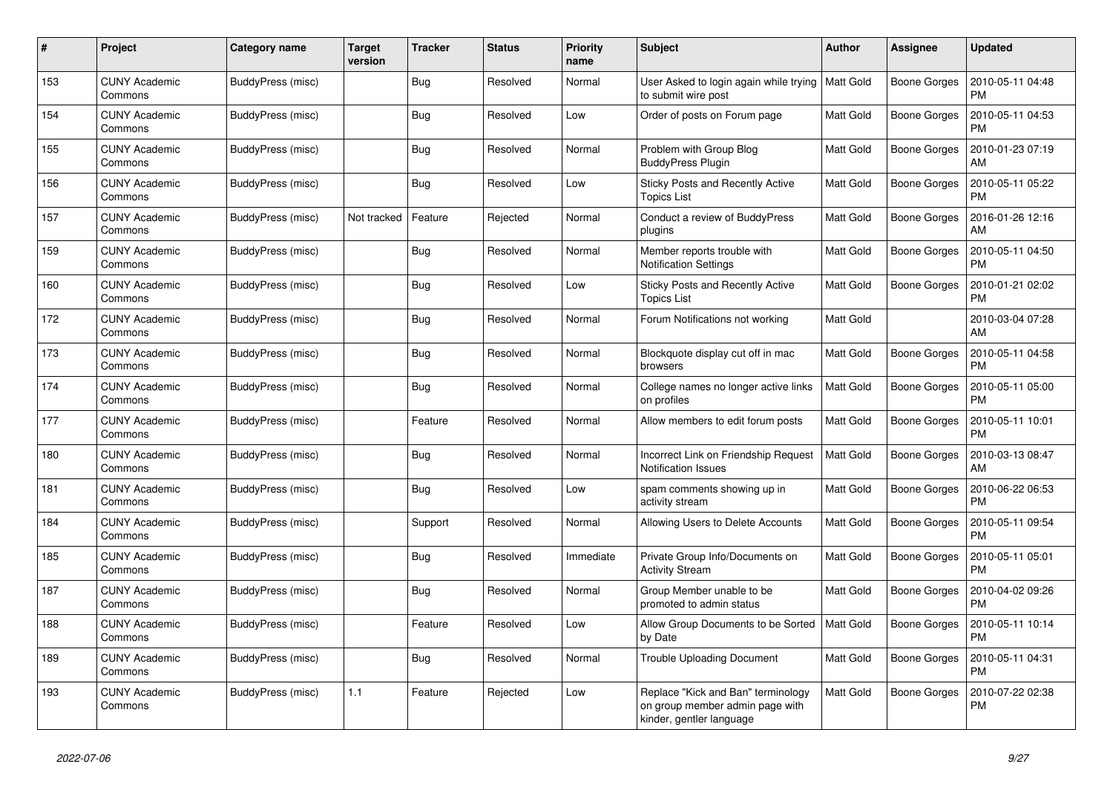| #   | Project                         | Category name     | Target<br>version | <b>Tracker</b> | <b>Status</b> | <b>Priority</b><br>name | <b>Subject</b>                                                                                    | Author           | <b>Assignee</b>     | <b>Updated</b>                |
|-----|---------------------------------|-------------------|-------------------|----------------|---------------|-------------------------|---------------------------------------------------------------------------------------------------|------------------|---------------------|-------------------------------|
| 153 | <b>CUNY Academic</b><br>Commons | BuddyPress (misc) |                   | <b>Bug</b>     | Resolved      | Normal                  | User Asked to login again while trying<br>to submit wire post                                     | <b>Matt Gold</b> | <b>Boone Gorges</b> | 2010-05-11 04:48<br><b>PM</b> |
| 154 | <b>CUNY Academic</b><br>Commons | BuddyPress (misc) |                   | Bug            | Resolved      | Low                     | Order of posts on Forum page                                                                      | <b>Matt Gold</b> | Boone Gorges        | 2010-05-11 04:53<br>PM        |
| 155 | <b>CUNY Academic</b><br>Commons | BuddyPress (misc) |                   | <b>Bug</b>     | Resolved      | Normal                  | Problem with Group Blog<br><b>BuddyPress Plugin</b>                                               | <b>Matt Gold</b> | Boone Gorges        | 2010-01-23 07:19<br>AM        |
| 156 | <b>CUNY Academic</b><br>Commons | BuddyPress (misc) |                   | Bug            | Resolved      | Low                     | <b>Sticky Posts and Recently Active</b><br><b>Topics List</b>                                     | <b>Matt Gold</b> | Boone Gorges        | 2010-05-11 05:22<br><b>PM</b> |
| 157 | <b>CUNY Academic</b><br>Commons | BuddyPress (misc) | Not tracked       | Feature        | Rejected      | Normal                  | Conduct a review of BuddyPress<br>plugins                                                         | Matt Gold        | Boone Gorges        | 2016-01-26 12:16<br>AM        |
| 159 | <b>CUNY Academic</b><br>Commons | BuddyPress (misc) |                   | Bug            | Resolved      | Normal                  | Member reports trouble with<br><b>Notification Settings</b>                                       | <b>Matt Gold</b> | Boone Gorges        | 2010-05-11 04:50<br><b>PM</b> |
| 160 | <b>CUNY Academic</b><br>Commons | BuddyPress (misc) |                   | <b>Bug</b>     | Resolved      | Low                     | Sticky Posts and Recently Active<br><b>Topics List</b>                                            | <b>Matt Gold</b> | Boone Gorges        | 2010-01-21 02:02<br><b>PM</b> |
| 172 | <b>CUNY Academic</b><br>Commons | BuddyPress (misc) |                   | Bug            | Resolved      | Normal                  | Forum Notifications not working                                                                   | Matt Gold        |                     | 2010-03-04 07:28<br>AM        |
| 173 | <b>CUNY Academic</b><br>Commons | BuddyPress (misc) |                   | <b>Bug</b>     | Resolved      | Normal                  | Blockquote display cut off in mac<br>browsers                                                     | <b>Matt Gold</b> | <b>Boone Gorges</b> | 2010-05-11 04:58<br><b>PM</b> |
| 174 | <b>CUNY Academic</b><br>Commons | BuddyPress (misc) |                   | <b>Bug</b>     | Resolved      | Normal                  | College names no longer active links<br>on profiles                                               | <b>Matt Gold</b> | Boone Gorges        | 2010-05-11 05:00<br><b>PM</b> |
| 177 | <b>CUNY Academic</b><br>Commons | BuddyPress (misc) |                   | Feature        | Resolved      | Normal                  | Allow members to edit forum posts                                                                 | <b>Matt Gold</b> | Boone Gorges        | 2010-05-11 10:01<br><b>PM</b> |
| 180 | <b>CUNY Academic</b><br>Commons | BuddyPress (misc) |                   | <b>Bug</b>     | Resolved      | Normal                  | Incorrect Link on Friendship Request<br><b>Notification Issues</b>                                | <b>Matt Gold</b> | <b>Boone Gorges</b> | 2010-03-13 08:47<br>AM        |
| 181 | <b>CUNY Academic</b><br>Commons | BuddyPress (misc) |                   | Bug            | Resolved      | Low                     | spam comments showing up in<br>activity stream                                                    | <b>Matt Gold</b> | Boone Gorges        | 2010-06-22 06:53<br>PM        |
| 184 | <b>CUNY Academic</b><br>Commons | BuddyPress (misc) |                   | Support        | Resolved      | Normal                  | Allowing Users to Delete Accounts                                                                 | <b>Matt Gold</b> | Boone Gorges        | 2010-05-11 09:54<br><b>PM</b> |
| 185 | <b>CUNY Academic</b><br>Commons | BuddyPress (misc) |                   | Bug            | Resolved      | Immediate               | Private Group Info/Documents on<br><b>Activity Stream</b>                                         | <b>Matt Gold</b> | Boone Gorges        | 2010-05-11 05:01<br><b>PM</b> |
| 187 | <b>CUNY Academic</b><br>Commons | BuddyPress (misc) |                   | Bug            | Resolved      | Normal                  | Group Member unable to be<br>promoted to admin status                                             | <b>Matt Gold</b> | Boone Gorges        | 2010-04-02 09:26<br><b>PM</b> |
| 188 | <b>CUNY Academic</b><br>Commons | BuddyPress (misc) |                   | Feature        | Resolved      | Low                     | Allow Group Documents to be Sorted<br>by Date                                                     | <b>Matt Gold</b> | Boone Gorges        | 2010-05-11 10:14<br>PM        |
| 189 | <b>CUNY Academic</b><br>Commons | BuddyPress (misc) |                   | Bug            | Resolved      | Normal                  | Trouble Uploading Document                                                                        | Matt Gold        | Boone Gorges        | 2010-05-11 04:31<br><b>PM</b> |
| 193 | CUNY Academic<br>Commons        | BuddyPress (misc) | 1.1               | Feature        | Rejected      | Low                     | Replace "Kick and Ban" terminology<br>on group member admin page with<br>kinder, gentler language | Matt Gold        | Boone Gorges        | 2010-07-22 02:38<br><b>PM</b> |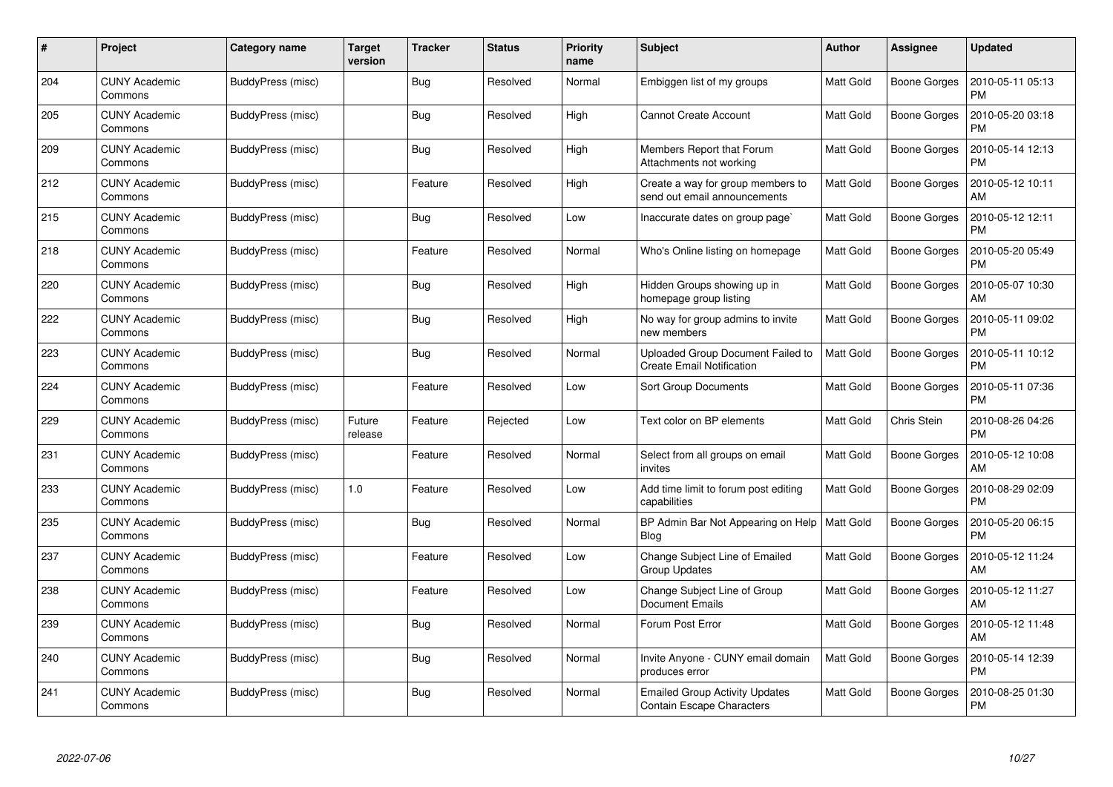| #   | Project                         | Category name     | <b>Target</b><br>version | <b>Tracker</b> | <b>Status</b> | <b>Priority</b><br>name | <b>Subject</b>                                                            | <b>Author</b>    | <b>Assignee</b>     | <b>Updated</b>                |
|-----|---------------------------------|-------------------|--------------------------|----------------|---------------|-------------------------|---------------------------------------------------------------------------|------------------|---------------------|-------------------------------|
| 204 | <b>CUNY Academic</b><br>Commons | BuddyPress (misc) |                          | <b>Bug</b>     | Resolved      | Normal                  | Embiggen list of my groups                                                | <b>Matt Gold</b> | Boone Gorges        | 2010-05-11 05:13<br><b>PM</b> |
| 205 | <b>CUNY Academic</b><br>Commons | BuddyPress (misc) |                          | Bug            | Resolved      | High                    | <b>Cannot Create Account</b>                                              | <b>Matt Gold</b> | Boone Gorges        | 2010-05-20 03:18<br><b>PM</b> |
| 209 | <b>CUNY Academic</b><br>Commons | BuddyPress (misc) |                          | <b>Bug</b>     | Resolved      | High                    | Members Report that Forum<br>Attachments not working                      | <b>Matt Gold</b> | Boone Gorges        | 2010-05-14 12:13<br><b>PM</b> |
| 212 | <b>CUNY Academic</b><br>Commons | BuddyPress (misc) |                          | Feature        | Resolved      | High                    | Create a way for group members to<br>send out email announcements         | <b>Matt Gold</b> | Boone Gorges        | 2010-05-12 10:11<br>AM        |
| 215 | <b>CUNY Academic</b><br>Commons | BuddyPress (misc) |                          | Bug            | Resolved      | Low                     | Inaccurate dates on group page`                                           | <b>Matt Gold</b> | <b>Boone Gorges</b> | 2010-05-12 12:11<br><b>PM</b> |
| 218 | <b>CUNY Academic</b><br>Commons | BuddyPress (misc) |                          | Feature        | Resolved      | Normal                  | Who's Online listing on homepage                                          | Matt Gold        | Boone Gorges        | 2010-05-20 05:49<br><b>PM</b> |
| 220 | <b>CUNY Academic</b><br>Commons | BuddyPress (misc) |                          | Bug            | Resolved      | High                    | Hidden Groups showing up in<br>homepage group listing                     | <b>Matt Gold</b> | <b>Boone Gorges</b> | 2010-05-07 10:30<br>AM        |
| 222 | <b>CUNY Academic</b><br>Commons | BuddyPress (misc) |                          | Bug            | Resolved      | High                    | No way for group admins to invite<br>new members                          | <b>Matt Gold</b> | Boone Gorges        | 2010-05-11 09:02<br><b>PM</b> |
| 223 | <b>CUNY Academic</b><br>Commons | BuddyPress (misc) |                          | <b>Bug</b>     | Resolved      | Normal                  | Uploaded Group Document Failed to<br><b>Create Email Notification</b>     | <b>Matt Gold</b> | Boone Gorges        | 2010-05-11 10:12<br><b>PM</b> |
| 224 | <b>CUNY Academic</b><br>Commons | BuddyPress (misc) |                          | Feature        | Resolved      | Low                     | <b>Sort Group Documents</b>                                               | Matt Gold        | <b>Boone Gorges</b> | 2010-05-11 07:36<br>PM        |
| 229 | <b>CUNY Academic</b><br>Commons | BuddyPress (misc) | Future<br>release        | Feature        | Rejected      | Low                     | Text color on BP elements                                                 | Matt Gold        | Chris Stein         | 2010-08-26 04:26<br><b>PM</b> |
| 231 | <b>CUNY Academic</b><br>Commons | BuddyPress (misc) |                          | Feature        | Resolved      | Normal                  | Select from all groups on email<br>invites                                | Matt Gold        | Boone Gorges        | 2010-05-12 10:08<br>AM        |
| 233 | <b>CUNY Academic</b><br>Commons | BuddyPress (misc) | 1.0                      | Feature        | Resolved      | Low                     | Add time limit to forum post editing<br>capabilities                      | <b>Matt Gold</b> | Boone Gorges        | 2010-08-29 02:09<br>PM        |
| 235 | <b>CUNY Academic</b><br>Commons | BuddyPress (misc) |                          | Bug            | Resolved      | Normal                  | BP Admin Bar Not Appearing on Help<br>Blog                                | <b>Matt Gold</b> | Boone Gorges        | 2010-05-20 06:15<br><b>PM</b> |
| 237 | <b>CUNY Academic</b><br>Commons | BuddyPress (misc) |                          | Feature        | Resolved      | Low                     | Change Subject Line of Emailed<br>Group Updates                           | Matt Gold        | Boone Gorges        | 2010-05-12 11:24<br>AM        |
| 238 | <b>CUNY Academic</b><br>Commons | BuddyPress (misc) |                          | Feature        | Resolved      | Low                     | Change Subject Line of Group<br><b>Document Emails</b>                    | <b>Matt Gold</b> | Boone Gorges        | 2010-05-12 11:27<br>AM        |
| 239 | <b>CUNY Academic</b><br>Commons | BuddyPress (misc) |                          | Bug            | Resolved      | Normal                  | Forum Post Error                                                          | <b>Matt Gold</b> | Boone Gorges        | 2010-05-12 11:48<br>AM        |
| 240 | <b>CUNY Academic</b><br>Commons | BuddyPress (misc) |                          | <b>Bug</b>     | Resolved      | Normal                  | Invite Anyone - CUNY email domain<br>produces error                       | Matt Gold        | Boone Gorges        | 2010-05-14 12:39<br><b>PM</b> |
| 241 | <b>CUNY Academic</b><br>Commons | BuddyPress (misc) |                          | <b>Bug</b>     | Resolved      | Normal                  | <b>Emailed Group Activity Updates</b><br><b>Contain Escape Characters</b> | <b>Matt Gold</b> | Boone Gorges        | 2010-08-25 01:30<br>PM        |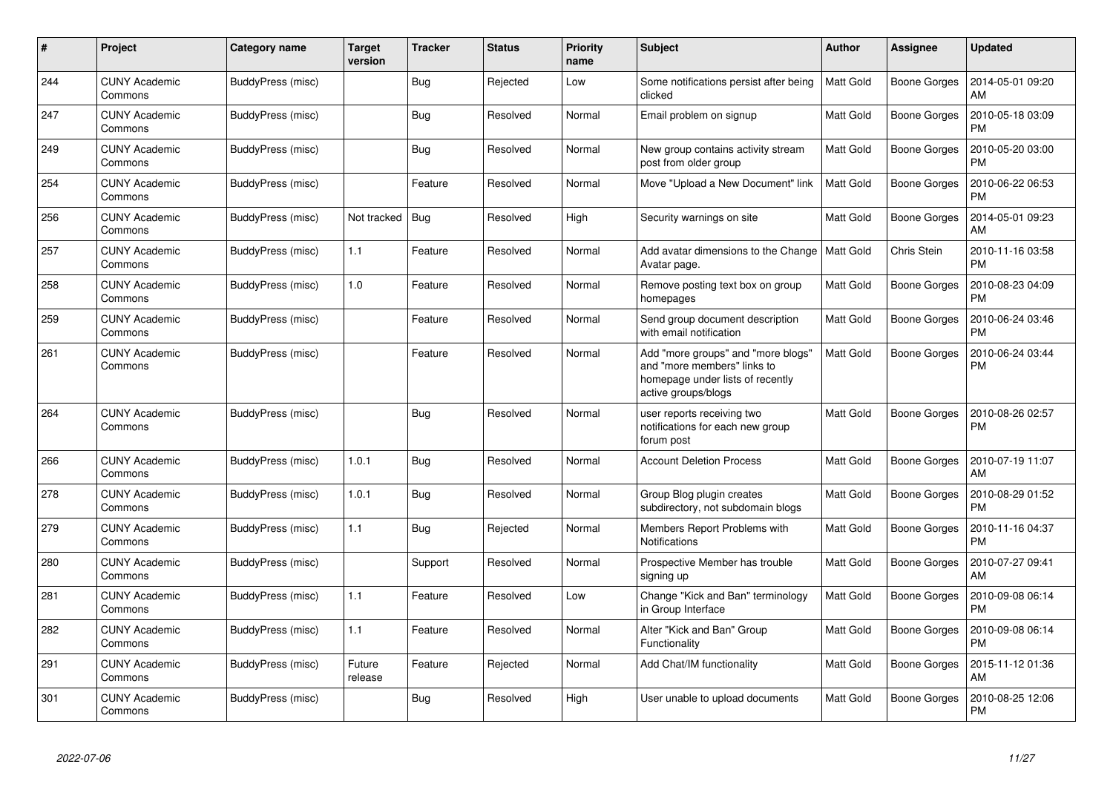| #   | Project                         | Category name     | <b>Target</b><br>version | <b>Tracker</b> | <b>Status</b> | <b>Priority</b><br>name | <b>Subject</b>                                                                                                               | Author           | <b>Assignee</b>     | <b>Updated</b>                |
|-----|---------------------------------|-------------------|--------------------------|----------------|---------------|-------------------------|------------------------------------------------------------------------------------------------------------------------------|------------------|---------------------|-------------------------------|
| 244 | <b>CUNY Academic</b><br>Commons | BuddyPress (misc) |                          | <b>Bug</b>     | Rejected      | Low                     | Some notifications persist after being<br>clicked                                                                            | <b>Matt Gold</b> | <b>Boone Gorges</b> | 2014-05-01 09:20<br>AM        |
| 247 | <b>CUNY Academic</b><br>Commons | BuddyPress (misc) |                          | Bug            | Resolved      | Normal                  | Email problem on signup                                                                                                      | <b>Matt Gold</b> | Boone Gorges        | 2010-05-18 03:09<br><b>PM</b> |
| 249 | <b>CUNY Academic</b><br>Commons | BuddyPress (misc) |                          | <b>Bug</b>     | Resolved      | Normal                  | New group contains activity stream<br>post from older group                                                                  | <b>Matt Gold</b> | Boone Gorges        | 2010-05-20 03:00<br><b>PM</b> |
| 254 | <b>CUNY Academic</b><br>Commons | BuddyPress (misc) |                          | Feature        | Resolved      | Normal                  | Move "Upload a New Document" link                                                                                            | <b>Matt Gold</b> | Boone Gorges        | 2010-06-22 06:53<br><b>PM</b> |
| 256 | <b>CUNY Academic</b><br>Commons | BuddyPress (misc) | Not tracked              | Bug            | Resolved      | High                    | Security warnings on site                                                                                                    | <b>Matt Gold</b> | Boone Gorges        | 2014-05-01 09:23<br>AM        |
| 257 | <b>CUNY Academic</b><br>Commons | BuddyPress (misc) | $1.1$                    | Feature        | Resolved      | Normal                  | Add avatar dimensions to the Change<br>Avatar page.                                                                          | Matt Gold        | Chris Stein         | 2010-11-16 03:58<br><b>PM</b> |
| 258 | <b>CUNY Academic</b><br>Commons | BuddyPress (misc) | 1.0                      | Feature        | Resolved      | Normal                  | Remove posting text box on group<br>homepages                                                                                | <b>Matt Gold</b> | Boone Gorges        | 2010-08-23 04:09<br><b>PM</b> |
| 259 | <b>CUNY Academic</b><br>Commons | BuddyPress (misc) |                          | Feature        | Resolved      | Normal                  | Send group document description<br>with email notification                                                                   | <b>Matt Gold</b> | <b>Boone Gorges</b> | 2010-06-24 03:46<br><b>PM</b> |
| 261 | <b>CUNY Academic</b><br>Commons | BuddyPress (misc) |                          | Feature        | Resolved      | Normal                  | Add "more groups" and "more blogs"<br>and "more members" links to<br>homepage under lists of recently<br>active groups/blogs | <b>Matt Gold</b> | <b>Boone Gorges</b> | 2010-06-24 03:44<br>PM        |
| 264 | <b>CUNY Academic</b><br>Commons | BuddyPress (misc) |                          | Bug            | Resolved      | Normal                  | user reports receiving two<br>notifications for each new group<br>forum post                                                 | <b>Matt Gold</b> | Boone Gorges        | 2010-08-26 02:57<br><b>PM</b> |
| 266 | <b>CUNY Academic</b><br>Commons | BuddyPress (misc) | 1.0.1                    | <b>Bug</b>     | Resolved      | Normal                  | <b>Account Deletion Process</b>                                                                                              | <b>Matt Gold</b> | Boone Gorges        | 2010-07-19 11:07<br>AM        |
| 278 | <b>CUNY Academic</b><br>Commons | BuddyPress (misc) | 1.0.1                    | Bug            | Resolved      | Normal                  | Group Blog plugin creates<br>subdirectory, not subdomain blogs                                                               | <b>Matt Gold</b> | Boone Gorges        | 2010-08-29 01:52<br><b>PM</b> |
| 279 | <b>CUNY Academic</b><br>Commons | BuddyPress (misc) | 1.1                      | Bug            | Rejected      | Normal                  | Members Report Problems with<br><b>Notifications</b>                                                                         | <b>Matt Gold</b> | Boone Gorges        | 2010-11-16 04:37<br><b>PM</b> |
| 280 | <b>CUNY Academic</b><br>Commons | BuddyPress (misc) |                          | Support        | Resolved      | Normal                  | Prospective Member has trouble<br>signing up                                                                                 | <b>Matt Gold</b> | Boone Gorges        | 2010-07-27 09:41<br>AM        |
| 281 | <b>CUNY Academic</b><br>Commons | BuddyPress (misc) | 1.1                      | Feature        | Resolved      | Low                     | Change "Kick and Ban" terminology<br>in Group Interface                                                                      | Matt Gold        | Boone Gorges        | 2010-09-08 06:14<br><b>PM</b> |
| 282 | <b>CUNY Academic</b><br>Commons | BuddyPress (misc) | 1.1                      | Feature        | Resolved      | Normal                  | Alter "Kick and Ban" Group<br>Functionality                                                                                  | <b>Matt Gold</b> | Boone Gorges        | 2010-09-08 06:14<br><b>PM</b> |
| 291 | <b>CUNY Academic</b><br>Commons | BuddyPress (misc) | Future<br>release        | Feature        | Rejected      | Normal                  | Add Chat/IM functionality                                                                                                    | <b>Matt Gold</b> | Boone Gorges        | 2015-11-12 01:36<br>AM        |
| 301 | <b>CUNY Academic</b><br>Commons | BuddyPress (misc) |                          | Bug            | Resolved      | High                    | User unable to upload documents                                                                                              | <b>Matt Gold</b> | Boone Gorges        | 2010-08-25 12:06<br><b>PM</b> |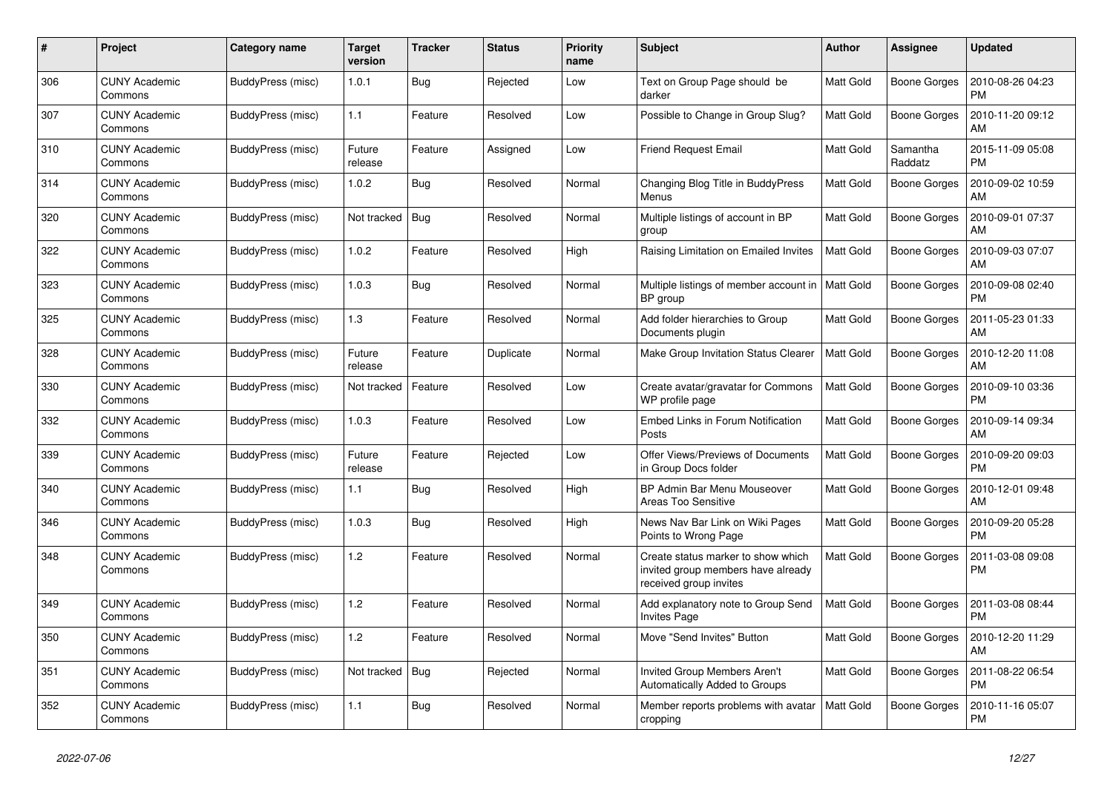| #   | Project                         | Category name            | Target<br>version | <b>Tracker</b> | <b>Status</b> | <b>Priority</b><br>name | <b>Subject</b>                                                                                     | <b>Author</b>    | <b>Assignee</b>     | <b>Updated</b>                |
|-----|---------------------------------|--------------------------|-------------------|----------------|---------------|-------------------------|----------------------------------------------------------------------------------------------------|------------------|---------------------|-------------------------------|
| 306 | <b>CUNY Academic</b><br>Commons | BuddyPress (misc)        | 1.0.1             | Bug            | Rejected      | Low                     | Text on Group Page should be<br>darker                                                             | <b>Matt Gold</b> | Boone Gorges        | 2010-08-26 04:23<br><b>PM</b> |
| 307 | <b>CUNY Academic</b><br>Commons | BuddyPress (misc)        | 1.1               | Feature        | Resolved      | Low                     | Possible to Change in Group Slug?                                                                  | Matt Gold        | <b>Boone Gorges</b> | 2010-11-20 09:12<br>AM        |
| 310 | <b>CUNY Academic</b><br>Commons | BuddyPress (misc)        | Future<br>release | Feature        | Assigned      | Low                     | <b>Friend Request Email</b>                                                                        | Matt Gold        | Samantha<br>Raddatz | 2015-11-09 05:08<br><b>PM</b> |
| 314 | <b>CUNY Academic</b><br>Commons | BuddyPress (misc)        | 1.0.2             | <b>Bug</b>     | Resolved      | Normal                  | Changing Blog Title in BuddyPress<br>Menus                                                         | Matt Gold        | Boone Gorges        | 2010-09-02 10:59<br>AM        |
| 320 | <b>CUNY Academic</b><br>Commons | <b>BuddyPress</b> (misc) | Not tracked       | <b>Bug</b>     | Resolved      | Normal                  | Multiple listings of account in BP<br>group                                                        | <b>Matt Gold</b> | Boone Gorges        | 2010-09-01 07:37<br>AM        |
| 322 | <b>CUNY Academic</b><br>Commons | BuddyPress (misc)        | 1.0.2             | Feature        | Resolved      | High                    | Raising Limitation on Emailed Invites                                                              | Matt Gold        | Boone Gorges        | 2010-09-03 07:07<br>AM        |
| 323 | <b>CUNY Academic</b><br>Commons | BuddyPress (misc)        | 1.0.3             | Bug            | Resolved      | Normal                  | Multiple listings of member account in<br>BP group                                                 | Matt Gold        | Boone Gorges        | 2010-09-08 02:40<br><b>PM</b> |
| 325 | <b>CUNY Academic</b><br>Commons | BuddyPress (misc)        | $1.3$             | Feature        | Resolved      | Normal                  | Add folder hierarchies to Group<br>Documents plugin                                                | <b>Matt Gold</b> | <b>Boone Gorges</b> | 2011-05-23 01:33<br>AM        |
| 328 | <b>CUNY Academic</b><br>Commons | BuddyPress (misc)        | Future<br>release | Feature        | Duplicate     | Normal                  | Make Group Invitation Status Clearer                                                               | <b>Matt Gold</b> | <b>Boone Gorges</b> | 2010-12-20 11:08<br>AM        |
| 330 | <b>CUNY Academic</b><br>Commons | BuddyPress (misc)        | Not tracked       | Feature        | Resolved      | Low                     | Create avatar/gravatar for Commons<br>WP profile page                                              | <b>Matt Gold</b> | Boone Gorges        | 2010-09-10 03:36<br><b>PM</b> |
| 332 | <b>CUNY Academic</b><br>Commons | BuddyPress (misc)        | 1.0.3             | Feature        | Resolved      | Low                     | Embed Links in Forum Notification<br>Posts                                                         | Matt Gold        | Boone Gorges        | 2010-09-14 09:34<br>AM        |
| 339 | <b>CUNY Academic</b><br>Commons | BuddyPress (misc)        | Future<br>release | Feature        | Rejected      | Low                     | Offer Views/Previews of Documents<br>in Group Docs folder                                          | <b>Matt Gold</b> | <b>Boone Gorges</b> | 2010-09-20 09:03<br><b>PM</b> |
| 340 | <b>CUNY Academic</b><br>Commons | BuddyPress (misc)        | 1.1               | Bug            | Resolved      | High                    | BP Admin Bar Menu Mouseover<br>Areas Too Sensitive                                                 | Matt Gold        | Boone Gorges        | 2010-12-01 09:48<br>AM        |
| 346 | <b>CUNY Academic</b><br>Commons | BuddyPress (misc)        | 1.0.3             | Bug            | Resolved      | High                    | News Nav Bar Link on Wiki Pages<br>Points to Wrong Page                                            | <b>Matt Gold</b> | Boone Gorges        | 2010-09-20 05:28<br><b>PM</b> |
| 348 | <b>CUNY Academic</b><br>Commons | BuddyPress (misc)        | 1.2               | Feature        | Resolved      | Normal                  | Create status marker to show which<br>invited group members have already<br>received group invites | <b>Matt Gold</b> | Boone Gorges        | 2011-03-08 09:08<br><b>PM</b> |
| 349 | <b>CUNY Academic</b><br>Commons | BuddyPress (misc)        | 1.2               | Feature        | Resolved      | Normal                  | Add explanatory note to Group Send<br><b>Invites Page</b>                                          | Matt Gold        | Boone Gorges        | 2011-03-08 08:44<br><b>PM</b> |
| 350 | <b>CUNY Academic</b><br>Commons | BuddyPress (misc)        | 1.2               | Feature        | Resolved      | Normal                  | Move "Send Invites" Button                                                                         | Matt Gold        | Boone Gorges        | 2010-12-20 11:29<br>AM        |
| 351 | <b>CUNY Academic</b><br>Commons | BuddyPress (misc)        | Not tracked       | <b>Bug</b>     | Rejected      | Normal                  | <b>Invited Group Members Aren't</b><br>Automatically Added to Groups                               | <b>Matt Gold</b> | Boone Gorges        | 2011-08-22 06:54<br><b>PM</b> |
| 352 | <b>CUNY Academic</b><br>Commons | BuddyPress (misc)        | 1.1               | <b>Bug</b>     | Resolved      | Normal                  | Member reports problems with avatar<br>cropping                                                    | <b>Matt Gold</b> | Boone Gorges        | 2010-11-16 05:07<br><b>PM</b> |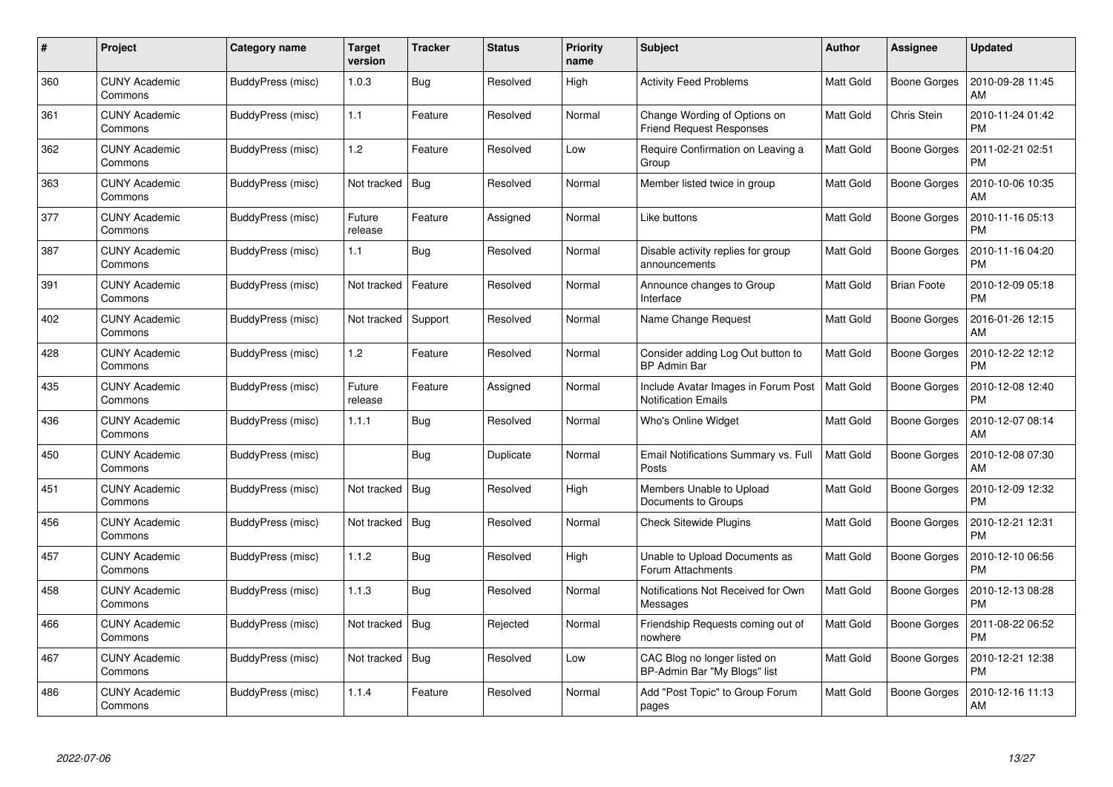| #   | Project                         | Category name     | Target<br>version | <b>Tracker</b> | <b>Status</b> | <b>Priority</b><br>name | <b>Subject</b>                                                    | <b>Author</b>    | Assignee            | <b>Updated</b>                |
|-----|---------------------------------|-------------------|-------------------|----------------|---------------|-------------------------|-------------------------------------------------------------------|------------------|---------------------|-------------------------------|
| 360 | <b>CUNY Academic</b><br>Commons | BuddyPress (misc) | 1.0.3             | Bug            | Resolved      | High                    | <b>Activity Feed Problems</b>                                     | <b>Matt Gold</b> | <b>Boone Gorges</b> | 2010-09-28 11:45<br>AM        |
| 361 | <b>CUNY Academic</b><br>Commons | BuddyPress (misc) | 1.1               | Feature        | Resolved      | Normal                  | Change Wording of Options on<br><b>Friend Request Responses</b>   | <b>Matt Gold</b> | Chris Stein         | 2010-11-24 01:42<br><b>PM</b> |
| 362 | <b>CUNY Academic</b><br>Commons | BuddyPress (misc) | 1.2               | Feature        | Resolved      | Low                     | Require Confirmation on Leaving a<br>Group                        | <b>Matt Gold</b> | <b>Boone Gorges</b> | 2011-02-21 02:51<br><b>PM</b> |
| 363 | CUNY Academic<br>Commons        | BuddyPress (misc) | Not tracked       | Bug            | Resolved      | Normal                  | Member listed twice in group                                      | Matt Gold        | Boone Gorges        | 2010-10-06 10:35<br>AM        |
| 377 | <b>CUNY Academic</b><br>Commons | BuddyPress (misc) | Future<br>release | Feature        | Assigned      | Normal                  | Like buttons                                                      | <b>Matt Gold</b> | Boone Gorges        | 2010-11-16 05:13<br><b>PM</b> |
| 387 | <b>CUNY Academic</b><br>Commons | BuddyPress (misc) | 1.1               | <b>Bug</b>     | Resolved      | Normal                  | Disable activity replies for group<br>announcements               | <b>Matt Gold</b> | Boone Gorges        | 2010-11-16 04:20<br><b>PM</b> |
| 391 | <b>CUNY Academic</b><br>Commons | BuddyPress (misc) | Not tracked       | Feature        | Resolved      | Normal                  | Announce changes to Group<br>Interface                            | Matt Gold        | <b>Brian Foote</b>  | 2010-12-09 05:18<br><b>PM</b> |
| 402 | <b>CUNY Academic</b><br>Commons | BuddyPress (misc) | Not tracked       | Support        | Resolved      | Normal                  | Name Change Request                                               | Matt Gold        | Boone Gorges        | 2016-01-26 12:15<br>AM        |
| 428 | <b>CUNY Academic</b><br>Commons | BuddyPress (misc) | 1.2               | Feature        | Resolved      | Normal                  | Consider adding Log Out button to<br><b>BP Admin Bar</b>          | <b>Matt Gold</b> | <b>Boone Gorges</b> | 2010-12-22 12:12<br><b>PM</b> |
| 435 | <b>CUNY Academic</b><br>Commons | BuddyPress (misc) | Future<br>release | Feature        | Assigned      | Normal                  | Include Avatar Images in Forum Post<br><b>Notification Emails</b> | <b>Matt Gold</b> | Boone Gorges        | 2010-12-08 12:40<br><b>PM</b> |
| 436 | <b>CUNY Academic</b><br>Commons | BuddyPress (misc) | 1.1.1             | Bug            | Resolved      | Normal                  | Who's Online Widget                                               | Matt Gold        | <b>Boone Gorges</b> | 2010-12-07 08:14<br>AM        |
| 450 | CUNY Academic<br>Commons        | BuddyPress (misc) |                   | Bug            | Duplicate     | Normal                  | Email Notifications Summary vs. Full<br>Posts                     | <b>Matt Gold</b> | Boone Gorges        | 2010-12-08 07:30<br>AM        |
| 451 | <b>CUNY Academic</b><br>Commons | BuddyPress (misc) | Not tracked       | Bug            | Resolved      | High                    | Members Unable to Upload<br>Documents to Groups                   | <b>Matt Gold</b> | Boone Gorges        | 2010-12-09 12:32<br><b>PM</b> |
| 456 | <b>CUNY Academic</b><br>Commons | BuddyPress (misc) | Not tracked       | Bug            | Resolved      | Normal                  | <b>Check Sitewide Plugins</b>                                     | Matt Gold        | Boone Gorges        | 2010-12-21 12:31<br><b>PM</b> |
| 457 | <b>CUNY Academic</b><br>Commons | BuddyPress (misc) | 1.1.2             | Bug            | Resolved      | High                    | Unable to Upload Documents as<br>Forum Attachments                | Matt Gold        | Boone Gorges        | 2010-12-10 06:56<br><b>PM</b> |
| 458 | <b>CUNY Academic</b><br>Commons | BuddyPress (misc) | 1.1.3             | Bug            | Resolved      | Normal                  | Notifications Not Received for Own<br>Messages                    | <b>Matt Gold</b> | <b>Boone Gorges</b> | 2010-12-13 08:28<br><b>PM</b> |
| 466 | <b>CUNY Academic</b><br>Commons | BuddyPress (misc) | Not tracked       | Bug            | Rejected      | Normal                  | Friendship Requests coming out of<br>nowhere                      | <b>Matt Gold</b> | Boone Gorges        | 2011-08-22 06:52<br><b>PM</b> |
| 467 | <b>CUNY Academic</b><br>Commons | BuddyPress (misc) | Not tracked       | Bug            | Resolved      | Low                     | CAC Blog no longer listed on<br>BP-Admin Bar "My Blogs" list      | Matt Gold        | Boone Gorges        | 2010-12-21 12:38<br><b>PM</b> |
| 486 | CUNY Academic<br>Commons        | BuddyPress (misc) | 1.1.4             | Feature        | Resolved      | Normal                  | Add "Post Topic" to Group Forum<br>pages                          | <b>Matt Gold</b> | Boone Gorges        | 2010-12-16 11:13<br>AM        |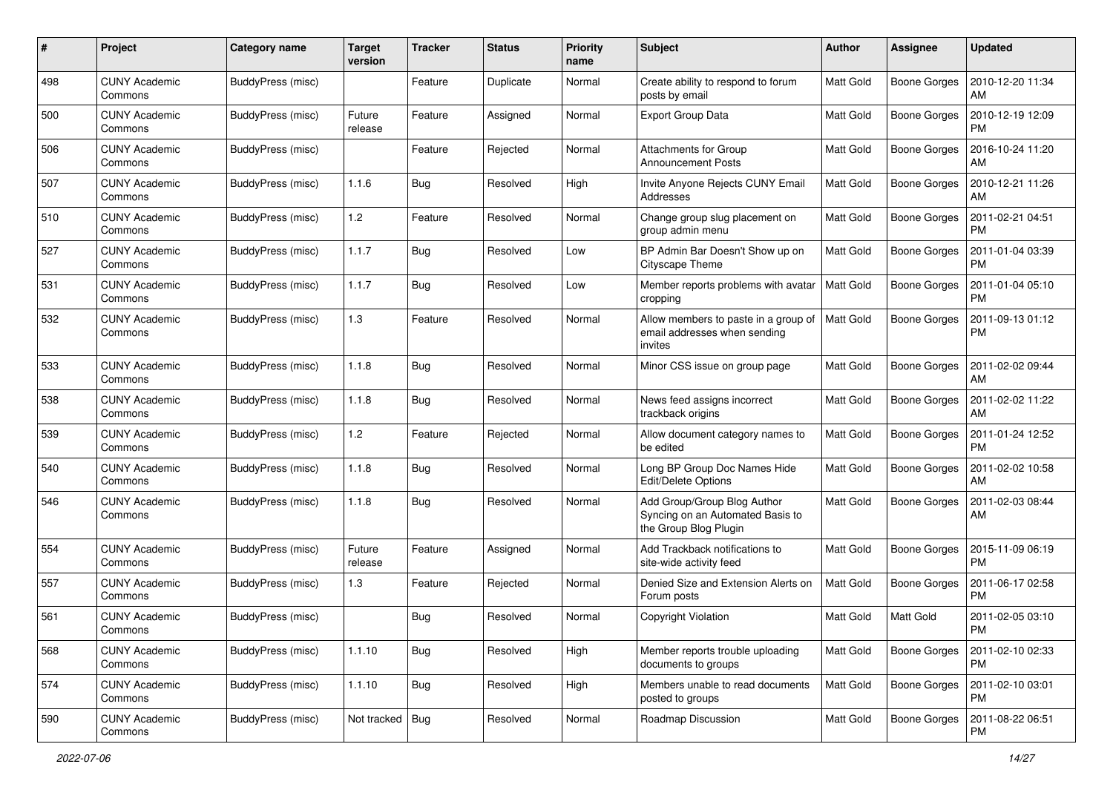| #   | Project                         | Category name     | <b>Target</b><br>version | <b>Tracker</b> | <b>Status</b> | <b>Priority</b><br>name | <b>Subject</b>                                                                           | Author           | Assignee            | <b>Updated</b>                |
|-----|---------------------------------|-------------------|--------------------------|----------------|---------------|-------------------------|------------------------------------------------------------------------------------------|------------------|---------------------|-------------------------------|
| 498 | <b>CUNY Academic</b><br>Commons | BuddyPress (misc) |                          | Feature        | Duplicate     | Normal                  | Create ability to respond to forum<br>posts by email                                     | Matt Gold        | <b>Boone Gorges</b> | 2010-12-20 11:34<br>AM        |
| 500 | <b>CUNY Academic</b><br>Commons | BuddyPress (misc) | Future<br>release        | Feature        | Assigned      | Normal                  | <b>Export Group Data</b>                                                                 | <b>Matt Gold</b> | <b>Boone Gorges</b> | 2010-12-19 12:09<br><b>PM</b> |
| 506 | <b>CUNY Academic</b><br>Commons | BuddyPress (misc) |                          | Feature        | Rejected      | Normal                  | Attachments for Group<br><b>Announcement Posts</b>                                       | Matt Gold        | <b>Boone Gorges</b> | 2016-10-24 11:20<br>AM        |
| 507 | <b>CUNY Academic</b><br>Commons | BuddyPress (misc) | 1.1.6                    | Bug            | Resolved      | High                    | Invite Anyone Rejects CUNY Email<br>Addresses                                            | <b>Matt Gold</b> | Boone Gorges        | 2010-12-21 11:26<br>AM        |
| 510 | <b>CUNY Academic</b><br>Commons | BuddyPress (misc) | 1.2                      | Feature        | Resolved      | Normal                  | Change group slug placement on<br>group admin menu                                       | <b>Matt Gold</b> | <b>Boone Gorges</b> | 2011-02-21 04:51<br><b>PM</b> |
| 527 | <b>CUNY Academic</b><br>Commons | BuddyPress (misc) | 1.1.7                    | <b>Bug</b>     | Resolved      | Low                     | BP Admin Bar Doesn't Show up on<br>Cityscape Theme                                       | Matt Gold        | Boone Gorges        | 2011-01-04 03:39<br><b>PM</b> |
| 531 | <b>CUNY Academic</b><br>Commons | BuddyPress (misc) | 1.1.7                    | Bug            | Resolved      | Low                     | Member reports problems with avatar<br>cropping                                          | <b>Matt Gold</b> | Boone Gorges        | 2011-01-04 05:10<br><b>PM</b> |
| 532 | <b>CUNY Academic</b><br>Commons | BuddyPress (misc) | 1.3                      | Feature        | Resolved      | Normal                  | Allow members to paste in a group of<br>email addresses when sending<br>invites          | <b>Matt Gold</b> | <b>Boone Gorges</b> | 2011-09-13 01:12<br><b>PM</b> |
| 533 | <b>CUNY Academic</b><br>Commons | BuddyPress (misc) | 1.1.8                    | Bug            | Resolved      | Normal                  | Minor CSS issue on group page                                                            | <b>Matt Gold</b> | <b>Boone Gorges</b> | 2011-02-02 09:44<br>AM        |
| 538 | <b>CUNY Academic</b><br>Commons | BuddyPress (misc) | 1.1.8                    | <b>Bug</b>     | Resolved      | Normal                  | News feed assigns incorrect<br>trackback origins                                         | <b>Matt Gold</b> | Boone Gorges        | 2011-02-02 11:22<br>AM        |
| 539 | <b>CUNY Academic</b><br>Commons | BuddyPress (misc) | 1.2                      | Feature        | Rejected      | Normal                  | Allow document category names to<br>be edited                                            | <b>Matt Gold</b> | Boone Gorges        | 2011-01-24 12:52<br><b>PM</b> |
| 540 | <b>CUNY Academic</b><br>Commons | BuddyPress (misc) | 1.1.8                    | Bug            | Resolved      | Normal                  | Long BP Group Doc Names Hide<br>Edit/Delete Options                                      | <b>Matt Gold</b> | Boone Gorges        | 2011-02-02 10:58<br>AM        |
| 546 | <b>CUNY Academic</b><br>Commons | BuddyPress (misc) | 1.1.8                    | Bug            | Resolved      | Normal                  | Add Group/Group Blog Author<br>Syncing on an Automated Basis to<br>the Group Blog Plugin | Matt Gold        | <b>Boone Gorges</b> | 2011-02-03 08:44<br>AM        |
| 554 | <b>CUNY Academic</b><br>Commons | BuddyPress (misc) | Future<br>release        | Feature        | Assigned      | Normal                  | Add Trackback notifications to<br>site-wide activity feed                                | <b>Matt Gold</b> | Boone Gorges        | 2015-11-09 06:19<br><b>PM</b> |
| 557 | <b>CUNY Academic</b><br>Commons | BuddyPress (misc) | 1.3                      | Feature        | Rejected      | Normal                  | Denied Size and Extension Alerts on<br>Forum posts                                       | <b>Matt Gold</b> | <b>Boone Gorges</b> | 2011-06-17 02:58<br><b>PM</b> |
| 561 | <b>CUNY Academic</b><br>Commons | BuddyPress (misc) |                          | Bug            | Resolved      | Normal                  | Copyright Violation                                                                      | Matt Gold        | Matt Gold           | 2011-02-05 03:10<br>PM        |
| 568 | <b>CUNY Academic</b><br>Commons | BuddyPress (misc) | 1.1.10                   | Bug            | Resolved      | High                    | Member reports trouble uploading<br>documents to groups                                  | Matt Gold        | <b>Boone Gorges</b> | 2011-02-10 02:33<br>PM        |
| 574 | <b>CUNY Academic</b><br>Commons | BuddyPress (misc) | 1.1.10                   | <b>Bug</b>     | Resolved      | High                    | Members unable to read documents<br>posted to groups                                     | Matt Gold        | Boone Gorges        | 2011-02-10 03:01<br><b>PM</b> |
| 590 | <b>CUNY Academic</b><br>Commons | BuddyPress (misc) | Not tracked Bug          |                | Resolved      | Normal                  | Roadmap Discussion                                                                       | Matt Gold        | Boone Gorges        | 2011-08-22 06:51<br>PM        |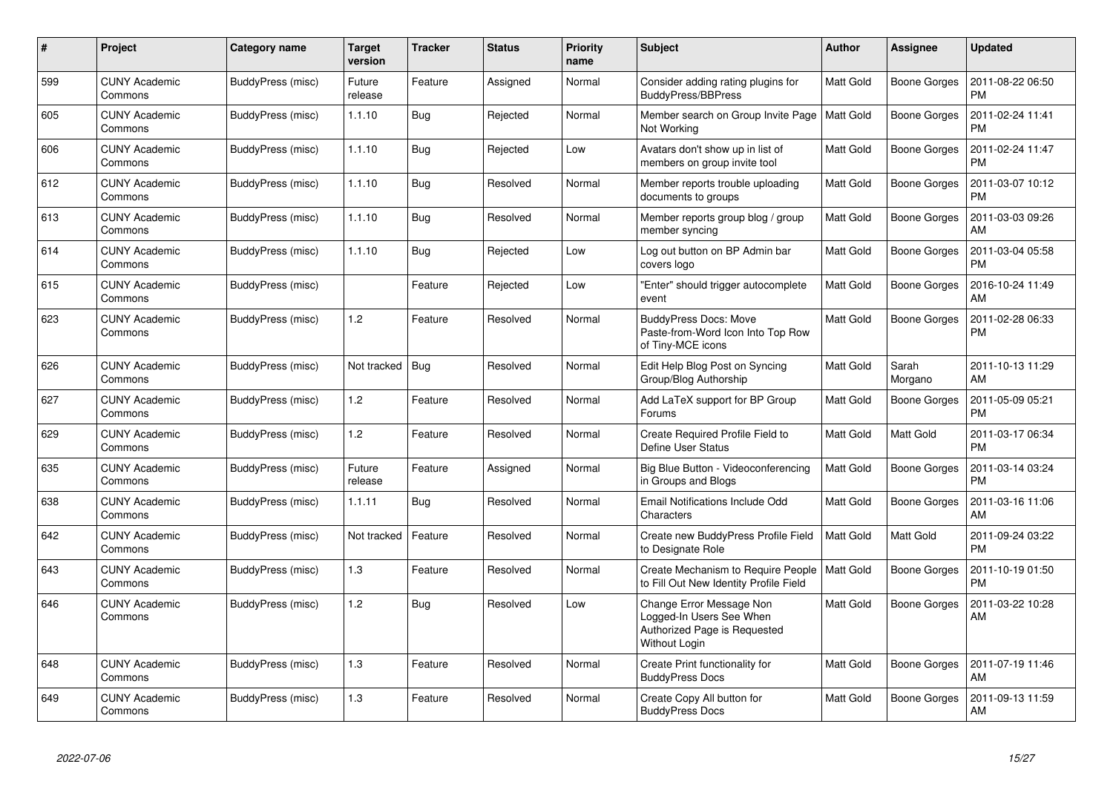| #   | Project                         | Category name     | <b>Target</b><br>version | <b>Tracker</b> | <b>Status</b> | <b>Priority</b><br>name | <b>Subject</b>                                                                                        | Author           | Assignee            | <b>Updated</b>                |
|-----|---------------------------------|-------------------|--------------------------|----------------|---------------|-------------------------|-------------------------------------------------------------------------------------------------------|------------------|---------------------|-------------------------------|
| 599 | <b>CUNY Academic</b><br>Commons | BuddyPress (misc) | Future<br>release        | Feature        | Assigned      | Normal                  | Consider adding rating plugins for<br><b>BuddyPress/BBPress</b>                                       | <b>Matt Gold</b> | Boone Gorges        | 2011-08-22 06:50<br><b>PM</b> |
| 605 | <b>CUNY Academic</b><br>Commons | BuddyPress (misc) | 1.1.10                   | Bug            | Rejected      | Normal                  | Member search on Group Invite Page<br>Not Working                                                     | <b>Matt Gold</b> | <b>Boone Gorges</b> | 2011-02-24 11:41<br><b>PM</b> |
| 606 | <b>CUNY Academic</b><br>Commons | BuddyPress (misc) | 1.1.10                   | Bug            | Rejected      | Low                     | Avatars don't show up in list of<br>members on group invite tool                                      | <b>Matt Gold</b> | <b>Boone Gorges</b> | 2011-02-24 11:47<br><b>PM</b> |
| 612 | <b>CUNY Academic</b><br>Commons | BuddyPress (misc) | 1.1.10                   | Bug            | Resolved      | Normal                  | Member reports trouble uploading<br>documents to groups                                               | <b>Matt Gold</b> | Boone Gorges        | 2011-03-07 10:12<br><b>PM</b> |
| 613 | <b>CUNY Academic</b><br>Commons | BuddyPress (misc) | 1.1.10                   | Bug            | Resolved      | Normal                  | Member reports group blog / group<br>member syncing                                                   | <b>Matt Gold</b> | <b>Boone Gorges</b> | 2011-03-03 09:26<br>АM        |
| 614 | <b>CUNY Academic</b><br>Commons | BuddyPress (misc) | 1.1.10                   | Bug            | Rejected      | Low                     | Log out button on BP Admin bar<br>covers logo                                                         | Matt Gold        | <b>Boone Gorges</b> | 2011-03-04 05:58<br><b>PM</b> |
| 615 | <b>CUNY Academic</b><br>Commons | BuddyPress (misc) |                          | Feature        | Rejected      | Low                     | "Enter" should trigger autocomplete<br>event                                                          | <b>Matt Gold</b> | Boone Gorges        | 2016-10-24 11:49<br>AM        |
| 623 | <b>CUNY Academic</b><br>Commons | BuddyPress (misc) | 1.2                      | Feature        | Resolved      | Normal                  | <b>BuddyPress Docs: Move</b><br>Paste-from-Word Icon Into Top Row<br>of Tiny-MCE icons                | <b>Matt Gold</b> | Boone Gorges        | 2011-02-28 06:33<br><b>PM</b> |
| 626 | <b>CUNY Academic</b><br>Commons | BuddyPress (misc) | Not tracked              | Bug            | Resolved      | Normal                  | Edit Help Blog Post on Syncing<br>Group/Blog Authorship                                               | Matt Gold        | Sarah<br>Morgano    | 2011-10-13 11:29<br>AM        |
| 627 | <b>CUNY Academic</b><br>Commons | BuddyPress (misc) | 1.2                      | Feature        | Resolved      | Normal                  | Add LaTeX support for BP Group<br>Forums                                                              | <b>Matt Gold</b> | <b>Boone Gorges</b> | 2011-05-09 05:21<br><b>PM</b> |
| 629 | <b>CUNY Academic</b><br>Commons | BuddyPress (misc) | 1.2                      | Feature        | Resolved      | Normal                  | Create Required Profile Field to<br>Define User Status                                                | <b>Matt Gold</b> | Matt Gold           | 2011-03-17 06:34<br><b>PM</b> |
| 635 | <b>CUNY Academic</b><br>Commons | BuddyPress (misc) | Future<br>release        | Feature        | Assigned      | Normal                  | Big Blue Button - Videoconferencing<br>in Groups and Blogs                                            | Matt Gold        | Boone Gorges        | 2011-03-14 03:24<br><b>PM</b> |
| 638 | <b>CUNY Academic</b><br>Commons | BuddyPress (misc) | 1.1.11                   | Bug            | Resolved      | Normal                  | Email Notifications Include Odd<br>Characters                                                         | <b>Matt Gold</b> | Boone Gorges        | 2011-03-16 11:06<br>AM        |
| 642 | <b>CUNY Academic</b><br>Commons | BuddyPress (misc) | Not tracked              | Feature        | Resolved      | Normal                  | Create new BuddyPress Profile Field<br>to Designate Role                                              | Matt Gold        | Matt Gold           | 2011-09-24 03:22<br><b>PM</b> |
| 643 | <b>CUNY Academic</b><br>Commons | BuddyPress (misc) | 1.3                      | Feature        | Resolved      | Normal                  | Create Mechanism to Require People<br>to Fill Out New Identity Profile Field                          | <b>Matt Gold</b> | Boone Gorges        | 2011-10-19 01:50<br><b>PM</b> |
| 646 | <b>CUNY Academic</b><br>Commons | BuddyPress (misc) | 1.2                      | Bug            | Resolved      | Low                     | Change Error Message Non<br>Logged-In Users See When<br>Authorized Page is Requested<br>Without Login | <b>Matt Gold</b> | Boone Gorges        | 2011-03-22 10:28<br>AM        |
| 648 | <b>CUNY Academic</b><br>Commons | BuddyPress (misc) | 1.3                      | Feature        | Resolved      | Normal                  | Create Print functionality for<br><b>BuddyPress Docs</b>                                              | Matt Gold        | <b>Boone Gorges</b> | 2011-07-19 11:46<br>AM        |
| 649 | <b>CUNY Academic</b><br>Commons | BuddyPress (misc) | 1.3                      | Feature        | Resolved      | Normal                  | Create Copy All button for<br><b>BuddyPress Docs</b>                                                  | Matt Gold        | Boone Gorges        | 2011-09-13 11:59<br>AM        |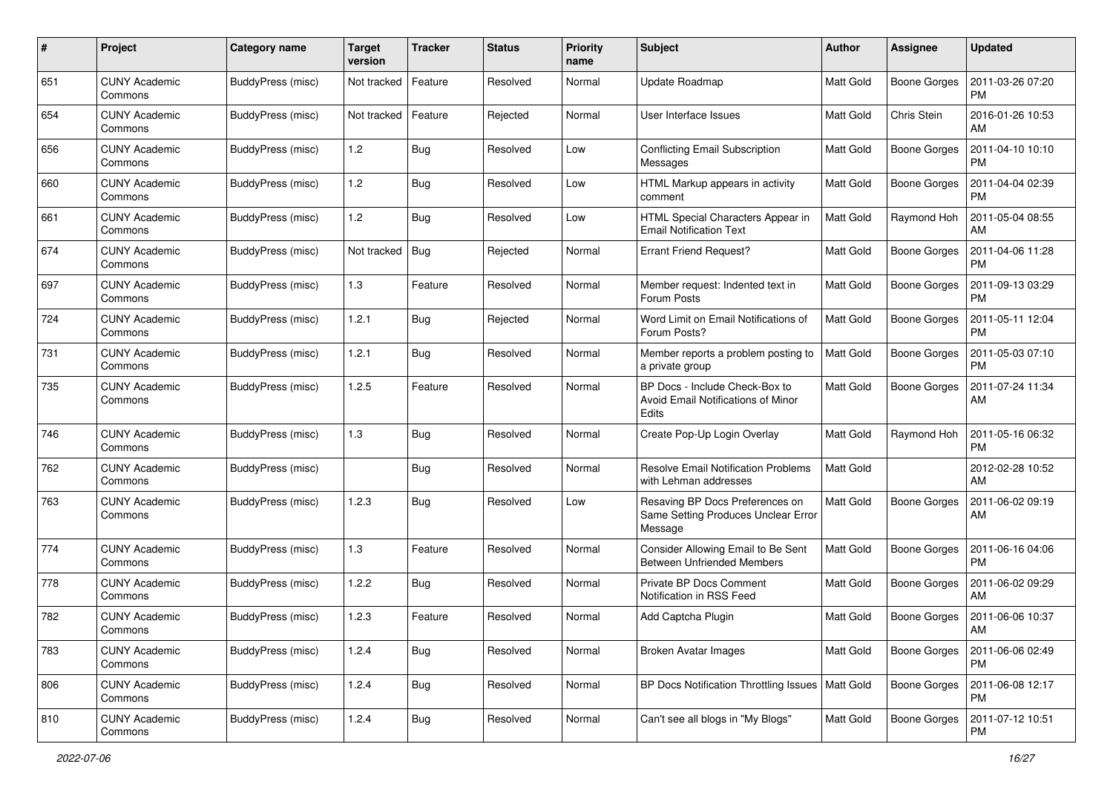| #   | Project                         | Category name     | <b>Target</b><br>version | <b>Tracker</b> | <b>Status</b> | <b>Priority</b><br>name | <b>Subject</b>                                                                    | <b>Author</b>    | Assignee            | <b>Updated</b>                |
|-----|---------------------------------|-------------------|--------------------------|----------------|---------------|-------------------------|-----------------------------------------------------------------------------------|------------------|---------------------|-------------------------------|
| 651 | <b>CUNY Academic</b><br>Commons | BuddyPress (misc) | Not tracked              | Feature        | Resolved      | Normal                  | Update Roadmap                                                                    | Matt Gold        | <b>Boone Gorges</b> | 2011-03-26 07:20<br>PM        |
| 654 | <b>CUNY Academic</b><br>Commons | BuddyPress (misc) | Not tracked              | Feature        | Rejected      | Normal                  | User Interface Issues                                                             | <b>Matt Gold</b> | Chris Stein         | 2016-01-26 10:53<br>AM        |
| 656 | <b>CUNY Academic</b><br>Commons | BuddyPress (misc) | 1.2                      | Bug            | Resolved      | Low                     | <b>Conflicting Email Subscription</b><br>Messages                                 | Matt Gold        | <b>Boone Gorges</b> | 2011-04-10 10:10<br><b>PM</b> |
| 660 | <b>CUNY Academic</b><br>Commons | BuddyPress (misc) | 1.2                      | Bug            | Resolved      | Low                     | HTML Markup appears in activity<br>comment                                        | <b>Matt Gold</b> | Boone Gorges        | 2011-04-04 02:39<br><b>PM</b> |
| 661 | <b>CUNY Academic</b><br>Commons | BuddyPress (misc) | 1.2                      | Bug            | Resolved      | Low                     | HTML Special Characters Appear in<br><b>Email Notification Text</b>               | <b>Matt Gold</b> | Raymond Hoh         | 2011-05-04 08:55<br>AM        |
| 674 | <b>CUNY Academic</b><br>Commons | BuddyPress (misc) | Not tracked              | Bug            | Rejected      | Normal                  | <b>Errant Friend Request?</b>                                                     | <b>Matt Gold</b> | Boone Gorges        | 2011-04-06 11:28<br><b>PM</b> |
| 697 | <b>CUNY Academic</b><br>Commons | BuddyPress (misc) | 1.3                      | Feature        | Resolved      | Normal                  | Member request: Indented text in<br>Forum Posts                                   | <b>Matt Gold</b> | Boone Gorges        | 2011-09-13 03:29<br><b>PM</b> |
| 724 | <b>CUNY Academic</b><br>Commons | BuddyPress (misc) | 1.2.1                    | Bug            | Rejected      | Normal                  | Word Limit on Email Notifications of<br>Forum Posts?                              | Matt Gold        | <b>Boone Gorges</b> | 2011-05-11 12:04<br>PM        |
| 731 | <b>CUNY Academic</b><br>Commons | BuddyPress (misc) | 1.2.1                    | Bug            | Resolved      | Normal                  | Member reports a problem posting to<br>a private group                            | <b>Matt Gold</b> | <b>Boone Gorges</b> | 2011-05-03 07:10<br><b>PM</b> |
| 735 | <b>CUNY Academic</b><br>Commons | BuddyPress (misc) | 1.2.5                    | Feature        | Resolved      | Normal                  | BP Docs - Include Check-Box to<br>Avoid Email Notifications of Minor<br>Edits     | Matt Gold        | Boone Gorges        | 2011-07-24 11:34<br>AM        |
| 746 | <b>CUNY Academic</b><br>Commons | BuddyPress (misc) | 1.3                      | Bug            | Resolved      | Normal                  | Create Pop-Up Login Overlay                                                       | <b>Matt Gold</b> | Raymond Hoh         | 2011-05-16 06:32<br><b>PM</b> |
| 762 | <b>CUNY Academic</b><br>Commons | BuddyPress (misc) |                          | Bug            | Resolved      | Normal                  | <b>Resolve Email Notification Problems</b><br>with Lehman addresses               | <b>Matt Gold</b> |                     | 2012-02-28 10:52<br>AM        |
| 763 | <b>CUNY Academic</b><br>Commons | BuddyPress (misc) | 1.2.3                    | Bug            | Resolved      | Low                     | Resaving BP Docs Preferences on<br>Same Setting Produces Unclear Error<br>Message | Matt Gold        | <b>Boone Gorges</b> | 2011-06-02 09:19<br>AM        |
| 774 | <b>CUNY Academic</b><br>Commons | BuddyPress (misc) | 1.3                      | Feature        | Resolved      | Normal                  | Consider Allowing Email to Be Sent<br><b>Between Unfriended Members</b>           | Matt Gold        | Boone Gorges        | 2011-06-16 04:06<br><b>PM</b> |
| 778 | <b>CUNY Academic</b><br>Commons | BuddyPress (misc) | 1.2.2                    | <b>Bug</b>     | Resolved      | Normal                  | <b>Private BP Docs Comment</b><br>Notification in RSS Feed                        | <b>Matt Gold</b> | <b>Boone Gorges</b> | 2011-06-02 09:29<br>AM        |
| 782 | <b>CUNY Academic</b><br>Commons | BuddyPress (misc) | 1.2.3                    | Feature        | Resolved      | Normal                  | Add Captcha Plugin                                                                | Matt Gold        | Boone Gorges        | 2011-06-06 10:37<br>AM        |
| 783 | <b>CUNY Academic</b><br>Commons | BuddyPress (misc) | 1.2.4                    | Bug            | Resolved      | Normal                  | <b>Broken Avatar Images</b>                                                       | Matt Gold        | <b>Boone Gorges</b> | 2011-06-06 02:49<br><b>PM</b> |
| 806 | <b>CUNY Academic</b><br>Commons | BuddyPress (misc) | 1.2.4                    | <b>Bug</b>     | Resolved      | Normal                  | BP Docs Notification Throttling Issues   Matt Gold                                |                  | Boone Gorges        | 2011-06-08 12:17<br><b>PM</b> |
| 810 | <b>CUNY Academic</b><br>Commons | BuddyPress (misc) | 1.2.4                    | <b>Bug</b>     | Resolved      | Normal                  | Can't see all blogs in "My Blogs"                                                 | Matt Gold        | Boone Gorges        | 2011-07-12 10:51<br>PM        |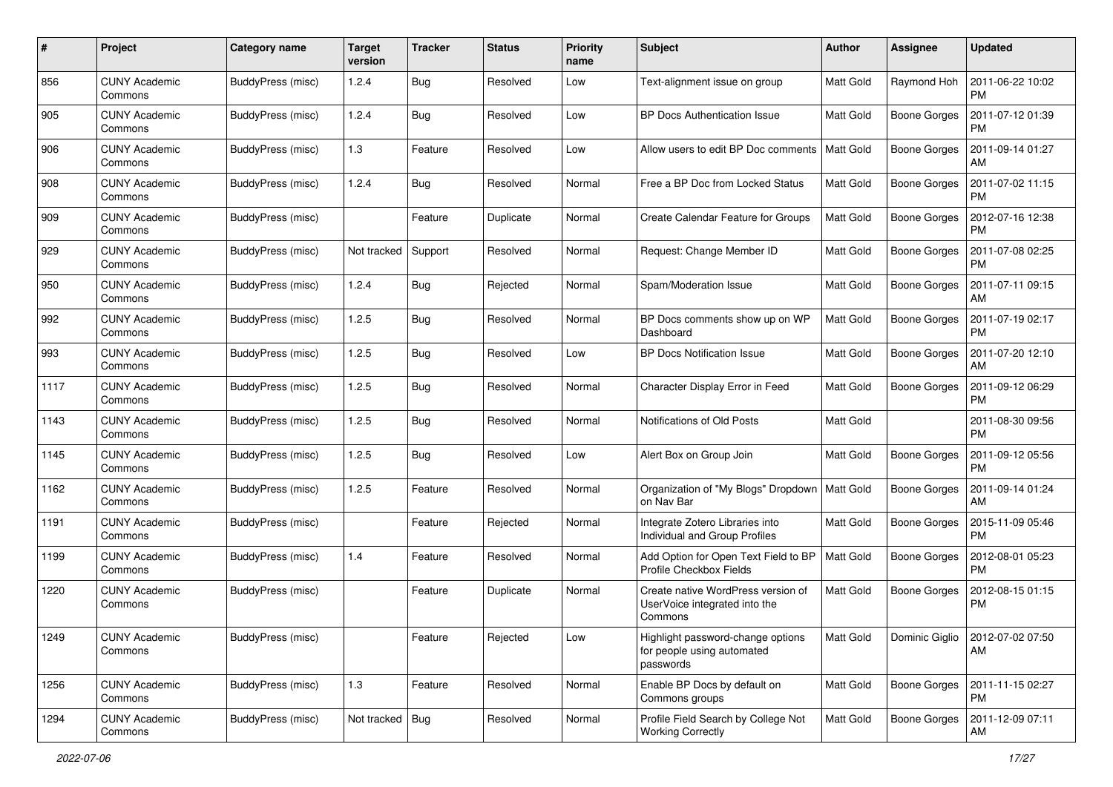| #    | Project                         | Category name            | <b>Target</b><br>version | <b>Tracker</b> | <b>Status</b> | <b>Priority</b><br>name | Subject                                                                        | Author           | Assignee            | <b>Updated</b>                |
|------|---------------------------------|--------------------------|--------------------------|----------------|---------------|-------------------------|--------------------------------------------------------------------------------|------------------|---------------------|-------------------------------|
| 856  | <b>CUNY Academic</b><br>Commons | BuddyPress (misc)        | 1.2.4                    | Bug            | Resolved      | Low                     | Text-alignment issue on group                                                  | <b>Matt Gold</b> | Raymond Hoh         | 2011-06-22 10:02<br><b>PM</b> |
| 905  | <b>CUNY Academic</b><br>Commons | BuddyPress (misc)        | 1.2.4                    | <b>Bug</b>     | Resolved      | Low                     | <b>BP Docs Authentication Issue</b>                                            | <b>Matt Gold</b> | <b>Boone Gorges</b> | 2011-07-12 01:39<br><b>PM</b> |
| 906  | <b>CUNY Academic</b><br>Commons | BuddyPress (misc)        | 1.3                      | Feature        | Resolved      | Low                     | Allow users to edit BP Doc comments                                            | <b>Matt Gold</b> | <b>Boone Gorges</b> | 2011-09-14 01:27<br>AM        |
| 908  | <b>CUNY Academic</b><br>Commons | BuddyPress (misc)        | 1.2.4                    | Bug            | Resolved      | Normal                  | Free a BP Doc from Locked Status                                               | Matt Gold        | <b>Boone Gorges</b> | 2011-07-02 11:15<br>PM        |
| 909  | <b>CUNY Academic</b><br>Commons | BuddyPress (misc)        |                          | Feature        | Duplicate     | Normal                  | Create Calendar Feature for Groups                                             | <b>Matt Gold</b> | <b>Boone Gorges</b> | 2012-07-16 12:38<br><b>PM</b> |
| 929  | <b>CUNY Academic</b><br>Commons | BuddyPress (misc)        | Not tracked              | Support        | Resolved      | Normal                  | Request: Change Member ID                                                      | <b>Matt Gold</b> | Boone Gorges        | 2011-07-08 02:25<br><b>PM</b> |
| 950  | <b>CUNY Academic</b><br>Commons | BuddyPress (misc)        | 1.2.4                    | Bug            | Rejected      | Normal                  | Spam/Moderation Issue                                                          | Matt Gold        | <b>Boone Gorges</b> | 2011-07-11 09:15<br>AM        |
| 992  | <b>CUNY Academic</b><br>Commons | BuddyPress (misc)        | 1.2.5                    | <b>Bug</b>     | Resolved      | Normal                  | BP Docs comments show up on WP<br>Dashboard                                    | <b>Matt Gold</b> | Boone Gorges        | 2011-07-19 02:17<br>PM        |
| 993  | <b>CUNY Academic</b><br>Commons | BuddyPress (misc)        | 1.2.5                    | <b>Bug</b>     | Resolved      | Low                     | <b>BP Docs Notification Issue</b>                                              | <b>Matt Gold</b> | Boone Gorges        | 2011-07-20 12:10<br>AM        |
| 1117 | <b>CUNY Academic</b><br>Commons | BuddyPress (misc)        | 1.2.5                    | <b>Bug</b>     | Resolved      | Normal                  | Character Display Error in Feed                                                | <b>Matt Gold</b> | <b>Boone Gorges</b> | 2011-09-12 06:29<br><b>PM</b> |
| 1143 | <b>CUNY Academic</b><br>Commons | BuddyPress (misc)        | 1.2.5                    | Bug            | Resolved      | Normal                  | Notifications of Old Posts                                                     | <b>Matt Gold</b> |                     | 2011-08-30 09:56<br>PM        |
| 1145 | <b>CUNY Academic</b><br>Commons | BuddyPress (misc)        | 1.2.5                    | <b>Bug</b>     | Resolved      | Low                     | Alert Box on Group Join                                                        | <b>Matt Gold</b> | <b>Boone Gorges</b> | 2011-09-12 05:56<br><b>PM</b> |
| 1162 | <b>CUNY Academic</b><br>Commons | BuddyPress (misc)        | 1.2.5                    | Feature        | Resolved      | Normal                  | Organization of "My Blogs" Dropdown<br>on Nav Bar                              | <b>Matt Gold</b> | Boone Gorges        | 2011-09-14 01:24<br>AM        |
| 1191 | <b>CUNY Academic</b><br>Commons | BuddyPress (misc)        |                          | Feature        | Rejected      | Normal                  | Integrate Zotero Libraries into<br>Individual and Group Profiles               | Matt Gold        | <b>Boone Gorges</b> | 2015-11-09 05:46<br><b>PM</b> |
| 1199 | <b>CUNY Academic</b><br>Commons | BuddyPress (misc)        | 1.4                      | Feature        | Resolved      | Normal                  | Add Option for Open Text Field to BP<br>Profile Checkbox Fields                | <b>Matt Gold</b> | <b>Boone Gorges</b> | 2012-08-01 05:23<br>PM        |
| 1220 | <b>CUNY Academic</b><br>Commons | BuddyPress (misc)        |                          | Feature        | Duplicate     | Normal                  | Create native WordPress version of<br>UserVoice integrated into the<br>Commons | <b>Matt Gold</b> | <b>Boone Gorges</b> | 2012-08-15 01:15<br><b>PM</b> |
| 1249 | <b>CUNY Academic</b><br>Commons | <b>BuddyPress</b> (misc) |                          | Feature        | Rejected      | Low                     | Highlight password-change options<br>for people using automated<br>passwords   | Matt Gold        | Dominic Giglio      | 2012-07-02 07:50<br>AM        |
| 1256 | <b>CUNY Academic</b><br>Commons | BuddyPress (misc)        | 1.3                      | Feature        | Resolved      | Normal                  | Enable BP Docs by default on<br>Commons groups                                 | Matt Gold        | <b>Boone Gorges</b> | 2011-11-15 02:27<br>PM        |
| 1294 | <b>CUNY Academic</b><br>Commons | BuddyPress (misc)        | Not tracked   Bug        |                | Resolved      | Normal                  | Profile Field Search by College Not<br><b>Working Correctly</b>                | Matt Gold        | Boone Gorges        | 2011-12-09 07:11<br>AM        |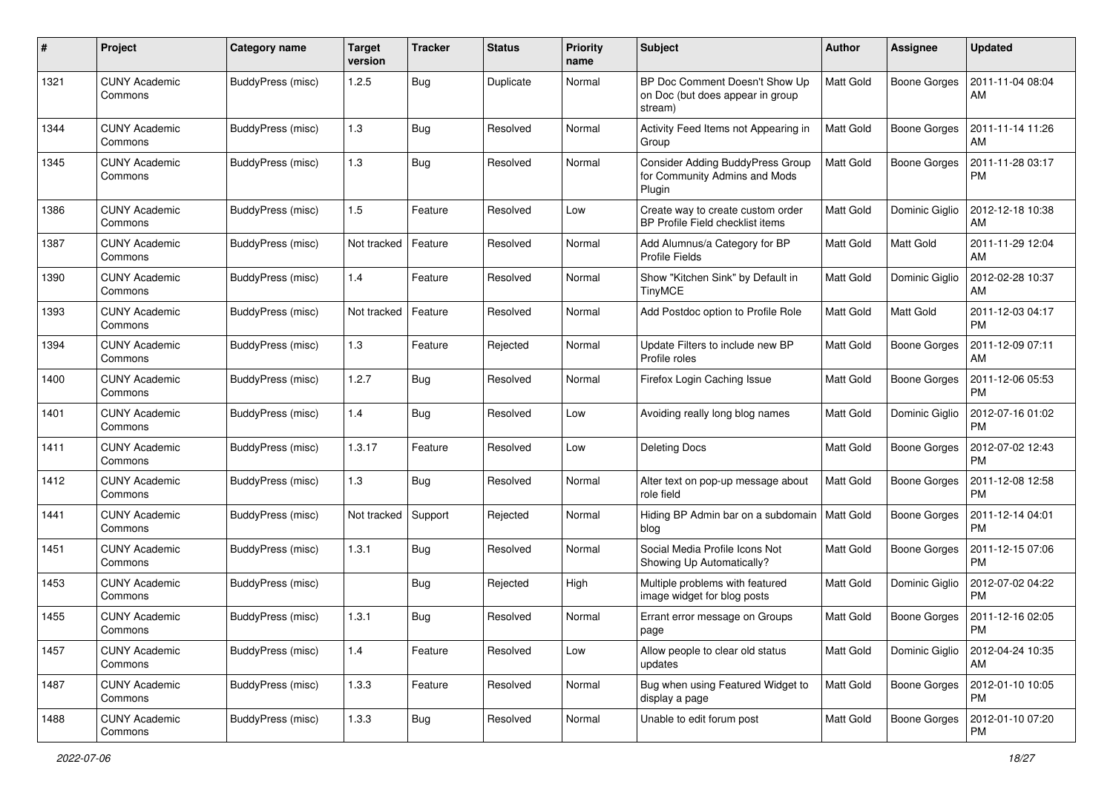| #    | Project                         | Category name     | <b>Target</b><br>version | <b>Tracker</b> | <b>Status</b> | <b>Priority</b><br>name | Subject                                                                            | Author           | Assignee            | <b>Updated</b>                |
|------|---------------------------------|-------------------|--------------------------|----------------|---------------|-------------------------|------------------------------------------------------------------------------------|------------------|---------------------|-------------------------------|
| 1321 | <b>CUNY Academic</b><br>Commons | BuddyPress (misc) | 1.2.5                    | <b>Bug</b>     | Duplicate     | Normal                  | BP Doc Comment Doesn't Show Up<br>on Doc (but does appear in group<br>stream)      | Matt Gold        | <b>Boone Gorges</b> | 2011-11-04 08:04<br>AM        |
| 1344 | <b>CUNY Academic</b><br>Commons | BuddyPress (misc) | 1.3                      | <b>Bug</b>     | Resolved      | Normal                  | Activity Feed Items not Appearing in<br>Group                                      | Matt Gold        | <b>Boone Gorges</b> | 2011-11-14 11:26<br>AM        |
| 1345 | <b>CUNY Academic</b><br>Commons | BuddyPress (misc) | 1.3                      | Bug            | Resolved      | Normal                  | <b>Consider Adding BuddyPress Group</b><br>for Community Admins and Mods<br>Plugin | Matt Gold        | <b>Boone Gorges</b> | 2011-11-28 03:17<br><b>PM</b> |
| 1386 | <b>CUNY Academic</b><br>Commons | BuddyPress (misc) | 1.5                      | Feature        | Resolved      | Low                     | Create way to create custom order<br>BP Profile Field checklist items              | <b>Matt Gold</b> | Dominic Giglio      | 2012-12-18 10:38<br>AM        |
| 1387 | <b>CUNY Academic</b><br>Commons | BuddyPress (misc) | Not tracked              | Feature        | Resolved      | Normal                  | Add Alumnus/a Category for BP<br><b>Profile Fields</b>                             | Matt Gold        | Matt Gold           | 2011-11-29 12:04<br>AM        |
| 1390 | <b>CUNY Academic</b><br>Commons | BuddyPress (misc) | 1.4                      | Feature        | Resolved      | Normal                  | Show "Kitchen Sink" by Default in<br><b>TinyMCE</b>                                | <b>Matt Gold</b> | Dominic Giglio      | 2012-02-28 10:37<br>AM        |
| 1393 | <b>CUNY Academic</b><br>Commons | BuddyPress (misc) | Not tracked              | Feature        | Resolved      | Normal                  | Add Postdoc option to Profile Role                                                 | <b>Matt Gold</b> | Matt Gold           | 2011-12-03 04:17<br><b>PM</b> |
| 1394 | <b>CUNY Academic</b><br>Commons | BuddyPress (misc) | 1.3                      | Feature        | Rejected      | Normal                  | Update Filters to include new BP<br>Profile roles                                  | <b>Matt Gold</b> | <b>Boone Gorges</b> | 2011-12-09 07:11<br>AM        |
| 1400 | <b>CUNY Academic</b><br>Commons | BuddyPress (misc) | 1.2.7                    | Bug            | Resolved      | Normal                  | Firefox Login Caching Issue                                                        | <b>Matt Gold</b> | <b>Boone Gorges</b> | 2011-12-06 05:53<br><b>PM</b> |
| 1401 | <b>CUNY Academic</b><br>Commons | BuddyPress (misc) | 1.4                      | <b>Bug</b>     | Resolved      | Low                     | Avoiding really long blog names                                                    | <b>Matt Gold</b> | Dominic Giglio      | 2012-07-16 01:02<br><b>PM</b> |
| 1411 | <b>CUNY Academic</b><br>Commons | BuddyPress (misc) | 1.3.17                   | Feature        | Resolved      | Low                     | <b>Deleting Docs</b>                                                               | Matt Gold        | <b>Boone Gorges</b> | 2012-07-02 12:43<br><b>PM</b> |
| 1412 | <b>CUNY Academic</b><br>Commons | BuddyPress (misc) | 1.3                      | Bug            | Resolved      | Normal                  | Alter text on pop-up message about<br>role field                                   | Matt Gold        | <b>Boone Gorges</b> | 2011-12-08 12:58<br><b>PM</b> |
| 1441 | <b>CUNY Academic</b><br>Commons | BuddyPress (misc) | Not tracked              | Support        | Rejected      | Normal                  | Hiding BP Admin bar on a subdomain<br>blog                                         | <b>Matt Gold</b> | <b>Boone Gorges</b> | 2011-12-14 04:01<br><b>PM</b> |
| 1451 | <b>CUNY Academic</b><br>Commons | BuddyPress (misc) | 1.3.1                    | Bug            | Resolved      | Normal                  | Social Media Profile Icons Not<br>Showing Up Automatically?                        | Matt Gold        | <b>Boone Gorges</b> | 2011-12-15 07:06<br><b>PM</b> |
| 1453 | <b>CUNY Academic</b><br>Commons | BuddyPress (misc) |                          | Bug            | Rejected      | High                    | Multiple problems with featured<br>image widget for blog posts                     | <b>Matt Gold</b> | Dominic Giglio      | 2012-07-02 04:22<br><b>PM</b> |
| 1455 | <b>CUNY Academic</b><br>Commons | BuddyPress (misc) | 1.3.1                    | Bug            | Resolved      | Normal                  | Errant error message on Groups<br>page                                             | Matt Gold        | Boone Gorges        | 2011-12-16 02:05<br>PM        |
| 1457 | <b>CUNY Academic</b><br>Commons | BuddyPress (misc) | 1.4                      | Feature        | Resolved      | Low                     | Allow people to clear old status<br>updates                                        | Matt Gold        | Dominic Giglio      | 2012-04-24 10:35<br>AM        |
| 1487 | <b>CUNY Academic</b><br>Commons | BuddyPress (misc) | 1.3.3                    | Feature        | Resolved      | Normal                  | Bug when using Featured Widget to<br>display a page                                | Matt Gold        | <b>Boone Gorges</b> | 2012-01-10 10:05<br><b>PM</b> |
| 1488 | <b>CUNY Academic</b><br>Commons | BuddyPress (misc) | 1.3.3                    | <b>Bug</b>     | Resolved      | Normal                  | Unable to edit forum post                                                          | Matt Gold        | <b>Boone Gorges</b> | 2012-01-10 07:20<br><b>PM</b> |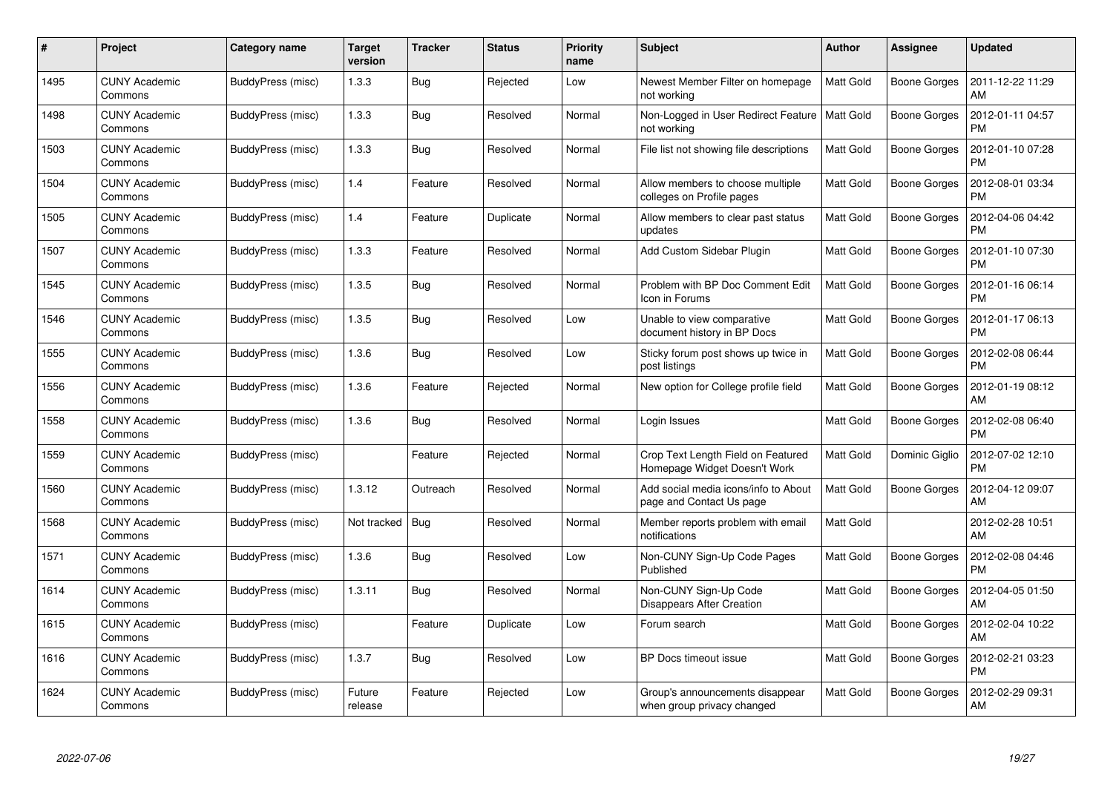| #    | Project                         | <b>Category name</b> | <b>Target</b><br>version | <b>Tracker</b> | <b>Status</b> | <b>Priority</b><br>name | <b>Subject</b>                                                     | <b>Author</b>    | <b>Assignee</b>     | <b>Updated</b>                |
|------|---------------------------------|----------------------|--------------------------|----------------|---------------|-------------------------|--------------------------------------------------------------------|------------------|---------------------|-------------------------------|
| 1495 | <b>CUNY Academic</b><br>Commons | BuddyPress (misc)    | 1.3.3                    | <b>Bug</b>     | Rejected      | Low                     | Newest Member Filter on homepage<br>not working                    | <b>Matt Gold</b> | Boone Gorges        | 2011-12-22 11:29<br>AM        |
| 1498 | <b>CUNY Academic</b><br>Commons | BuddyPress (misc)    | 1.3.3                    | Bug            | Resolved      | Normal                  | Non-Logged in User Redirect Feature<br>not working                 | <b>Matt Gold</b> | Boone Gorges        | 2012-01-11 04:57<br><b>PM</b> |
| 1503 | <b>CUNY Academic</b><br>Commons | BuddyPress (misc)    | 1.3.3                    | <b>Bug</b>     | Resolved      | Normal                  | File list not showing file descriptions                            | <b>Matt Gold</b> | <b>Boone Gorges</b> | 2012-01-10 07:28<br><b>PM</b> |
| 1504 | <b>CUNY Academic</b><br>Commons | BuddyPress (misc)    | 1.4                      | Feature        | Resolved      | Normal                  | Allow members to choose multiple<br>colleges on Profile pages      | <b>Matt Gold</b> | Boone Gorges        | 2012-08-01 03:34<br><b>PM</b> |
| 1505 | <b>CUNY Academic</b><br>Commons | BuddyPress (misc)    | 1.4                      | Feature        | Duplicate     | Normal                  | Allow members to clear past status<br>updates                      | <b>Matt Gold</b> | <b>Boone Gorges</b> | 2012-04-06 04:42<br><b>PM</b> |
| 1507 | <b>CUNY Academic</b><br>Commons | BuddyPress (misc)    | 1.3.3                    | Feature        | Resolved      | Normal                  | Add Custom Sidebar Plugin                                          | <b>Matt Gold</b> | <b>Boone Gorges</b> | 2012-01-10 07:30<br><b>PM</b> |
| 1545 | <b>CUNY Academic</b><br>Commons | BuddyPress (misc)    | 1.3.5                    | Bug            | Resolved      | Normal                  | Problem with BP Doc Comment Edit<br>Icon in Forums                 | <b>Matt Gold</b> | Boone Gorges        | 2012-01-16 06:14<br><b>PM</b> |
| 1546 | <b>CUNY Academic</b><br>Commons | BuddyPress (misc)    | 1.3.5                    | Bug            | Resolved      | Low                     | Unable to view comparative<br>document history in BP Docs          | Matt Gold        | Boone Gorges        | 2012-01-17 06:13<br><b>PM</b> |
| 1555 | <b>CUNY Academic</b><br>Commons | BuddyPress (misc)    | 1.3.6                    | Bug            | Resolved      | Low                     | Sticky forum post shows up twice in<br>post listings               | <b>Matt Gold</b> | Boone Gorges        | 2012-02-08 06:44<br><b>PM</b> |
| 1556 | <b>CUNY Academic</b><br>Commons | BuddyPress (misc)    | 1.3.6                    | Feature        | Rejected      | Normal                  | New option for College profile field                               | <b>Matt Gold</b> | <b>Boone Gorges</b> | 2012-01-19 08:12<br>AM        |
| 1558 | <b>CUNY Academic</b><br>Commons | BuddyPress (misc)    | 1.3.6                    | Bug            | Resolved      | Normal                  | Login Issues                                                       | Matt Gold        | <b>Boone Gorges</b> | 2012-02-08 06:40<br><b>PM</b> |
| 1559 | CUNY Academic<br>Commons        | BuddyPress (misc)    |                          | Feature        | Rejected      | Normal                  | Crop Text Length Field on Featured<br>Homepage Widget Doesn't Work | <b>Matt Gold</b> | Dominic Giglio      | 2012-07-02 12:10<br><b>PM</b> |
| 1560 | <b>CUNY Academic</b><br>Commons | BuddyPress (misc)    | 1.3.12                   | Outreach       | Resolved      | Normal                  | Add social media icons/info to About<br>page and Contact Us page   | Matt Gold        | Boone Gorges        | 2012-04-12 09:07<br>AM        |
| 1568 | <b>CUNY Academic</b><br>Commons | BuddyPress (misc)    | Not tracked              | Bug            | Resolved      | Normal                  | Member reports problem with email<br>notifications                 | Matt Gold        |                     | 2012-02-28 10:51<br>AM        |
| 1571 | <b>CUNY Academic</b><br>Commons | BuddyPress (misc)    | 1.3.6                    | Bug            | Resolved      | Low                     | Non-CUNY Sign-Up Code Pages<br>Published                           | Matt Gold        | <b>Boone Gorges</b> | 2012-02-08 04:46<br><b>PM</b> |
| 1614 | <b>CUNY Academic</b><br>Commons | BuddyPress (misc)    | 1.3.11                   | <b>Bug</b>     | Resolved      | Normal                  | Non-CUNY Sign-Up Code<br>Disappears After Creation                 | Matt Gold        | Boone Gorges        | 2012-04-05 01:50<br>AM        |
| 1615 | <b>CUNY Academic</b><br>Commons | BuddyPress (misc)    |                          | Feature        | Duplicate     | Low                     | Forum search                                                       | <b>Matt Gold</b> | Boone Gorges        | 2012-02-04 10:22<br>AM        |
| 1616 | <b>CUNY Academic</b><br>Commons | BuddyPress (misc)    | 1.3.7                    | Bug            | Resolved      | Low                     | BP Docs timeout issue                                              | <b>Matt Gold</b> | Boone Gorges        | 2012-02-21 03:23<br><b>PM</b> |
| 1624 | <b>CUNY Academic</b><br>Commons | BuddyPress (misc)    | Future<br>release        | Feature        | Rejected      | Low                     | Group's announcements disappear<br>when group privacy changed      | Matt Gold        | <b>Boone Gorges</b> | 2012-02-29 09:31<br>AM        |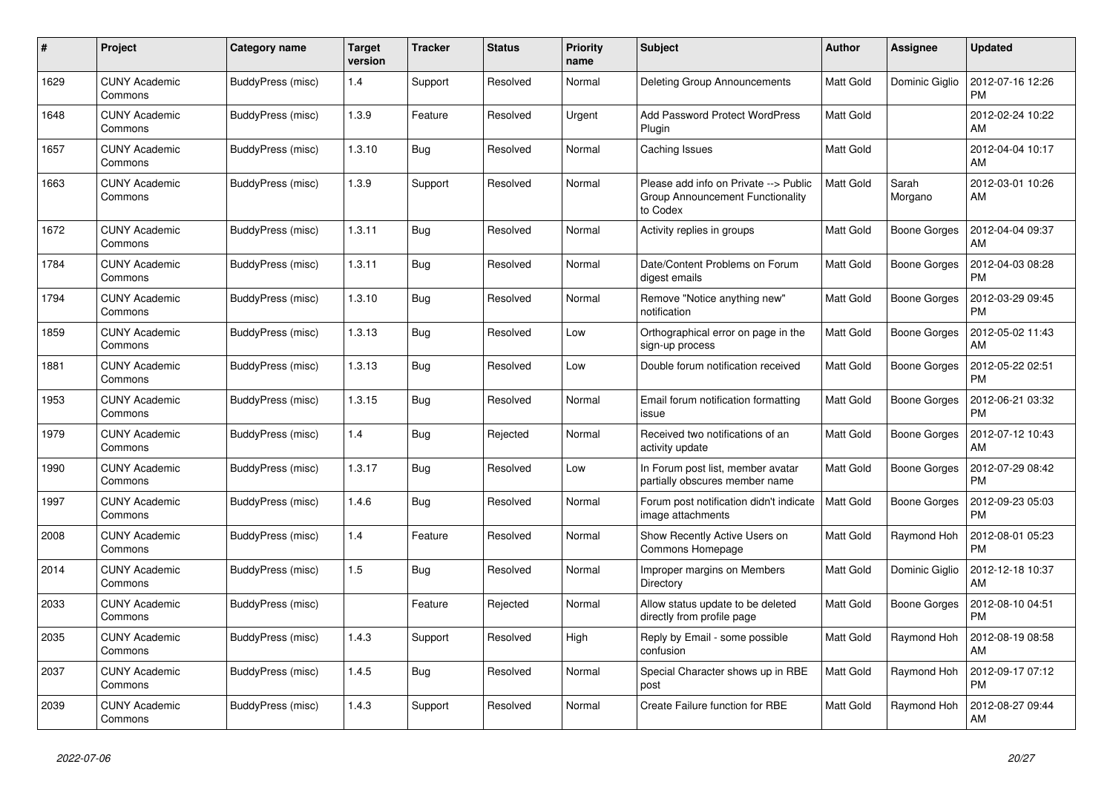| #    | Project                         | Category name     | Target<br>version | <b>Tracker</b> | <b>Status</b> | <b>Priority</b><br>name | <b>Subject</b>                                                                        | <b>Author</b>    | Assignee            | <b>Updated</b>                |
|------|---------------------------------|-------------------|-------------------|----------------|---------------|-------------------------|---------------------------------------------------------------------------------------|------------------|---------------------|-------------------------------|
| 1629 | <b>CUNY Academic</b><br>Commons | BuddyPress (misc) | 1.4               | Support        | Resolved      | Normal                  | Deleting Group Announcements                                                          | <b>Matt Gold</b> | Dominic Giglio      | 2012-07-16 12:26<br><b>PM</b> |
| 1648 | <b>CUNY Academic</b><br>Commons | BuddyPress (misc) | 1.3.9             | Feature        | Resolved      | Urgent                  | <b>Add Password Protect WordPress</b><br>Plugin                                       | <b>Matt Gold</b> |                     | 2012-02-24 10:22<br>AM        |
| 1657 | <b>CUNY Academic</b><br>Commons | BuddyPress (misc) | 1.3.10            | <b>Bug</b>     | Resolved      | Normal                  | Caching Issues                                                                        | Matt Gold        |                     | 2012-04-04 10:17<br>AM        |
| 1663 | <b>CUNY Academic</b><br>Commons | BuddyPress (misc) | 1.3.9             | Support        | Resolved      | Normal                  | Please add info on Private --> Public<br>Group Announcement Functionality<br>to Codex | Matt Gold        | Sarah<br>Morgano    | 2012-03-01 10:26<br>AM        |
| 1672 | <b>CUNY Academic</b><br>Commons | BuddyPress (misc) | 1.3.11            | <b>Bug</b>     | Resolved      | Normal                  | Activity replies in groups                                                            | <b>Matt Gold</b> | <b>Boone Gorges</b> | 2012-04-04 09:37<br>AM        |
| 1784 | <b>CUNY Academic</b><br>Commons | BuddyPress (misc) | 1.3.11            | Bug            | Resolved      | Normal                  | Date/Content Problems on Forum<br>digest emails                                       | <b>Matt Gold</b> | Boone Gorges        | 2012-04-03 08:28<br><b>PM</b> |
| 1794 | <b>CUNY Academic</b><br>Commons | BuddyPress (misc) | 1.3.10            | <b>Bug</b>     | Resolved      | Normal                  | Remove "Notice anything new"<br>notification                                          | Matt Gold        | <b>Boone Gorges</b> | 2012-03-29 09:45<br><b>PM</b> |
| 1859 | <b>CUNY Academic</b><br>Commons | BuddyPress (misc) | 1.3.13            | Bug            | Resolved      | Low                     | Orthographical error on page in the<br>sign-up process                                | Matt Gold        | Boone Gorges        | 2012-05-02 11:43<br>AM        |
| 1881 | <b>CUNY Academic</b><br>Commons | BuddyPress (misc) | 1.3.13            | <b>Bug</b>     | Resolved      | Low                     | Double forum notification received                                                    | Matt Gold        | Boone Gorges        | 2012-05-22 02:51<br><b>PM</b> |
| 1953 | <b>CUNY Academic</b><br>Commons | BuddyPress (misc) | 1.3.15            | Bug            | Resolved      | Normal                  | Email forum notification formatting<br>issue                                          | <b>Matt Gold</b> | Boone Gorges        | 2012-06-21 03:32<br><b>PM</b> |
| 1979 | <b>CUNY Academic</b><br>Commons | BuddyPress (misc) | 1.4               | Bug            | Rejected      | Normal                  | Received two notifications of an<br>activity update                                   | <b>Matt Gold</b> | Boone Gorges        | 2012-07-12 10:43<br>AM        |
| 1990 | <b>CUNY Academic</b><br>Commons | BuddyPress (misc) | 1.3.17            | Bug            | Resolved      | Low                     | In Forum post list, member avatar<br>partially obscures member name                   | Matt Gold        | Boone Gorges        | 2012-07-29 08:42<br><b>PM</b> |
| 1997 | <b>CUNY Academic</b><br>Commons | BuddyPress (misc) | 1.4.6             | Bug            | Resolved      | Normal                  | Forum post notification didn't indicate<br>image attachments                          | <b>Matt Gold</b> | <b>Boone Gorges</b> | 2012-09-23 05:03<br><b>PM</b> |
| 2008 | <b>CUNY Academic</b><br>Commons | BuddyPress (misc) | 1.4               | Feature        | Resolved      | Normal                  | Show Recently Active Users on<br>Commons Homepage                                     | <b>Matt Gold</b> | Raymond Hoh         | 2012-08-01 05:23<br><b>PM</b> |
| 2014 | <b>CUNY Academic</b><br>Commons | BuddyPress (misc) | 1.5               | <b>Bug</b>     | Resolved      | Normal                  | Improper margins on Members<br>Directory                                              | <b>Matt Gold</b> | Dominic Giglio      | 2012-12-18 10:37<br>AM        |
| 2033 | <b>CUNY Academic</b><br>Commons | BuddyPress (misc) |                   | Feature        | Rejected      | Normal                  | Allow status update to be deleted<br>directly from profile page                       | <b>Matt Gold</b> | Boone Gorges        | 2012-08-10 04:51<br><b>PM</b> |
| 2035 | <b>CUNY Academic</b><br>Commons | BuddyPress (misc) | 1.4.3             | Support        | Resolved      | High                    | Reply by Email - some possible<br>confusion                                           | Matt Gold        | Raymond Hoh         | 2012-08-19 08:58<br>AM        |
| 2037 | <b>CUNY Academic</b><br>Commons | BuddyPress (misc) | 1.4.5             | Bug            | Resolved      | Normal                  | Special Character shows up in RBE<br>post                                             | Matt Gold        | Raymond Hoh         | 2012-09-17 07:12<br><b>PM</b> |
| 2039 | <b>CUNY Academic</b><br>Commons | BuddyPress (misc) | 1.4.3             | Support        | Resolved      | Normal                  | Create Failure function for RBE                                                       | Matt Gold        | Raymond Hoh         | 2012-08-27 09:44<br>AM        |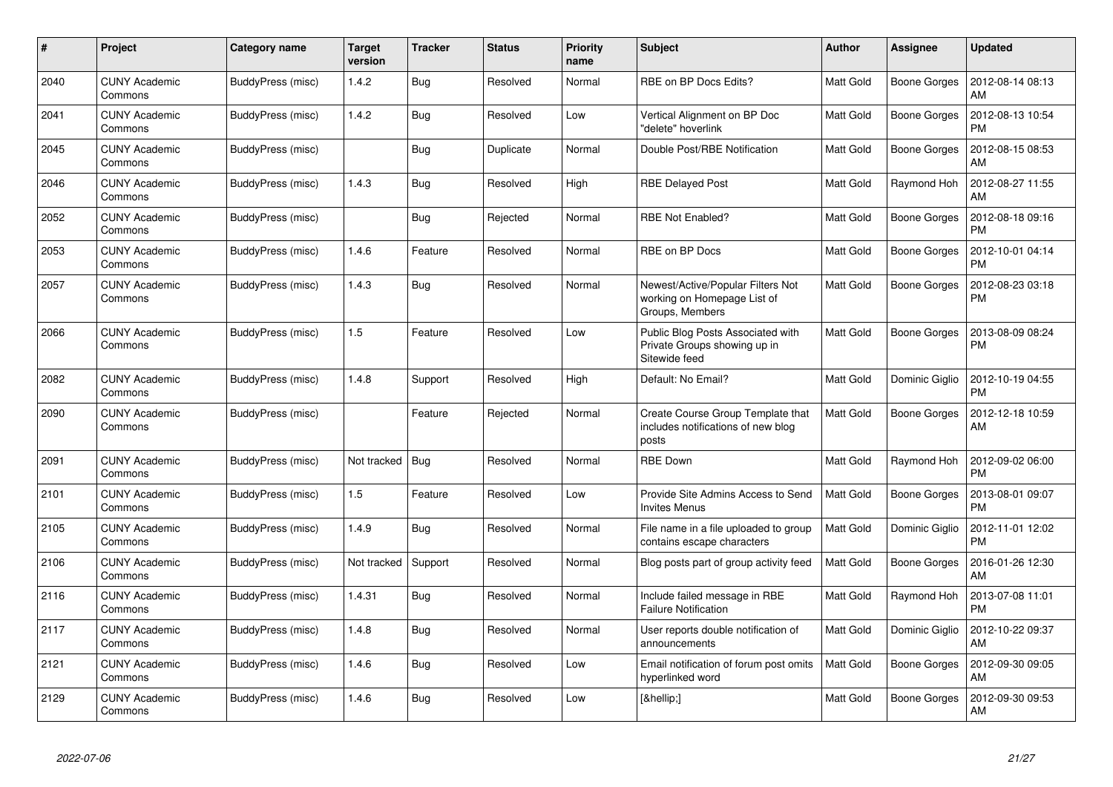| #    | Project                         | <b>Category name</b> | <b>Target</b><br>version | <b>Tracker</b> | <b>Status</b> | <b>Priority</b><br>name | <b>Subject</b>                                                                      | <b>Author</b>    | Assignee            | <b>Updated</b>                |
|------|---------------------------------|----------------------|--------------------------|----------------|---------------|-------------------------|-------------------------------------------------------------------------------------|------------------|---------------------|-------------------------------|
| 2040 | <b>CUNY Academic</b><br>Commons | BuddyPress (misc)    | 1.4.2                    | <b>Bug</b>     | Resolved      | Normal                  | RBE on BP Docs Edits?                                                               | <b>Matt Gold</b> | <b>Boone Gorges</b> | 2012-08-14 08:13<br>AM        |
| 2041 | <b>CUNY Academic</b><br>Commons | BuddyPress (misc)    | 1.4.2                    | Bug            | Resolved      | Low                     | Vertical Alignment on BP Doc<br>"delete" hoverlink                                  | <b>Matt Gold</b> | <b>Boone Gorges</b> | 2012-08-13 10:54<br><b>PM</b> |
| 2045 | <b>CUNY Academic</b><br>Commons | BuddyPress (misc)    |                          | <b>Bug</b>     | Duplicate     | Normal                  | Double Post/RBE Notification                                                        | <b>Matt Gold</b> | Boone Gorges        | 2012-08-15 08:53<br>AM        |
| 2046 | <b>CUNY Academic</b><br>Commons | BuddyPress (misc)    | 1.4.3                    | Bug            | Resolved      | High                    | <b>RBE Delayed Post</b>                                                             | Matt Gold        | Raymond Hoh         | 2012-08-27 11:55<br>AM        |
| 2052 | <b>CUNY Academic</b><br>Commons | BuddyPress (misc)    |                          | Bug            | Rejected      | Normal                  | <b>RBE Not Enabled?</b>                                                             | <b>Matt Gold</b> | Boone Gorges        | 2012-08-18 09:16<br><b>PM</b> |
| 2053 | <b>CUNY Academic</b><br>Commons | BuddyPress (misc)    | 1.4.6                    | Feature        | Resolved      | Normal                  | RBE on BP Docs                                                                      | Matt Gold        | <b>Boone Gorges</b> | 2012-10-01 04:14<br><b>PM</b> |
| 2057 | <b>CUNY Academic</b><br>Commons | BuddyPress (misc)    | 1.4.3                    | <b>Bug</b>     | Resolved      | Normal                  | Newest/Active/Popular Filters Not<br>working on Homepage List of<br>Groups, Members | <b>Matt Gold</b> | Boone Gorges        | 2012-08-23 03:18<br><b>PM</b> |
| 2066 | <b>CUNY Academic</b><br>Commons | BuddyPress (misc)    | 1.5                      | Feature        | Resolved      | Low                     | Public Blog Posts Associated with<br>Private Groups showing up in<br>Sitewide feed  | <b>Matt Gold</b> | <b>Boone Gorges</b> | 2013-08-09 08:24<br><b>PM</b> |
| 2082 | <b>CUNY Academic</b><br>Commons | BuddyPress (misc)    | 1.4.8                    | Support        | Resolved      | High                    | Default: No Email?                                                                  | <b>Matt Gold</b> | Dominic Giglio      | 2012-10-19 04:55<br><b>PM</b> |
| 2090 | <b>CUNY Academic</b><br>Commons | BuddyPress (misc)    |                          | Feature        | Rejected      | Normal                  | Create Course Group Template that<br>includes notifications of new blog<br>posts    | <b>Matt Gold</b> | Boone Gorges        | 2012-12-18 10:59<br>AM        |
| 2091 | <b>CUNY Academic</b><br>Commons | BuddyPress (misc)    | Not tracked              | Bug            | Resolved      | Normal                  | <b>RBE Down</b>                                                                     | Matt Gold        | Raymond Hoh         | 2012-09-02 06:00<br><b>PM</b> |
| 2101 | <b>CUNY Academic</b><br>Commons | BuddyPress (misc)    | 1.5                      | Feature        | Resolved      | Low                     | Provide Site Admins Access to Send<br><b>Invites Menus</b>                          | <b>Matt Gold</b> | Boone Gorges        | 2013-08-01 09:07<br><b>PM</b> |
| 2105 | <b>CUNY Academic</b><br>Commons | BuddyPress (misc)    | 1.4.9                    | <b>Bug</b>     | Resolved      | Normal                  | File name in a file uploaded to group<br>contains escape characters                 | Matt Gold        | Dominic Giglio      | 2012-11-01 12:02<br><b>PM</b> |
| 2106 | <b>CUNY Academic</b><br>Commons | BuddyPress (misc)    | Not tracked              | Support        | Resolved      | Normal                  | Blog posts part of group activity feed                                              | <b>Matt Gold</b> | <b>Boone Gorges</b> | 2016-01-26 12:30<br>AM        |
| 2116 | <b>CUNY Academic</b><br>Commons | BuddyPress (misc)    | 1.4.31                   | <b>Bug</b>     | Resolved      | Normal                  | Include failed message in RBE<br><b>Failure Notification</b>                        | <b>Matt Gold</b> | Raymond Hoh         | 2013-07-08 11:01<br><b>PM</b> |
| 2117 | <b>CUNY Academic</b><br>Commons | BuddyPress (misc)    | 1.4.8                    | Bug            | Resolved      | Normal                  | User reports double notification of<br>announcements                                | <b>Matt Gold</b> | Dominic Giglio      | 2012-10-22 09:37<br>AM        |
| 2121 | <b>CUNY Academic</b><br>Commons | BuddyPress (misc)    | 1.4.6                    | <b>Bug</b>     | Resolved      | Low                     | Email notification of forum post omits<br>hyperlinked word                          | Matt Gold        | Boone Gorges        | 2012-09-30 09:05<br>AM        |
| 2129 | <b>CUNY Academic</b><br>Commons | BuddyPress (misc)    | 1.4.6                    | <b>Bug</b>     | Resolved      | Low                     | […]                                                                                 | Matt Gold        | <b>Boone Gorges</b> | 2012-09-30 09:53<br>AM        |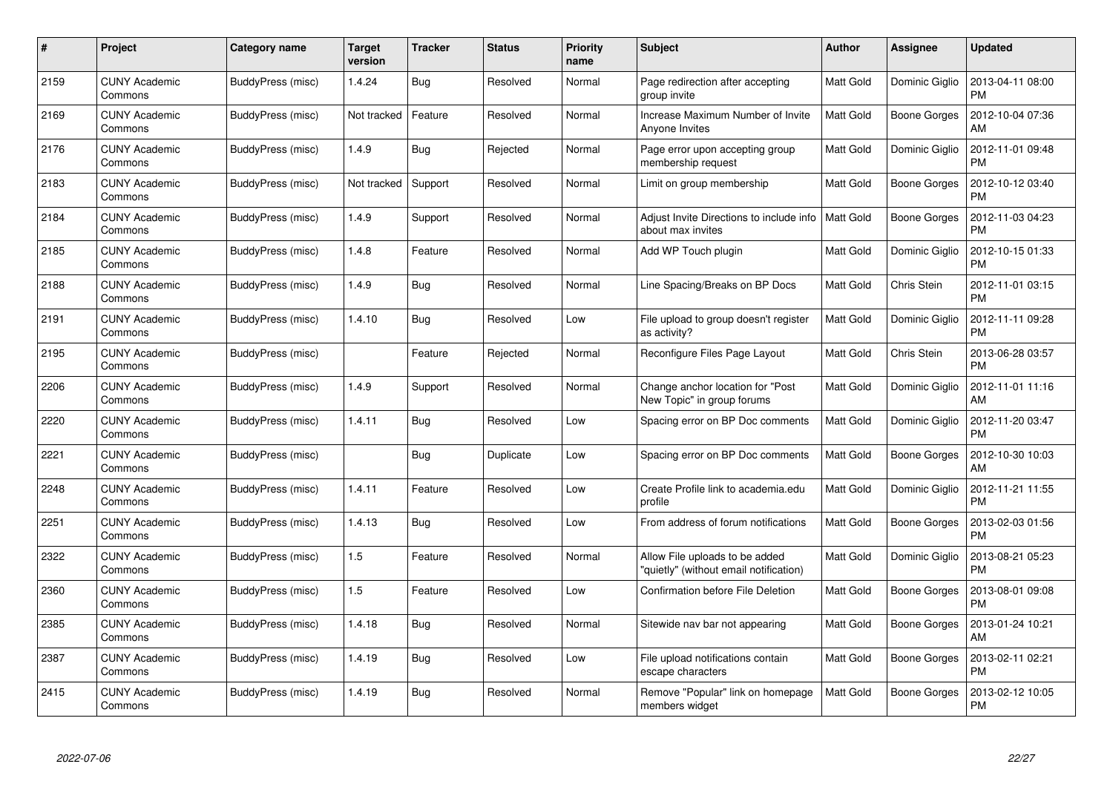| #    | Project                         | Category name     | <b>Target</b><br>version | <b>Tracker</b> | <b>Status</b> | <b>Priority</b><br>name | <b>Subject</b>                                                           | <b>Author</b>    | <b>Assignee</b>     | <b>Updated</b>                |
|------|---------------------------------|-------------------|--------------------------|----------------|---------------|-------------------------|--------------------------------------------------------------------------|------------------|---------------------|-------------------------------|
| 2159 | <b>CUNY Academic</b><br>Commons | BuddyPress (misc) | 1.4.24                   | <b>Bug</b>     | Resolved      | Normal                  | Page redirection after accepting<br>group invite                         | Matt Gold        | Dominic Giglio      | 2013-04-11 08:00<br><b>PM</b> |
| 2169 | <b>CUNY Academic</b><br>Commons | BuddyPress (misc) | Not tracked              | Feature        | Resolved      | Normal                  | Increase Maximum Number of Invite<br>Anyone Invites                      | Matt Gold        | Boone Gorges        | 2012-10-04 07:36<br>AM        |
| 2176 | <b>CUNY Academic</b><br>Commons | BuddyPress (misc) | 1.4.9                    | <b>Bug</b>     | Rejected      | Normal                  | Page error upon accepting group<br>membership request                    | Matt Gold        | Dominic Giglio      | 2012-11-01 09:48<br><b>PM</b> |
| 2183 | <b>CUNY Academic</b><br>Commons | BuddyPress (misc) | Not tracked              | Support        | Resolved      | Normal                  | Limit on group membership                                                | <b>Matt Gold</b> | Boone Gorges        | 2012-10-12 03:40<br><b>PM</b> |
| 2184 | <b>CUNY Academic</b><br>Commons | BuddyPress (misc) | 1.4.9                    | Support        | Resolved      | Normal                  | Adjust Invite Directions to include info<br>about max invites            | <b>Matt Gold</b> | <b>Boone Gorges</b> | 2012-11-03 04:23<br><b>PM</b> |
| 2185 | <b>CUNY Academic</b><br>Commons | BuddyPress (misc) | 1.4.8                    | Feature        | Resolved      | Normal                  | Add WP Touch plugin                                                      | <b>Matt Gold</b> | Dominic Giglio      | 2012-10-15 01:33<br><b>PM</b> |
| 2188 | <b>CUNY Academic</b><br>Commons | BuddyPress (misc) | 1.4.9                    | Bug            | Resolved      | Normal                  | Line Spacing/Breaks on BP Docs                                           | <b>Matt Gold</b> | Chris Stein         | 2012-11-01 03:15<br><b>PM</b> |
| 2191 | <b>CUNY Academic</b><br>Commons | BuddyPress (misc) | 1.4.10                   | <b>Bug</b>     | Resolved      | Low                     | File upload to group doesn't register<br>as activity?                    | Matt Gold        | Dominic Giglio      | 2012-11-11 09:28<br><b>PM</b> |
| 2195 | <b>CUNY Academic</b><br>Commons | BuddyPress (misc) |                          | Feature        | Rejected      | Normal                  | Reconfigure Files Page Layout                                            | <b>Matt Gold</b> | Chris Stein         | 2013-06-28 03:57<br><b>PM</b> |
| 2206 | <b>CUNY Academic</b><br>Commons | BuddyPress (misc) | 1.4.9                    | Support        | Resolved      | Normal                  | Change anchor location for "Post"<br>New Topic" in group forums          | <b>Matt Gold</b> | Dominic Giglio      | 2012-11-01 11:16<br>AM        |
| 2220 | <b>CUNY Academic</b><br>Commons | BuddyPress (misc) | 1.4.11                   | Bug            | Resolved      | Low                     | Spacing error on BP Doc comments                                         | Matt Gold        | Dominic Giglio      | 2012-11-20 03:47<br><b>PM</b> |
| 2221 | <b>CUNY Academic</b><br>Commons | BuddyPress (misc) |                          | Bug            | Duplicate     | Low                     | Spacing error on BP Doc comments                                         | <b>Matt Gold</b> | Boone Gorges        | 2012-10-30 10:03<br>AM        |
| 2248 | <b>CUNY Academic</b><br>Commons | BuddyPress (misc) | 1.4.11                   | Feature        | Resolved      | Low                     | Create Profile link to academia.edu<br>profile                           | <b>Matt Gold</b> | Dominic Giglio      | 2012-11-21 11:55<br><b>PM</b> |
| 2251 | <b>CUNY Academic</b><br>Commons | BuddyPress (misc) | 1.4.13                   | Bug            | Resolved      | Low                     | From address of forum notifications                                      | <b>Matt Gold</b> | <b>Boone Gorges</b> | 2013-02-03 01:56<br>PM        |
| 2322 | <b>CUNY Academic</b><br>Commons | BuddyPress (misc) | 1.5                      | Feature        | Resolved      | Normal                  | Allow File uploads to be added<br>"quietly" (without email notification) | <b>Matt Gold</b> | Dominic Giglio      | 2013-08-21 05:23<br><b>PM</b> |
| 2360 | <b>CUNY Academic</b><br>Commons | BuddyPress (misc) | 1.5                      | Feature        | Resolved      | Low                     | Confirmation before File Deletion                                        | Matt Gold        | Boone Gorges        | 2013-08-01 09:08<br><b>PM</b> |
| 2385 | <b>CUNY Academic</b><br>Commons | BuddyPress (misc) | 1.4.18                   | Bug            | Resolved      | Normal                  | Sitewide nav bar not appearing                                           | <b>Matt Gold</b> | Boone Gorges        | 2013-01-24 10:21<br>AM        |
| 2387 | <b>CUNY Academic</b><br>Commons | BuddyPress (misc) | 1.4.19                   | <b>Bug</b>     | Resolved      | Low                     | File upload notifications contain<br>escape characters                   | <b>Matt Gold</b> | Boone Gorges        | 2013-02-11 02:21<br><b>PM</b> |
| 2415 | CUNY Academic<br>Commons        | BuddyPress (misc) | 1.4.19                   | Bug            | Resolved      | Normal                  | Remove "Popular" link on homepage<br>members widget                      | <b>Matt Gold</b> | Boone Gorges        | 2013-02-12 10:05<br>PM        |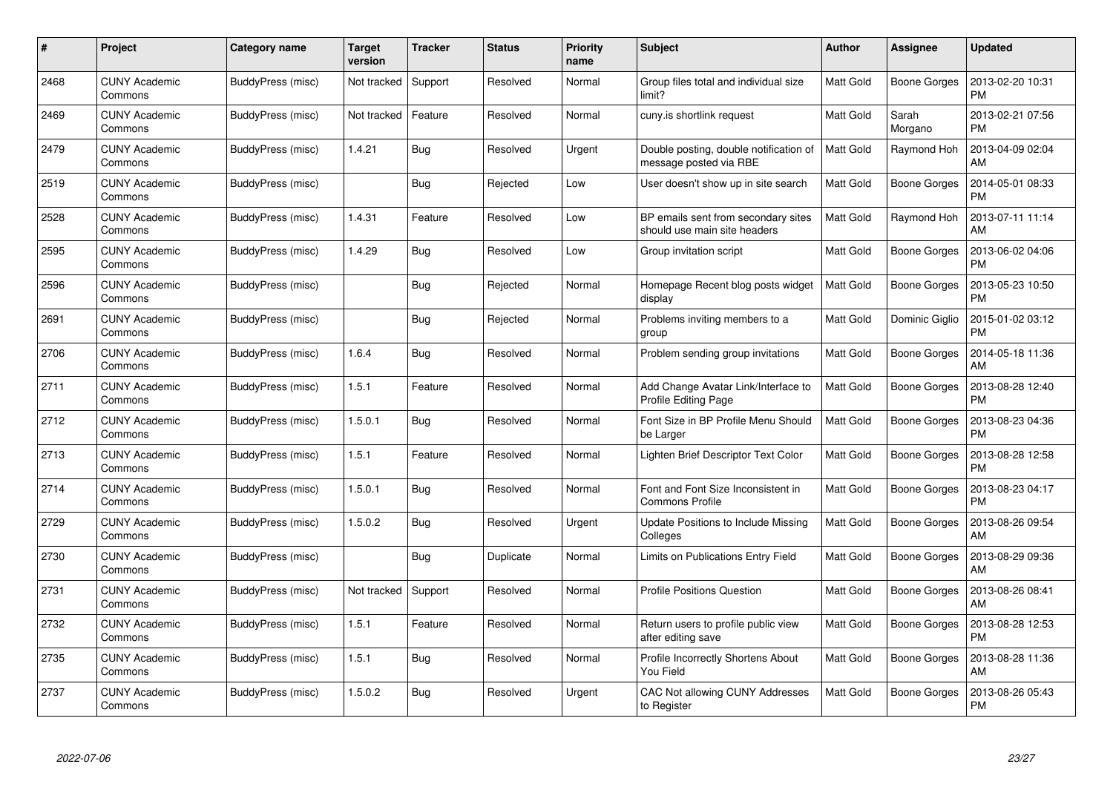| #    | Project                         | <b>Category name</b> | <b>Target</b><br>version | <b>Tracker</b> | <b>Status</b> | <b>Priority</b><br>name | <b>Subject</b>                                                      | <b>Author</b>    | <b>Assignee</b>     | <b>Updated</b>                |
|------|---------------------------------|----------------------|--------------------------|----------------|---------------|-------------------------|---------------------------------------------------------------------|------------------|---------------------|-------------------------------|
| 2468 | <b>CUNY Academic</b><br>Commons | BuddyPress (misc)    | Not tracked              | Support        | Resolved      | Normal                  | Group files total and individual size<br>limit?                     | <b>Matt Gold</b> | <b>Boone Gorges</b> | 2013-02-20 10:31<br><b>PM</b> |
| 2469 | <b>CUNY Academic</b><br>Commons | BuddyPress (misc)    | Not tracked              | Feature        | Resolved      | Normal                  | cuny.is shortlink request                                           | Matt Gold        | Sarah<br>Morgano    | 2013-02-21 07:56<br><b>PM</b> |
| 2479 | <b>CUNY Academic</b><br>Commons | BuddyPress (misc)    | 1.4.21                   | <b>Bug</b>     | Resolved      | Urgent                  | Double posting, double notification of<br>message posted via RBE    | <b>Matt Gold</b> | Raymond Hoh         | 2013-04-09 02:04<br>AM        |
| 2519 | <b>CUNY Academic</b><br>Commons | BuddyPress (misc)    |                          | Bug            | Rejected      | Low                     | User doesn't show up in site search                                 | <b>Matt Gold</b> | Boone Gorges        | 2014-05-01 08:33<br><b>PM</b> |
| 2528 | <b>CUNY Academic</b><br>Commons | BuddyPress (misc)    | 1.4.31                   | Feature        | Resolved      | Low                     | BP emails sent from secondary sites<br>should use main site headers | <b>Matt Gold</b> | Raymond Hoh         | 2013-07-11 11:14<br>AM        |
| 2595 | <b>CUNY Academic</b><br>Commons | BuddyPress (misc)    | 1.4.29                   | Bug            | Resolved      | Low                     | Group invitation script                                             | Matt Gold        | Boone Gorges        | 2013-06-02 04:06<br><b>PM</b> |
| 2596 | <b>CUNY Academic</b><br>Commons | BuddyPress (misc)    |                          | Bug            | Rejected      | Normal                  | Homepage Recent blog posts widget<br>display                        | Matt Gold        | <b>Boone Gorges</b> | 2013-05-23 10:50<br><b>PM</b> |
| 2691 | <b>CUNY Academic</b><br>Commons | BuddyPress (misc)    |                          | Bug            | Rejected      | Normal                  | Problems inviting members to a<br>group                             | <b>Matt Gold</b> | Dominic Giglio      | 2015-01-02 03:12<br><b>PM</b> |
| 2706 | <b>CUNY Academic</b><br>Commons | BuddyPress (misc)    | 1.6.4                    | Bug            | Resolved      | Normal                  | Problem sending group invitations                                   | <b>Matt Gold</b> | <b>Boone Gorges</b> | 2014-05-18 11:36<br>AM        |
| 2711 | <b>CUNY Academic</b><br>Commons | BuddyPress (misc)    | 1.5.1                    | Feature        | Resolved      | Normal                  | Add Change Avatar Link/Interface to<br><b>Profile Editing Page</b>  | <b>Matt Gold</b> | <b>Boone Gorges</b> | 2013-08-28 12:40<br><b>PM</b> |
| 2712 | <b>CUNY Academic</b><br>Commons | BuddyPress (misc)    | 1.5.0.1                  | Bug            | Resolved      | Normal                  | Font Size in BP Profile Menu Should<br>be Larger                    | Matt Gold        | Boone Gorges        | 2013-08-23 04:36<br><b>PM</b> |
| 2713 | <b>CUNY Academic</b><br>Commons | BuddyPress (misc)    | 1.5.1                    | Feature        | Resolved      | Normal                  | Lighten Brief Descriptor Text Color                                 | Matt Gold        | Boone Gorges        | 2013-08-28 12:58<br><b>PM</b> |
| 2714 | <b>CUNY Academic</b><br>Commons | BuddyPress (misc)    | 1.5.0.1                  | <b>Bug</b>     | Resolved      | Normal                  | Font and Font Size Inconsistent in<br><b>Commons Profile</b>        | <b>Matt Gold</b> | Boone Gorges        | 2013-08-23 04:17<br><b>PM</b> |
| 2729 | <b>CUNY Academic</b><br>Commons | BuddyPress (misc)    | 1.5.0.2                  | Bug            | Resolved      | Urgent                  | Update Positions to Include Missing<br>Colleges                     | <b>Matt Gold</b> | Boone Gorges        | 2013-08-26 09:54<br>AM        |
| 2730 | <b>CUNY Academic</b><br>Commons | BuddyPress (misc)    |                          | <b>Bug</b>     | Duplicate     | Normal                  | Limits on Publications Entry Field                                  | Matt Gold        | Boone Gorges        | 2013-08-29 09:36<br>AM        |
| 2731 | <b>CUNY Academic</b><br>Commons | BuddyPress (misc)    | Not tracked              | Support        | Resolved      | Normal                  | <b>Profile Positions Question</b>                                   | Matt Gold        | Boone Gorges        | 2013-08-26 08:41<br>AM        |
| 2732 | <b>CUNY Academic</b><br>Commons | BuddyPress (misc)    | 1.5.1                    | Feature        | Resolved      | Normal                  | Return users to profile public view<br>after editing save           | <b>Matt Gold</b> | Boone Gorges        | 2013-08-28 12:53<br><b>PM</b> |
| 2735 | <b>CUNY Academic</b><br>Commons | BuddyPress (misc)    | 1.5.1                    | Bug            | Resolved      | Normal                  | Profile Incorrectly Shortens About<br>You Field                     | Matt Gold        | Boone Gorges        | 2013-08-28 11:36<br>AM        |
| 2737 | CUNY Academic<br>Commons        | BuddyPress (misc)    | 1.5.0.2                  | <b>Bug</b>     | Resolved      | Urgent                  | CAC Not allowing CUNY Addresses<br>to Register                      | <b>Matt Gold</b> | Boone Gorges        | 2013-08-26 05:43<br>PM        |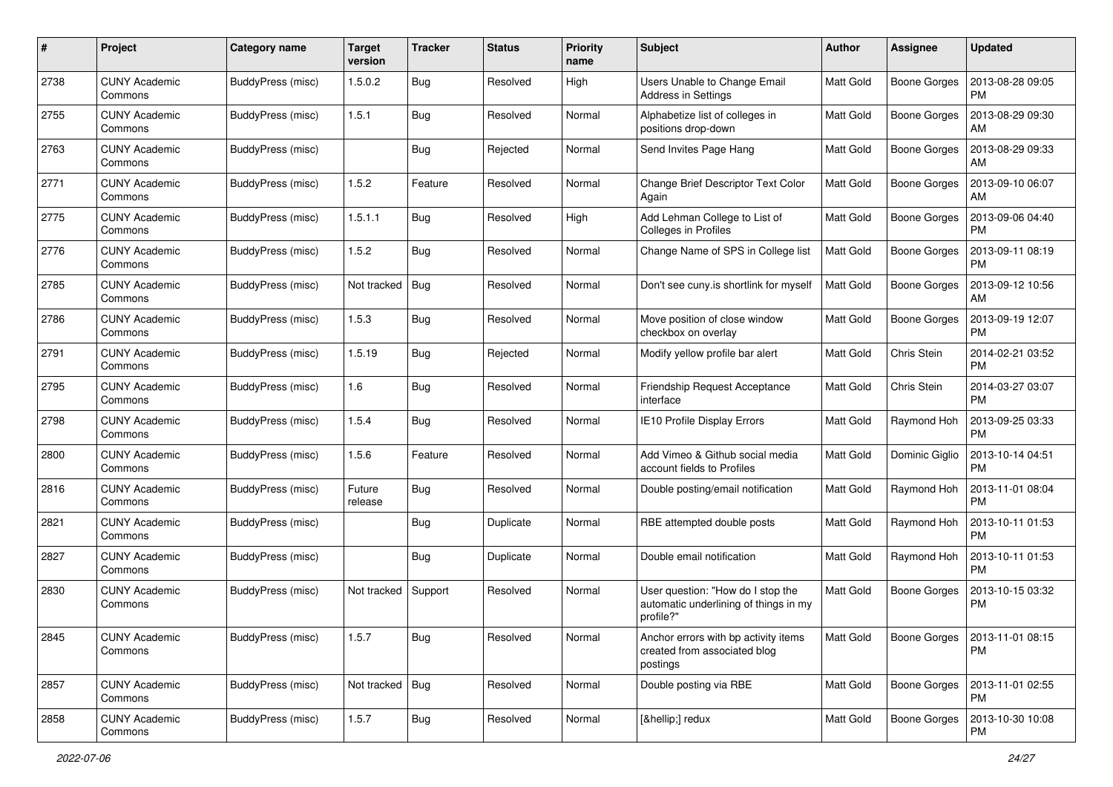| #    | Project                         | Category name            | <b>Target</b><br>version | <b>Tracker</b> | <b>Status</b> | <b>Priority</b><br>name | Subject                                                                                 | Author           | Assignee            | <b>Updated</b>                |
|------|---------------------------------|--------------------------|--------------------------|----------------|---------------|-------------------------|-----------------------------------------------------------------------------------------|------------------|---------------------|-------------------------------|
| 2738 | <b>CUNY Academic</b><br>Commons | BuddyPress (misc)        | 1.5.0.2                  | Bug            | Resolved      | High                    | Users Unable to Change Email<br><b>Address in Settings</b>                              | <b>Matt Gold</b> | <b>Boone Gorges</b> | 2013-08-28 09:05<br>PM        |
| 2755 | <b>CUNY Academic</b><br>Commons | BuddyPress (misc)        | 1.5.1                    | Bug            | Resolved      | Normal                  | Alphabetize list of colleges in<br>positions drop-down                                  | <b>Matt Gold</b> | <b>Boone Gorges</b> | 2013-08-29 09:30<br>AM        |
| 2763 | <b>CUNY Academic</b><br>Commons | BuddyPress (misc)        |                          | <b>Bug</b>     | Rejected      | Normal                  | Send Invites Page Hang                                                                  | <b>Matt Gold</b> | <b>Boone Gorges</b> | 2013-08-29 09:33<br>АM        |
| 2771 | <b>CUNY Academic</b><br>Commons | BuddyPress (misc)        | 1.5.2                    | Feature        | Resolved      | Normal                  | Change Brief Descriptor Text Color<br>Again                                             | Matt Gold        | <b>Boone Gorges</b> | 2013-09-10 06:07<br>AM        |
| 2775 | <b>CUNY Academic</b><br>Commons | BuddyPress (misc)        | 1.5.1.1                  | <b>Bug</b>     | Resolved      | High                    | Add Lehman College to List of<br>Colleges in Profiles                                   | <b>Matt Gold</b> | <b>Boone Gorges</b> | 2013-09-06 04:40<br><b>PM</b> |
| 2776 | <b>CUNY Academic</b><br>Commons | BuddyPress (misc)        | 1.5.2                    | Bug            | Resolved      | Normal                  | Change Name of SPS in College list                                                      | <b>Matt Gold</b> | Boone Gorges        | 2013-09-11 08:19<br><b>PM</b> |
| 2785 | <b>CUNY Academic</b><br>Commons | BuddyPress (misc)        | Not tracked              | Bug            | Resolved      | Normal                  | Don't see cuny is shortlink for myself                                                  | <b>Matt Gold</b> | <b>Boone Gorges</b> | 2013-09-12 10:56<br>AM        |
| 2786 | <b>CUNY Academic</b><br>Commons | BuddyPress (misc)        | 1.5.3                    | <b>Bug</b>     | Resolved      | Normal                  | Move position of close window<br>checkbox on overlay                                    | <b>Matt Gold</b> | <b>Boone Gorges</b> | 2013-09-19 12:07<br>PM        |
| 2791 | <b>CUNY Academic</b><br>Commons | BuddyPress (misc)        | 1.5.19                   | <b>Bug</b>     | Rejected      | Normal                  | Modify yellow profile bar alert                                                         | <b>Matt Gold</b> | Chris Stein         | 2014-02-21 03:52<br><b>PM</b> |
| 2795 | <b>CUNY Academic</b><br>Commons | BuddyPress (misc)        | 1.6                      | <b>Bug</b>     | Resolved      | Normal                  | Friendship Request Acceptance<br>interface                                              | <b>Matt Gold</b> | Chris Stein         | 2014-03-27 03:07<br><b>PM</b> |
| 2798 | <b>CUNY Academic</b><br>Commons | BuddyPress (misc)        | 1.5.4                    | Bug            | Resolved      | Normal                  | IE10 Profile Display Errors                                                             | <b>Matt Gold</b> | Raymond Hoh         | 2013-09-25 03:33<br><b>PM</b> |
| 2800 | <b>CUNY Academic</b><br>Commons | BuddyPress (misc)        | 1.5.6                    | Feature        | Resolved      | Normal                  | Add Vimeo & Github social media<br>account fields to Profiles                           | Matt Gold        | Dominic Giglio      | 2013-10-14 04:51<br><b>PM</b> |
| 2816 | <b>CUNY Academic</b><br>Commons | BuddyPress (misc)        | Future<br>release        | Bug            | Resolved      | Normal                  | Double posting/email notification                                                       | <b>Matt Gold</b> | Raymond Hoh         | 2013-11-01 08:04<br><b>PM</b> |
| 2821 | <b>CUNY Academic</b><br>Commons | BuddyPress (misc)        |                          | Bug            | Duplicate     | Normal                  | RBE attempted double posts                                                              | Matt Gold        | Raymond Hoh         | 2013-10-11 01:53<br><b>PM</b> |
| 2827 | <b>CUNY Academic</b><br>Commons | BuddyPress (misc)        |                          | Bug            | Duplicate     | Normal                  | Double email notification                                                               | <b>Matt Gold</b> | Raymond Hoh         | 2013-10-11 01:53<br>PM        |
| 2830 | <b>CUNY Academic</b><br>Commons | BuddyPress (misc)        | Not tracked              | Support        | Resolved      | Normal                  | User question: "How do I stop the<br>automatic underlining of things in my<br>profile?" | <b>Matt Gold</b> | <b>Boone Gorges</b> | 2013-10-15 03:32<br><b>PM</b> |
| 2845 | <b>CUNY Academic</b><br>Commons | <b>BuddyPress</b> (misc) | 1.5.7                    | <b>Bug</b>     | Resolved      | Normal                  | Anchor errors with bp activity items<br>created from associated blog<br>postings        | Matt Gold        | Boone Gorges        | 2013-11-01 08:15<br><b>PM</b> |
| 2857 | <b>CUNY Academic</b><br>Commons | BuddyPress (misc)        | Not tracked   Bug        |                | Resolved      | Normal                  | Double posting via RBE                                                                  | Matt Gold        | Boone Gorges        | 2013-11-01 02:55<br>PM        |
| 2858 | <b>CUNY Academic</b><br>Commons | BuddyPress (misc)        | 1.5.7                    | <b>Bug</b>     | Resolved      | Normal                  | […] redux                                                                               | Matt Gold        | <b>Boone Gorges</b> | 2013-10-30 10:08<br>PM        |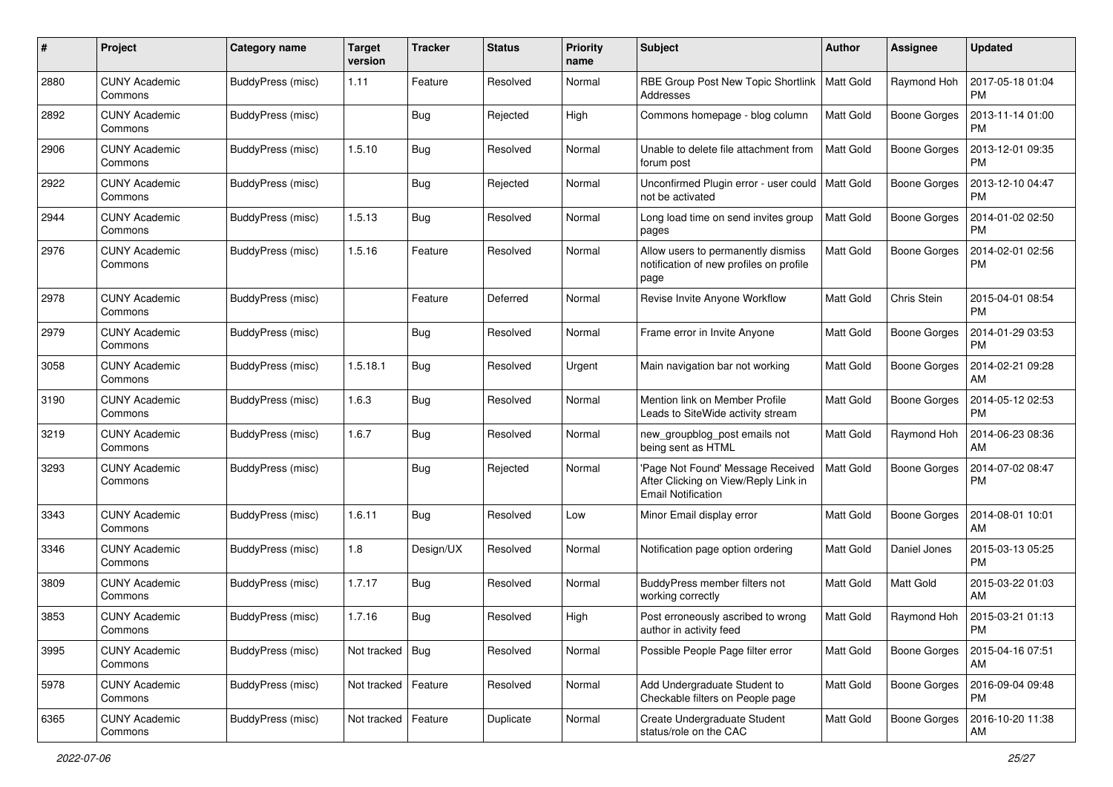| #    | Project                         | Category name     | <b>Target</b><br>version | <b>Tracker</b> | <b>Status</b> | <b>Priority</b><br>name | <b>Subject</b>                                                                                         | <b>Author</b>    | <b>Assignee</b>     | <b>Updated</b>                |
|------|---------------------------------|-------------------|--------------------------|----------------|---------------|-------------------------|--------------------------------------------------------------------------------------------------------|------------------|---------------------|-------------------------------|
| 2880 | <b>CUNY Academic</b><br>Commons | BuddyPress (misc) | 1.11                     | Feature        | Resolved      | Normal                  | RBE Group Post New Topic Shortlink<br>Addresses                                                        | <b>Matt Gold</b> | Raymond Hoh         | 2017-05-18 01:04<br>PM        |
| 2892 | <b>CUNY Academic</b><br>Commons | BuddyPress (misc) |                          | <b>Bug</b>     | Rejected      | High                    | Commons homepage - blog column                                                                         | <b>Matt Gold</b> | <b>Boone Gorges</b> | 2013-11-14 01:00<br><b>PM</b> |
| 2906 | <b>CUNY Academic</b><br>Commons | BuddyPress (misc) | 1.5.10                   | <b>Bug</b>     | Resolved      | Normal                  | Unable to delete file attachment from<br>forum post                                                    | Matt Gold        | <b>Boone Gorges</b> | 2013-12-01 09:35<br><b>PM</b> |
| 2922 | <b>CUNY Academic</b><br>Commons | BuddyPress (misc) |                          | <b>Bug</b>     | Rejected      | Normal                  | Unconfirmed Plugin error - user could<br>not be activated                                              | <b>Matt Gold</b> | <b>Boone Gorges</b> | 2013-12-10 04:47<br><b>PM</b> |
| 2944 | <b>CUNY Academic</b><br>Commons | BuddyPress (misc) | 1.5.13                   | <b>Bug</b>     | Resolved      | Normal                  | Long load time on send invites group<br>pages                                                          | <b>Matt Gold</b> | Boone Gorges        | 2014-01-02 02:50<br><b>PM</b> |
| 2976 | <b>CUNY Academic</b><br>Commons | BuddyPress (misc) | 1.5.16                   | Feature        | Resolved      | Normal                  | Allow users to permanently dismiss<br>notification of new profiles on profile<br>page                  | <b>Matt Gold</b> | <b>Boone Gorges</b> | 2014-02-01 02:56<br><b>PM</b> |
| 2978 | <b>CUNY Academic</b><br>Commons | BuddyPress (misc) |                          | Feature        | Deferred      | Normal                  | Revise Invite Anyone Workflow                                                                          | <b>Matt Gold</b> | Chris Stein         | 2015-04-01 08:54<br><b>PM</b> |
| 2979 | CUNY Academic<br>Commons        | BuddyPress (misc) |                          | <b>Bug</b>     | Resolved      | Normal                  | Frame error in Invite Anyone                                                                           | <b>Matt Gold</b> | Boone Gorges        | 2014-01-29 03:53<br><b>PM</b> |
| 3058 | <b>CUNY Academic</b><br>Commons | BuddyPress (misc) | 1.5.18.1                 | <b>Bug</b>     | Resolved      | Urgent                  | Main navigation bar not working                                                                        | <b>Matt Gold</b> | <b>Boone Gorges</b> | 2014-02-21 09:28<br>AM        |
| 3190 | <b>CUNY Academic</b><br>Commons | BuddyPress (misc) | 1.6.3                    | <b>Bug</b>     | Resolved      | Normal                  | Mention link on Member Profile<br>Leads to SiteWide activity stream                                    | <b>Matt Gold</b> | <b>Boone Gorges</b> | 2014-05-12 02:53<br><b>PM</b> |
| 3219 | CUNY Academic<br>Commons        | BuddyPress (misc) | 1.6.7                    | <b>Bug</b>     | Resolved      | Normal                  | new_groupblog_post emails not<br>being sent as HTML                                                    | <b>Matt Gold</b> | Raymond Hoh         | 2014-06-23 08:36<br>AM        |
| 3293 | <b>CUNY Academic</b><br>Commons | BuddyPress (misc) |                          | <b>Bug</b>     | Rejected      | Normal                  | 'Page Not Found' Message Received<br>After Clicking on View/Reply Link in<br><b>Email Notification</b> | <b>Matt Gold</b> | Boone Gorges        | 2014-07-02 08:47<br><b>PM</b> |
| 3343 | <b>CUNY Academic</b><br>Commons | BuddyPress (misc) | 1.6.11                   | Bug            | Resolved      | Low                     | Minor Email display error                                                                              | <b>Matt Gold</b> | <b>Boone Gorges</b> | 2014-08-01 10:01<br>AM        |
| 3346 | <b>CUNY Academic</b><br>Commons | BuddyPress (misc) | 1.8                      | Design/UX      | Resolved      | Normal                  | Notification page option ordering                                                                      | <b>Matt Gold</b> | Daniel Jones        | 2015-03-13 05:25<br><b>PM</b> |
| 3809 | <b>CUNY Academic</b><br>Commons | BuddyPress (misc) | 1.7.17                   | <b>Bug</b>     | Resolved      | Normal                  | BuddyPress member filters not<br>working correctly                                                     | <b>Matt Gold</b> | Matt Gold           | 2015-03-22 01:03<br>AM        |
| 3853 | <b>CUNY Academic</b><br>Commons | BuddyPress (misc) | 1.7.16                   | <b>Bug</b>     | Resolved      | High                    | Post erroneously ascribed to wrong<br>author in activity feed                                          | Matt Gold        | Raymond Hoh         | 2015-03-21 01:13<br>PM        |
| 3995 | <b>CUNY Academic</b><br>Commons | BuddyPress (misc) | Not tracked   Bug        |                | Resolved      | Normal                  | Possible People Page filter error                                                                      | Matt Gold        | <b>Boone Gorges</b> | 2015-04-16 07:51<br>  AM      |
| 5978 | <b>CUNY Academic</b><br>Commons | BuddyPress (misc) | Not tracked              | Feature        | Resolved      | Normal                  | Add Undergraduate Student to<br>Checkable filters on People page                                       | Matt Gold        | Boone Gorges        | 2016-09-04 09:48<br><b>PM</b> |
| 6365 | <b>CUNY Academic</b><br>Commons | BuddyPress (misc) | Not tracked   Feature    |                | Duplicate     | Normal                  | Create Undergraduate Student<br>status/role on the CAC                                                 | Matt Gold        | Boone Gorges        | 2016-10-20 11:38<br>AM        |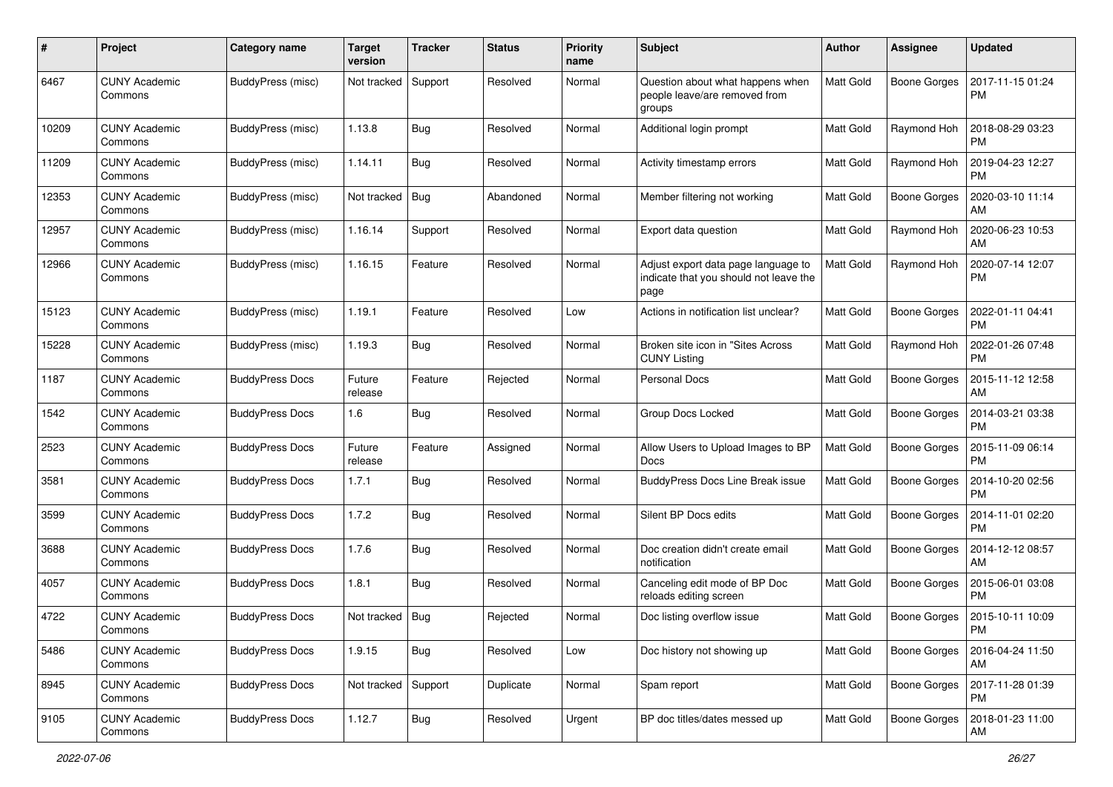| #     | Project                         | <b>Category name</b>   | <b>Target</b><br>version | <b>Tracker</b> | <b>Status</b> | <b>Priority</b><br>name | <b>Subject</b>                                                                        | <b>Author</b>    | <b>Assignee</b>     | <b>Updated</b>                |
|-------|---------------------------------|------------------------|--------------------------|----------------|---------------|-------------------------|---------------------------------------------------------------------------------------|------------------|---------------------|-------------------------------|
| 6467  | <b>CUNY Academic</b><br>Commons | BuddyPress (misc)      | Not tracked              | Support        | Resolved      | Normal                  | Question about what happens when<br>people leave/are removed from<br>groups           | Matt Gold        | <b>Boone Gorges</b> | 2017-11-15 01:24<br><b>PM</b> |
| 10209 | <b>CUNY Academic</b><br>Commons | BuddyPress (misc)      | 1.13.8                   | Bug            | Resolved      | Normal                  | Additional login prompt                                                               | Matt Gold        | Raymond Hoh         | 2018-08-29 03:23<br><b>PM</b> |
| 11209 | <b>CUNY Academic</b><br>Commons | BuddyPress (misc)      | 1.14.11                  | Bug            | Resolved      | Normal                  | Activity timestamp errors                                                             | <b>Matt Gold</b> | Raymond Hoh         | 2019-04-23 12:27<br><b>PM</b> |
| 12353 | <b>CUNY Academic</b><br>Commons | BuddyPress (misc)      | Not tracked              | Bug            | Abandoned     | Normal                  | Member filtering not working                                                          | <b>Matt Gold</b> | <b>Boone Gorges</b> | 2020-03-10 11:14<br>AM        |
| 12957 | <b>CUNY Academic</b><br>Commons | BuddyPress (misc)      | 1.16.14                  | Support        | Resolved      | Normal                  | Export data question                                                                  | <b>Matt Gold</b> | Raymond Hoh         | 2020-06-23 10:53<br>AM        |
| 12966 | <b>CUNY Academic</b><br>Commons | BuddyPress (misc)      | 1.16.15                  | Feature        | Resolved      | Normal                  | Adjust export data page language to<br>indicate that you should not leave the<br>page | <b>Matt Gold</b> | Raymond Hoh         | 2020-07-14 12:07<br><b>PM</b> |
| 15123 | <b>CUNY Academic</b><br>Commons | BuddyPress (misc)      | 1.19.1                   | Feature        | Resolved      | Low                     | Actions in notification list unclear?                                                 | <b>Matt Gold</b> | <b>Boone Gorges</b> | 2022-01-11 04:41<br><b>PM</b> |
| 15228 | <b>CUNY Academic</b><br>Commons | BuddyPress (misc)      | 1.19.3                   | Bug            | Resolved      | Normal                  | Broken site icon in "Sites Across<br><b>CUNY Listing</b>                              | Matt Gold        | Raymond Hoh         | 2022-01-26 07:48<br><b>PM</b> |
| 1187  | <b>CUNY Academic</b><br>Commons | <b>BuddyPress Docs</b> | Future<br>release        | Feature        | Rejected      | Normal                  | Personal Docs                                                                         | <b>Matt Gold</b> | <b>Boone Gorges</b> | 2015-11-12 12:58<br>AM        |
| 1542  | <b>CUNY Academic</b><br>Commons | <b>BuddyPress Docs</b> | 1.6                      | Bug            | Resolved      | Normal                  | Group Docs Locked                                                                     | Matt Gold        | <b>Boone Gorges</b> | 2014-03-21 03:38<br><b>PM</b> |
| 2523  | <b>CUNY Academic</b><br>Commons | <b>BuddyPress Docs</b> | Future<br>release        | Feature        | Assigned      | Normal                  | Allow Users to Upload Images to BP<br>Docs                                            | <b>Matt Gold</b> | <b>Boone Gorges</b> | 2015-11-09 06:14<br><b>PM</b> |
| 3581  | <b>CUNY Academic</b><br>Commons | <b>BuddyPress Docs</b> | 1.7.1                    | Bug            | Resolved      | Normal                  | BuddyPress Docs Line Break issue                                                      | Matt Gold        | <b>Boone Gorges</b> | 2014-10-20 02:56<br><b>PM</b> |
| 3599  | <b>CUNY Academic</b><br>Commons | <b>BuddyPress Docs</b> | 1.7.2                    | Bug            | Resolved      | Normal                  | Silent BP Docs edits                                                                  | <b>Matt Gold</b> | <b>Boone Gorges</b> | 2014-11-01 02:20<br><b>PM</b> |
| 3688  | <b>CUNY Academic</b><br>Commons | <b>BuddyPress Docs</b> | 1.7.6                    | Bug            | Resolved      | Normal                  | Doc creation didn't create email<br>notification                                      | Matt Gold        | <b>Boone Gorges</b> | 2014-12-12 08:57<br>AM        |
| 4057  | <b>CUNY Academic</b><br>Commons | <b>BuddyPress Docs</b> | 1.8.1                    | Bug            | Resolved      | Normal                  | Canceling edit mode of BP Doc<br>reloads editing screen                               | <b>Matt Gold</b> | Boone Gorges        | 2015-06-01 03:08<br><b>PM</b> |
| 4722  | <b>CUNY Academic</b><br>Commons | <b>BuddyPress Docs</b> | Not tracked              | <b>Bug</b>     | Rejected      | Normal                  | Doc listing overflow issue                                                            | <b>Matt Gold</b> | Boone Gorges        | 2015-10-11 10:09<br>PM        |
| 5486  | <b>CUNY Academic</b><br>Commons | <b>BuddyPress Docs</b> | 1.9.15                   | Bug            | Resolved      | Low                     | Doc history not showing up                                                            | Matt Gold        | Boone Gorges        | 2016-04-24 11:50<br>AM        |
| 8945  | <b>CUNY Academic</b><br>Commons | <b>BuddyPress Docs</b> | Not tracked              | Support        | Duplicate     | Normal                  | Spam report                                                                           | Matt Gold        | <b>Boone Gorges</b> | 2017-11-28 01:39<br>PM        |
| 9105  | <b>CUNY Academic</b><br>Commons | <b>BuddyPress Docs</b> | 1.12.7                   | <b>Bug</b>     | Resolved      | Urgent                  | BP doc titles/dates messed up                                                         | Matt Gold        | Boone Gorges        | 2018-01-23 11:00<br>AM        |